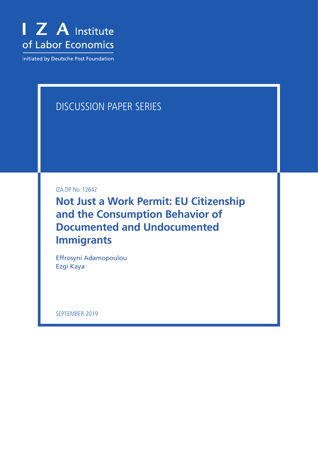

Initiated by Deutsche Post Foundation

# DISCUSSION PAPER SERIES

IZA DP No. 12642

**Not Just a Work Permit: EU Citizenship and the Consumption Behavior of Documented and Undocumented Immigrants**

Effrosyni Adamopoulou Ezgi Kaya

SEPTEMBER 2019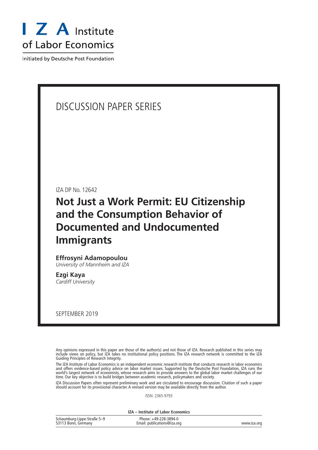

Initiated by Deutsche Post Foundation

## DISCUSSION PAPER SERIES

IZA DP No. 12642

# **Not Just a Work Permit: EU Citizenship and the Consumption Behavior of Documented and Undocumented Immigrants**

## **Effrosyni Adamopoulou**

*University of Mannheim and IZA*

**Ezgi Kaya** *Cardiff University*

SEPTEMBER 2019

Any opinions expressed in this paper are those of the author(s) and not those of IZA. Research published in this series may include views on policy, but IZA takes no institutional policy positions. The IZA research network is committed to the IZA Guiding Principles of Research Integrity.

The IZA Institute of Labor Economics is an independent economic research institute that conducts research in labor economics and offers evidence-based policy advice on labor market issues. Supported by the Deutsche Post Foundation, IZA runs the world's largest network of economists, whose research aims to provide answers to the global labor market challenges of our time. Our key objective is to build bridges between academic research, policymakers and society.

IZA Discussion Papers often represent preliminary work and are circulated to encourage discussion. Citation of such a paper should account for its provisional character. A revised version may be available directly from the author.

ISSN: 2365-9793

**IZA – Institute of Labor Economics**

| Schaumburg-Lippe-Straße 5-9 | Phone: +49-228-3894-0       |             |
|-----------------------------|-----------------------------|-------------|
| 53113 Bonn, Germany         | Email: publications@iza.org | www.iza.org |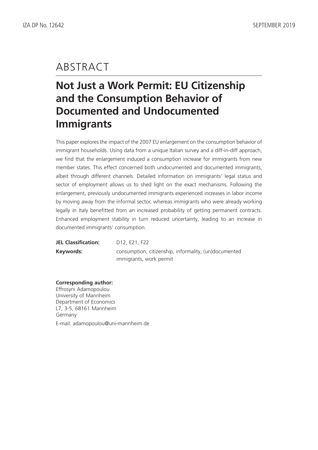# ABSTRACT

# **Not Just a Work Permit: EU Citizenship and the Consumption Behavior of Documented and Undocumented Immigrants**

This paper explores the impact of the 2007 EU enlargement on the consumption behavior of immigrant households. Using data from a unique Italian survey and a diff-in-diff approach, we find that the enlargement induced a consumption increase for immigrants from new member states. This effect concerned both undocumented and documented immigrants, albeit through different channels. Detailed information on immigrants' legal status and sector of employment allows us to shed light on the exact mechanisms. Following the enlargement, previously undocumented immigrants experienced increases in labor income by moving away from the informal sector, whereas immigrants who were already working legally in Italy benefitted from an increased probability of getting permanent contracts. Enhanced employment stability in turn reduced uncertainty, leading to an increase in documented immigrants' consumption.

| <b>JEL Classification:</b> | D <sub>12</sub> , E <sub>21</sub> , F <sub>22</sub>   |
|----------------------------|-------------------------------------------------------|
| Keywords:                  | consumption, citizenship, informality, (un)documented |
|                            | immigrants, work permit                               |

## **Corresponding author:**

Effrosyni Adamopoulou University of Mannheim Department of Economics L7, 3-5, 68161 Mannheim Germany E-mail: adamopoulou@uni-mannheim.de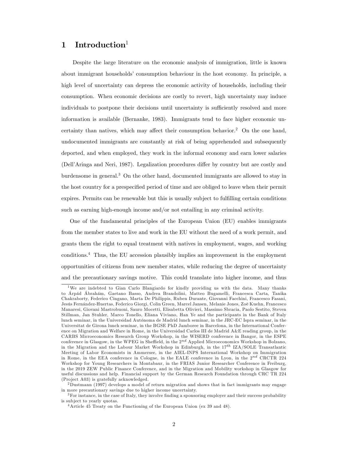## 1 Introduction $1$

Despite the large literature on the economic analysis of immigration, little is known about immigrant households' consumption behaviour in the host economy. In principle, a high level of uncertainty can depress the economic activity of households, including their consumption. When economic decisions are costly to revert, high uncertainty may induce individuals to postpone their decisions until uncertainty is sufficiently resolved and more information is available (Bernanke, 1983). Immigrants tend to face higher economic uncertainty than natives, which may affect their consumption behavior.<sup>2</sup> On the one hand, undocumented immigrants are constantly at risk of being apprehended and subsequently deported, and when employed, they work in the informal economy and earn lower salaries (Dell'Aringa and Neri, 1987). Legalization procedures differ by country but are costly and burdensome in general.<sup>3</sup> On the other hand, documented immigrants are allowed to stay in the host country for a prespecified period of time and are obliged to leave when their permit expires. Permits can be renewable but this is usually subject to fulfilling certain conditions such as earning high-enough income and/or not entailing in any criminal activity.

One of the fundamental principles of the European Union (EU) enables immigrants from the member states to live and work in the EU without the need of a work permit, and grants them the right to equal treatment with natives in employment, wages, and working conditions.<sup>4</sup> Thus, the EU accession plausibly implies an improvement in the employment opportunities of citizens from new member states, while reducing the degree of uncertainty and the precautionary savings motive. This could translate into higher income, and thus

<sup>1</sup>We are indebted to Gian Carlo Blangiardo for kindly providing us with the data. Many thanks to Árpád Ábrahám, Gaetano Basso, Andrea Brandolini, Matteo Bugamelli, Francesca Carta, Tanika Chakraborty, Federico Cingano, Marta De Philippis, Ruben Durante, Giovanni Facchini, Francesco Fasani, Jesús Fernández-Huertas, Federico Giorgi, Colin Green, Marcel Jansen, Melanie Jones, Zoë Kuehn, Francesco Manaresi, Giovani Mastrobuoni, Sauro Mocetti, Elisabetta Olivieri, Massimo Sbracia, Paolo Sestito, Steven Stillman, Jan Stuhler, Marco Tonello, Eliana Viviano, Han Ye and the participants in the Bank of Italy lunch seminar, in the Universidad Autónoma de Madrid lunch seminar, in the JRC-EC Ispra seminar, in the Universitat de Girona lunch seminar, in the BGSE PhD Jamboree in Barcelona, in the International Conference on Migration and Welfare in Rome, in the Universidad Carlos III de Madrid A&E reading group, in the CARBS Microeconomics Research Group Workshop, in the WISERD conference in Bangor, in the ESPE conference in Glasgow, in the WPEG in Sheffield, in the  $2^{nd}$  Applied Microeconomics Workshop in Bolzano, in the Migration and the Labour Market Workshop in Edinburgh, in the  $17^{th}$  IZA/SOLE Transatlantic Meeting of Labor Economists in Ammersee, in the AIEL-INPS International Workshop on Immigration in Rome, in the EEA conference in Cologne, in the EALE conference in Lyon, in the 2nd CRCTR 224 Workshop for Young Researchers in Montabaur, in the FRIAS Junior Researcher Conference in Freiburg, in the 2019 ZEW Public Finance Conference, and in the Migration and Mobility workshop in Glasgow for useful discussions and help. Financial support by the German Research Foundation through CRC TR 224 (Pro ject A03) is gratefully acknowledged.

<sup>2</sup>Dustmann (1997) develops a model of return migration and shows that in fact immigrants may engage in more precautionary savings due to higher income uncertainty.

<sup>&</sup>lt;sup>3</sup>For instance, in the case of Italy, they involve finding a sponsoring employer and their success probability is sub ject to yearly quotas.

<sup>&</sup>lt;sup>4</sup> Article 45 Treaty on the Functioning of the European Union (ex 39 and 48).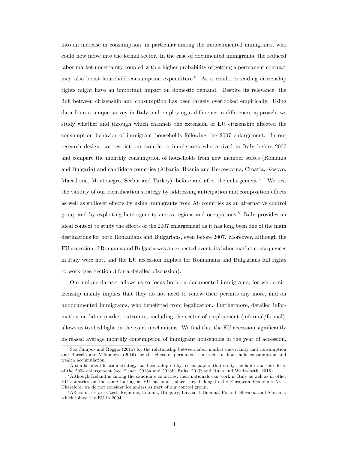into an increase in consumption, in particular among the undocumented immigrants, who could now move into the formal sector. In the case of documented immigrants, the reduced labor market uncertainty coupled with a higher probability of getting a permanent contract may also boost household consumption expenditure.<sup>5</sup> As a result, extending citizenship rights might have an important impact on domestic demand. Despite its relevance, the link between citizenship and consumption has been largely overlooked empirically. Using data from a unique survey in Italy and employing a difference-in-differences approach, we study whether and through which channels the extension of EU citizenship affected the consumption behavior of immigrant households following the 2007 enlargement. In our research design, we restrict our sample to immigrants who arrived in Italy before 2007 and compare the monthly consumption of households from new member states (Romania and Bulgaria) and candidate countries (Albania, Bosnia and Herzegovina, Croatia, Kosovo, Macedonia, Montenegro, Serbia and Turkey), before and after the enlargement.<sup>6,7</sup> We test the validity of our identification strategy by addressing anticipation and composition effects as well as spillover effects by using immigrants from A8 countries as an alternative control group and by exploiting heterogeneity across regions and occupations.<sup>8</sup> Italy provides an ideal context to study the effects of the 2007 enlargement as it has long been one of the main destinations for both Romanians and Bulgarians, even before 2007. Moreover, although the EU accession of Romania and Bulgaria was an expected event, its labor market consequences in Italy were not, and the EU accession implied for Romanians and Bulgarians full rights to work (see Section 3 for a detailed discussion).

Our unique dataset allows us to focus both on documented immigrants, for whom citizenship mainly implies that they do not need to renew their permits any more, and on undocumented immigrants, who benefitted from legalization. Furthermore, detailed information on labor market outcomes, including the sector of employment (informal/formal), allows us to shed light on the exact mechanisms. We find that the EU accession significantly increased average monthly consumption of immigrant households in the year of accession,

<sup>5</sup> See Campos and Reggio (2015) for the relationship between labor market uncertainty and consumption and Barceló and Villanueva (2016) for the effect of permanent contracts on household consumption and wealth accumulation.

 $6A$  similar identification strategy has been adopted by recent papers that study the labor market effects of the 2004 enlargement (see Elsner, 2013a and 2013b; Ruhs, 2017; and Ruhs and Wadsworth, 2018).

<sup>7</sup>Although Iceland is among the candidate countries, their nationals can work in Italy as well as in other EU countries on the same footing as EU nationals, since they belong to the European Economic Area. Therefore, we do not consider Icelanders as part of our control group.

<sup>8</sup>A8 countries are Czech Republic, Estonia, Hungary, Latvia, Lithuania, Poland, Slovakia and Slovenia, which joined the EU in 2004.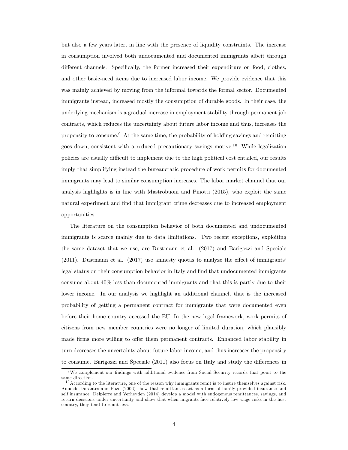but also a few years later, in line with the presence of liquidity constraints. The increase in consumption involved both undocumented and documented immigrants albeit through different channels. Specifically, the former increased their expenditure on food, clothes, and other basic-need items due to increased labor income. We provide evidence that this was mainly achieved by moving from the informal towards the formal sector. Documented immigrants instead, increased mostly the consumption of durable goods. In their case, the underlying mechanism is a gradual increase in employment stability through permanent job contracts, which reduces the uncertainty about future labor income and thus, increases the propensity to consume.<sup>9</sup> At the same time, the probability of holding savings and remitting goes down, consistent with a reduced precautionary savings motive.<sup>10</sup> While legalization policies are usually difficult to implement due to the high political cost entailed, our results imply that simplifying instead the bureaucratic procedure of work permits for documented immigrants may lead to similar consumption increases. The labor market channel that our analysis highlights is in line with Mastrobuoni and Pinotti (2015), who exploit the same natural experiment and find that immigrant crime decreases due to increased employment opportunities.

The literature on the consumption behavior of both documented and undocumented immigrants is scarce mainly due to data limitations. Two recent exceptions, exploiting the same dataset that we use, are Dustmann et al. (2017) and Barigozzi and Speciale  $(2011)$ . Dustmann et al.  $(2017)$  use amnesty quotas to analyze the effect of immigrants' legal status on their consumption behavior in Italy and find that undocumented immigrants consume about 40% less than documented immigrants and that this is partly due to their lower income. In our analysis we highlight an additional channel, that is the increased probability of getting a permanent contract for immigrants that were documented even before their home country accessed the EU. In the new legal framework, work permits of citizens from new member countries were no longer of limited duration, which plausibly made firms more willing to offer them permanent contracts. Enhanced labor stability in turn decreases the uncertainty about future labor income, and thus increases the propensity to consume. Barigozzi and Speciale (2011) also focus on Italy and study the differences in

 $9$ We complement our findings with additional evidence from Social Security records that point to the same direction.

 $10$  According to the literature, one of the reason why immigrants remit is to insure themselves against risk. Amuedo-Dorantes and Pozo (2006) show that remittances act as a form of family-provided insurance and self insurance. Delpierre and Verheyden (2014) develop a model with endogenous remittances, savings, and return decisions under uncertainty and show that when migrants face relatively low wage risks in the host country, they tend to remit less.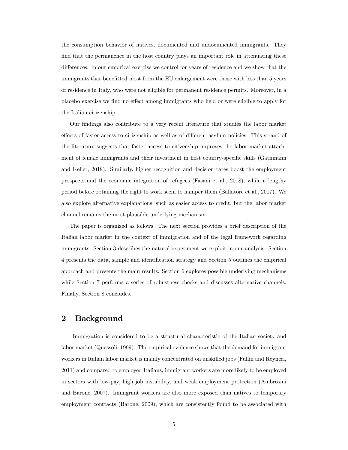the consumption behavior of natives, documented and undocumented immigrants. They find that the permanence in the host country plays an important role in attenuating these differences. In our empirical exercise we control for years of residence and we show that the immigrants that benefitted most from the EU enlargement were those with less than 5 years of residence in Italy, who were not eligible for permanent residence permits. Moreover, in a placebo exercise we find no effect among immigrants who held or were eligible to apply for the Italian citizenship.

Our Öndings also contribute to a very recent literature that studies the labor market effects of faster access to citizenship as well as of different asylum policies. This strand of the literature suggests that faster access to citizenship improves the labor market attachment of female immigrants and their investment in host country-specific skills (Gathmann and Keller, 2018). Similarly, higher recognition and decision rates boost the employment prospects and the economic integration of refugees (Fasani et al., 2018), while a lengthy period before obtaining the right to work seem to hamper them (Ballatore et al., 2017). We also explore alternative explanations, such as easier access to credit, but the labor market channel remains the most plausible underlying mechanism.

The paper is organized as follows. The next section provides a brief description of the Italian labor market in the context of immigration and of the legal framework regarding immigrants. Section 3 describes the natural experiment we exploit in our analysis. Section 4 presents the data, sample and identification strategy and Section 5 outlines the empirical approach and presents the main results. Section 6 explores possible underlying mechanisms while Section 7 performs a series of robustness checks and discusses alternative channels. Finally, Section 8 concludes.

## 2 Background

Immigration is considered to be a structural characteristic of the Italian society and labor market (Quassoli, 1999). The empirical evidence shows that the demand for immigrant workers in Italian labor market is mainly concentrated on unskilled jobs (Fullin and Reyneri, 2011) and compared to employed Italians, immigrant workers are more likely to be employed in sectors with low-pay, high job instability, and weak employment protection (Ambrosini and Barone, 2007). Immigrant workers are also more exposed than natives to temporary employment contracts (Barone, 2009), which are consistently found to be associated with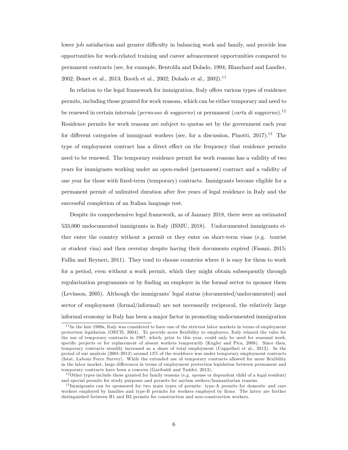lower job satisfaction and greater difficulty in balancing work and family, and provide less opportunities for work-related training and career advancement opportunities compared to permanent contracts (see, for example, Bentolila and Dolado, 1994; Blanchard and Landier, 2002; Bonet et al., 2013; Booth et al., 2002; Dolado et al., 2002).<sup>11</sup>

In relation to the legal framework for immigration, Italy offers various types of residence permits, including those granted for work reasons, which can be either temporary and need to be renewed in certain intervals (*permesso di soggiorno*) or permanent (*carta di soggiorno*).<sup>12</sup> Residence permits for work reasons are subject to quotas set by the government each year for different categories of immigrant workers (see, for a discussion, Pinotti,  $2017$ ).<sup>13</sup> The type of employment contract has a direct effect on the frequency that residence permits need to be renewed. The temporary residence permit for work reasons has a validity of two years for immigrants working under an open-ended (permanent) contract and a validity of one year for those with Öxed-term (temporary) contracts. Immigrants become eligible for a permanent permit of unlimited duration after Öve years of legal residence in Italy and the successful completion of an Italian language test.

Despite its comprehensive legal framework, as of January 2018, there were an estimated 533,000 undocumented immigrants in Italy (ISMU, 2018). Undocumented immigrants either enter the country without a permit or they enter on short-term visas (e.g. tourist or student visa) and then overstay despite having their documents expired (Fasani, 2015; Fullin and Reyneri, 2011). They tend to choose countries where it is easy for them to work for a period, even without a work permit, which they might obtain subsequently through regularization programmes or by finding an employer in the formal sector to sponsor them (Levinson, 2005). Although the immigrants' legal status (documented/undocumented) and sector of employment (formal/informal) are not necessarily reciprocal, the relatively large informal economy in Italy has been a major factor in promoting undocumented immigration

 $11$ In the late 1980s, Italy was considered to have one of the strictest labor markets in terms of employment protection legislation (OECD, 2004). To provide more áexibility to employers, Italy relaxed the rules for the use of temporary contracts in 1987, which, prior to this year, could only be used for seasonal work, specific projects or for replacement of absent workers temporarily (Kugler and Pica, 2008). Since then, temporary contracts steadily increased as a share of total employment (Cappellari et al., 2012). In the period of our analysis (2001-2012) around 13% of the workforce was under temporary employment contracts (Istat, Labour Force Survey). While the extended use of temporary contracts allowed for more flexibility in the labor market, large differences in terms of employment protection legislation between permanent and temporary contracts have been a concern (Garibaldi and Taddei, 2013).

 $12$  Other types include those granted for family reasons (e.g. spouse or dependent child of a legal resident) and special permits for study purposes and permits for asylum seekers/humanitarian reasons.

<sup>&</sup>lt;sup>13</sup>Immigrants can be sponsored for two main types of permits: type-A permits for domestic and care workers employed by families and type-B permits for workers employed by firms. The latter are further distinguished between B1 and B2 permits for construction and non-construction workers.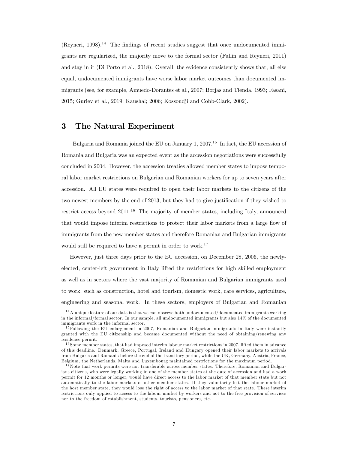(Reyneri, 1998).<sup>14</sup> The findings of recent studies suggest that once undocumented immigrants are regularized, the majority move to the formal sector (Fullin and Reyneri, 2011) and stay in it (Di Porto et al., 2018). Overall, the evidence consistently shows that, all else equal, undocumented immigrants have worse labor market outcomes than documented immigrants (see, for example, Amuedo-Dorantes et al., 2007; Borjas and Tienda, 1993; Fasani, 2015; Guriev et al., 2019; Kaushal; 2006; Kossoudji and Cobb-Clark, 2002).

## 3 The Natural Experiment

Bulgaria and Romania joined the EU on January 1, 2007.<sup>15</sup> In fact, the EU accession of Romania and Bulgaria was an expected event as the accession negotiations were successfully concluded in 2004. However, the accession treaties allowed member states to impose temporal labor market restrictions on Bulgarian and Romanian workers for up to seven years after accession. All EU states were required to open their labor markets to the citizens of the two newest members by the end of 2013, but they had to give justification if they wished to restrict access beyond  $2011^{16}$  The majority of member states, including Italy, announced that would impose interim restrictions to protect their labor markets from a large flow of immigrants from the new member states and therefore Romanian and Bulgarian immigrants would still be required to have a permit in order to work.<sup>17</sup>

However, just three days prior to the EU accession, on December 28, 2006, the newlyelected, center-left government in Italy lifted the restrictions for high skilled employment as well as in sectors where the vast majority of Romanian and Bulgarian immigrants used to work, such as construction, hotel and tourism, domestic work, care services, agriculture, engineering and seasonal work. In these sectors, employers of Bulgarian and Romanian

<sup>&</sup>lt;sup>14</sup>A unique feature of our data is that we can observe both undocumented/documented immigrants working in the informal/formal sector. In our sample, all undocumented immigrants but also 14% of the documented immigrants work in the informal sector.

<sup>&</sup>lt;sup>15</sup>Following the EU enlargement in 2007, Romanian and Bulgarian immigrants in Italy were instantly granted with the EU citizenship and became documented without the need of obtaining/renewing any residence permit.

<sup>&</sup>lt;sup>16</sup> Some member states, that had imposed interim labour market restrictions in 2007, lifted them in advance of this deadline. Denmark, Greece, Portugal, Ireland and Hungary opened their labor markets to arrivals from Bulgaria and Romania before the end of the transitory period, while the UK, Germany, Austria, France, Belgium, the Netherlands, Malta and Luxembourg maintained restrictions for the maximum period.

 $17$  Note that work permits were not transferable across member states. Therefore, Romanian and Bulgarians citizens, who were legally working in one of the member states at the date of accession and had a work permit for 12 months or longer, would have direct access to the labor market of that member state but not automatically to the labor markets of other member states. If they voluntarily left the labour market of the host member state, they would lose the right of access to the labor market of that state. These interim restrictions only applied to access to the labour market by workers and not to the free provision of services nor to the freedom of establishment, students, tourists, pensioners, etc.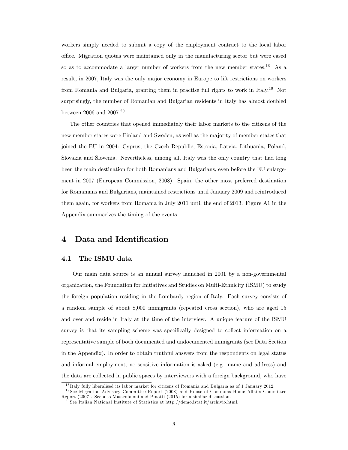workers simply needed to submit a copy of the employment contract to the local labor office. Migration quotas were maintained only in the manufacturing sector but were eased so as to accommodate a larger number of workers from the new member states.<sup>18</sup> As a result, in 2007, Italy was the only major economy in Europe to lift restrictions on workers from Romania and Bulgaria, granting them in practise full rights to work in Italy.<sup>19</sup> Not surprisingly, the number of Romanian and Bulgarian residents in Italy has almost doubled between 2006 and 2007.<sup>20</sup>

The other countries that opened immediately their labor markets to the citizens of the new member states were Finland and Sweden, as well as the majority of member states that joined the EU in 2004: Cyprus, the Czech Republic, Estonia, Latvia, Lithuania, Poland, Slovakia and Slovenia. Nevertheless, among all, Italy was the only country that had long been the main destination for both Romanians and Bulgarians, even before the EU enlargement in 2007 (European Commission, 2008). Spain, the other most preferred destination for Romanians and Bulgarians, maintained restrictions until January 2009 and reintroduced them again, for workers from Romania in July 2011 until the end of 2013. Figure A1 in the Appendix summarizes the timing of the events.

## 4 Data and Identification

### 4.1 The ISMU data

Our main data source is an annual survey launched in 2001 by a non-governmental organization, the Foundation for Initiatives and Studies on Multi-Ethnicity (ISMU) to study the foreign population residing in the Lombardy region of Italy. Each survey consists of a random sample of about 8,000 immigrants (repeated cross section), who are aged 15 and over and reside in Italy at the time of the interview. A unique feature of the ISMU survey is that its sampling scheme was specifically designed to collect information on a representative sample of both documented and undocumented immigrants (see Data Section in the Appendix). In order to obtain truthful answers from the respondents on legal status and informal employment, no sensitive information is asked (e.g. name and address) and the data are collected in public spaces by interviewers with a foreign background, who have

<sup>&</sup>lt;sup>18</sup> Italy fully liberalised its labor market for citizens of Romania and Bulgaria as of 1 January 2012.

 $19$  See Migration Advisory Committee Report (2008) and House of Commons Home Affairs Committee Report (2007). See also Mastrobuoni and Pinotti (2015) for a similar discussion.

 $^{20}$ See Italian National Institute of Statistics at http://demo.istat.it/archivio.html.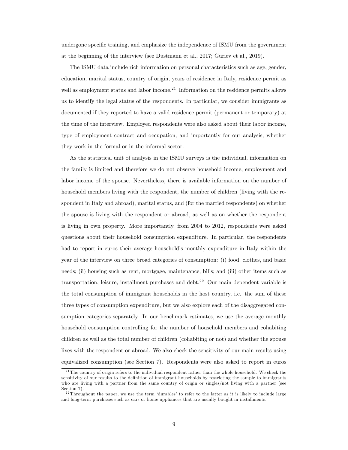undergone specific training, and emphasize the independence of ISMU from the government at the beginning of the interview (see Dustmann et al., 2017; Guriev et al., 2019).

The ISMU data include rich information on personal characteristics such as age, gender, education, marital status, country of origin, years of residence in Italy, residence permit as well as employment status and labor income.<sup>21</sup> Information on the residence permits allows us to identify the legal status of the respondents. In particular, we consider immigrants as documented if they reported to have a valid residence permit (permanent or temporary) at the time of the interview. Employed respondents were also asked about their labor income, type of employment contract and occupation, and importantly for our analysis, whether they work in the formal or in the informal sector.

As the statistical unit of analysis in the ISMU surveys is the individual, information on the family is limited and therefore we do not observe household income, employment and labor income of the spouse. Nevertheless, there is available information on the number of household members living with the respondent, the number of children (living with the respondent in Italy and abroad), marital status, and (for the married respondents) on whether the spouse is living with the respondent or abroad, as well as on whether the respondent is living in own property. More importantly, from 2004 to 2012, respondents were asked questions about their household consumption expenditure. In particular, the respondents had to report in euros their average household's monthly expenditure in Italy within the year of the interview on three broad categories of consumption: (i) food, clothes, and basic needs; (ii) housing such as rent, mortgage, maintenance, bills; and (iii) other items such as transportation, leisure, installment purchases and debt.<sup>22</sup> Our main dependent variable is the total consumption of immigrant households in the host country, i.e. the sum of these three types of consumption expenditure, but we also explore each of the disaggregated consumption categories separately. In our benchmark estimates, we use the average monthly household consumption controlling for the number of household members and cohabiting children as well as the total number of children (cohabiting or not) and whether the spouse lives with the respondent or abroad. We also check the sensitivity of our main results using equivalized consumption (see Section 7). Respondents were also asked to report in euros

 $^{21}$ The country of origin refers to the individual respondent rather than the whole household. We check the sensitivity of our results to the definition of immigrant households by restricting the sample to immigrants who are living with a partner from the same country of origin or singles/not living with a partner (see Section 7).

 $22$ Throughout the paper, we use the term 'durables' to refer to the latter as it is likely to include large and long-term purchases such as cars or home appliances that are usually bought in installments.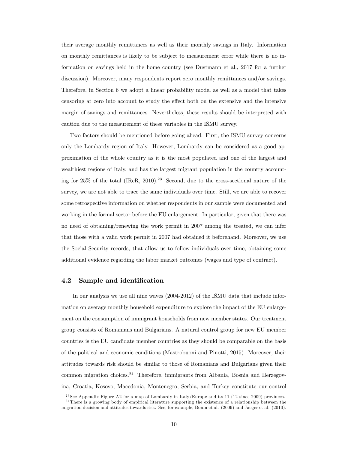their average monthly remittances as well as their monthly savings in Italy. Information on monthly remittances is likely to be subject to measurement error while there is no information on savings held in the home country (see Dustmann et al., 2017 for a further discussion). Moreover, many respondents report zero monthly remittances and/or savings. Therefore, in Section 6 we adopt a linear probability model as well as a model that takes censoring at zero into account to study the effect both on the extensive and the intensive margin of savings and remittances. Nevertheless, these results should be interpreted with caution due to the measurement of these variables in the ISMU survey.

Two factors should be mentioned before going ahead. First, the ISMU survey concerns only the Lombardy region of Italy. However, Lombardy can be considered as a good approximation of the whole country as it is the most populated and one of the largest and wealthiest regions of Italy, and has the largest migrant population in the country accounting for 25% of the total (IReR, 2010).<sup>23</sup> Second, due to the cross-sectional nature of the survey, we are not able to trace the same individuals over time. Still, we are able to recover some retrospective information on whether respondents in our sample were documented and working in the formal sector before the EU enlargement. In particular, given that there was no need of obtaining/renewing the work permit in 2007 among the treated, we can infer that those with a valid work permit in 2007 had obtained it beforehand. Moreover, we use the Social Security records, that allow us to follow individuals over time, obtaining some additional evidence regarding the labor market outcomes (wages and type of contract).

### 4.2 Sample and identification

In our analysis we use all nine waves (2004-2012) of the ISMU data that include information on average monthly household expenditure to explore the impact of the EU enlargement on the consumption of immigrant households from new member states. Our treatment group consists of Romanians and Bulgarians. A natural control group for new EU member countries is the EU candidate member countries as they should be comparable on the basis of the political and economic conditions (Mastrobuoni and Pinotti, 2015). Moreover, their attitudes towards risk should be similar to those of Romanians and Bulgarians given their common migration choices.<sup>24</sup> Therefore, immigrants from Albania, Bosnia and Herzegovina, Croatia, Kosovo, Macedonia, Montenegro, Serbia, and Turkey constitute our control

<sup>&</sup>lt;sup>23</sup> See Appendix Figure A2 for a map of Lombardy in Italy/Europe and its 11 (12 since 2009) provinces.  $^{24}$ There is a growing body of empirical literature supporting the existence of a relationship between the migration decision and attitudes towards risk. See, for example, Bonin et al. (2009) and Jaeger et al. (2010).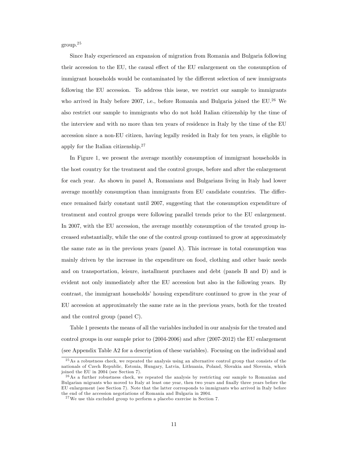group.<sup>25</sup>

Since Italy experienced an expansion of migration from Romania and Bulgaria following their accession to the EU, the causal effect of the EU enlargement on the consumption of immigrant households would be contaminated by the different selection of new immigrants following the EU accession. To address this issue, we restrict our sample to immigrants who arrived in Italy before 2007, i.e., before Romania and Bulgaria joined the  $EU^{26}$  We also restrict our sample to immigrants who do not hold Italian citizenship by the time of the interview and with no more than ten years of residence in Italy by the time of the EU accession since a non-EU citizen, having legally resided in Italy for ten years, is eligible to apply for the Italian citizenship.<sup>27</sup>

In Figure 1, we present the average monthly consumption of immigrant households in the host country for the treatment and the control groups, before and after the enlargement for each year. As shown in panel A, Romanians and Bulgarians living in Italy had lower average monthly consumption than immigrants from EU candidate countries. The difference remained fairly constant until 2007, suggesting that the consumption expenditure of treatment and control groups were following parallel trends prior to the EU enlargement. In 2007, with the EU accession, the average monthly consumption of the treated group increased substantially, while the one of the control group continued to grow at approximately the same rate as in the previous years (panel A). This increase in total consumption was mainly driven by the increase in the expenditure on food, clothing and other basic needs and on transportation, leisure, installment purchases and debt (panels B and D) and is evident not only immediately after the EU accession but also in the following years. By contrast, the immigrant households' housing expenditure continued to grow in the year of EU accession at approximately the same rate as in the previous years, both for the treated and the control group (panel C).

Table 1 presents the means of all the variables included in our analysis for the treated and control groups in our sample prior to (2004-2006) and after (2007-2012) the EU enlargement (see Appendix Table A2 for a description of these variables). Focusing on the individual and

<sup>&</sup>lt;sup>25</sup>As a robustness check, we repeated the analysis using an alternative control group that consists of the nationals of Czech Republic, Estonia, Hungary, Latvia, Lithuania, Poland, Slovakia and Slovenia, which joined the EU in 2004 (see Section 7).

 $2<sup>6</sup>$ As a further robustness check, we repeated the analysis by restricting our sample to Romanian and Bulgarian migrants who moved to Italy at least one year, then two years and Önally three years before the EU enlargement (see Section 7). Note that the latter corresponds to immigrants who arrived in Italy before the end of the accession negotiations of Romania and Bulgaria in 2004.

 $^{27}$ We use this excluded group to perform a placebo exercise in Section 7.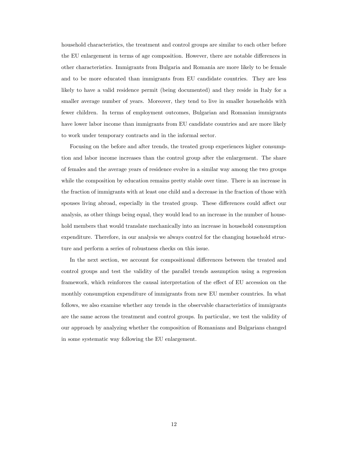household characteristics, the treatment and control groups are similar to each other before the EU enlargement in terms of age composition. However, there are notable differences in other characteristics. Immigrants from Bulgaria and Romania are more likely to be female and to be more educated than immigrants from EU candidate countries. They are less likely to have a valid residence permit (being documented) and they reside in Italy for a smaller average number of years. Moreover, they tend to live in smaller households with fewer children. In terms of employment outcomes, Bulgarian and Romanian immigrants have lower labor income than immigrants from EU candidate countries and are more likely to work under temporary contracts and in the informal sector.

Focusing on the before and after trends, the treated group experiences higher consumption and labor income increases than the control group after the enlargement. The share of females and the average years of residence evolve in a similar way among the two groups while the composition by education remains pretty stable over time. There is an increase in the fraction of immigrants with at least one child and a decrease in the fraction of those with spouses living abroad, especially in the treated group. These differences could affect our analysis, as other things being equal, they would lead to an increase in the number of household members that would translate mechanically into an increase in household consumption expenditure. Therefore, in our analysis we always control for the changing household structure and perform a series of robustness checks on this issue.

In the next section, we account for compositional differences between the treated and control groups and test the validity of the parallel trends assumption using a regression framework, which reinforces the causal interpretation of the effect of EU accession on the monthly consumption expenditure of immigrants from new EU member countries. In what follows, we also examine whether any trends in the observable characteristics of immigrants are the same across the treatment and control groups. In particular, we test the validity of our approach by analyzing whether the composition of Romanians and Bulgarians changed in some systematic way following the EU enlargement.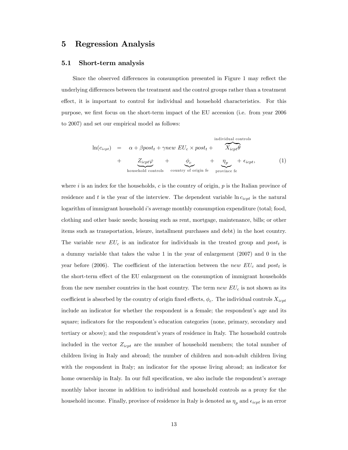## 5 Regression Analysis

#### 5.1 Short-term analysis

Since the observed differences in consumption presented in Figure 1 may reflect the underlying differences between the treatment and the control groups rather than a treatment effect, it is important to control for individual and household characteristics. For this purpose, we first focus on the short-term impact of the EU accession (i.e. from year 2006 to 2007) and set our empirical model as follows:

$$
\ln(c_{icpt}) = \alpha + \beta post_t + \gamma new EU_c \times post_t + \overbrace{X_{icpt}\theta}^{\text{individual controls}} + \underline{Z_{icpt}\varphi}_{\text{household controls}} + \underbrace{\phi_c}_{\text{coursehold controls}} + \underbrace{\eta_p}_{\text{conving of origin fe}} + \epsilon_{icpt},
$$
\n(1)

where i is an index for the households, c is the country of origin,  $p$  is the Italian province of residence and t is the year of the interview. The dependent variable  $\ln c_{icpt}$  is the natural logarithm of immigrant household i's average monthly consumption expenditure (total; food, clothing and other basic needs; housing such as rent, mortgage, maintenance, bills; or other items such as transportation, leisure, installment purchases and debt) in the host country. The variable new  $EU_c$  is an indicator for individuals in the treated group and  $post_t$  is a dummy variable that takes the value 1 in the year of enlargement (2007) and 0 in the year before (2006). The coefficient of the interaction between the new  $EU_c$  and post<sub>t</sub> is the short-term effect of the EU enlargement on the consumption of immigrant households from the new member countries in the host country. The term  $new EU<sub>c</sub>$  is not shown as its coefficient is absorbed by the country of origin fixed effects,  $\phi_c$ . The individual controls  $X_{icpt}$ include an indicator for whether the respondent is a female; the respondent's age and its square; indicators for the respondent's education categories (none, primary, secondary and tertiary or above); and the respondent's years of residence in Italy. The household controls included in the vector  $Z_{icpt}$  are the number of household members; the total number of children living in Italy and abroad; the number of children and non-adult children living with the respondent in Italy; an indicator for the spouse living abroad; an indicator for home ownership in Italy. In our full specification, we also include the respondent's average monthly labor income in addition to individual and household controls as a proxy for the household income. Finally, province of residence in Italy is denoted as  $\eta_p$  and  $\epsilon_{icpt}$  is an error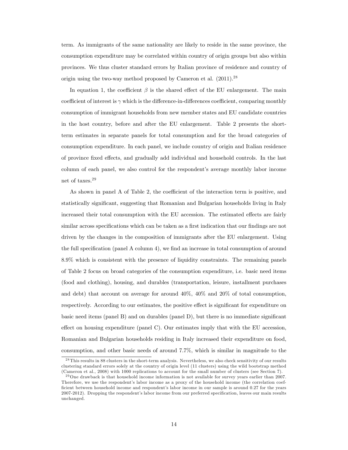term. As immigrants of the same nationality are likely to reside in the same province, the consumption expenditure may be correlated within country of origin groups but also within provinces. We thus cluster standard errors by Italian province of residence and country of origin using the two-way method proposed by Cameron et al.  $(2011)^{28}$ 

In equation 1, the coefficient  $\beta$  is the shared effect of the EU enlargement. The main coefficient of interest is  $\gamma$  which is the difference-in-differences coefficient, comparing monthly consumption of immigrant households from new member states and EU candidate countries in the host country, before and after the EU enlargement. Table 2 presents the shortterm estimates in separate panels for total consumption and for the broad categories of consumption expenditure. In each panel, we include country of origin and Italian residence of province fixed effects, and gradually add individual and household controls. In the last column of each panel, we also control for the respondent's average monthly labor income net of taxes.<sup>29</sup>

As shown in panel A of Table 2, the coefficient of the interaction term is positive, and statistically significant, suggesting that Romanian and Bulgarian households living in Italy increased their total consumption with the EU accession. The estimated effects are fairly similar across specifications which can be taken as a first indication that our findings are not driven by the changes in the composition of immigrants after the EU enlargement. Using the full specification (panel A column 4), we find an increase in total consumption of around 8.9% which is consistent with the presence of liquidity constraints. The remaining panels of Table 2 focus on broad categories of the consumption expenditure, i.e. basic need items (food and clothing), housing, and durables (transportation, leisure, installment purchases and debt) that account on average for around 40%, 40% and 20% of total consumption, respectively. According to our estimates, the positive effect is significant for expenditure on basic need items (panel B) and on durables (panel  $D$ ), but there is no immediate significant effect on housing expenditure (panel C). Our estimates imply that with the EU accession, Romanian and Bulgarian households residing in Italy increased their expenditure on food, consumption, and other basic needs of around 7.7%, which is similar in magnitude to the

<sup>&</sup>lt;sup>28</sup> This results in 88 clusters in the short-term analysis. Nevertheless, we also check sensitivity of our results clustering standard errors solely at the country of origin level (11 clusters) using the wild bootstrap method (Cameron et al., 2008) with 1000 replications to account for the small number of clusters (see Section 7).

<sup>&</sup>lt;sup>29</sup> One drawback is that household income information is not available for survey years earlier than 2007. Therefore, we use the respondent's labor income as a proxy of the household income (the correlation coefficient between household income and respondent's labor income in our sample is around 0.27 for the years 2007-2012). Dropping the respondent's labor income from our preferred specification, leaves our main results unchanged.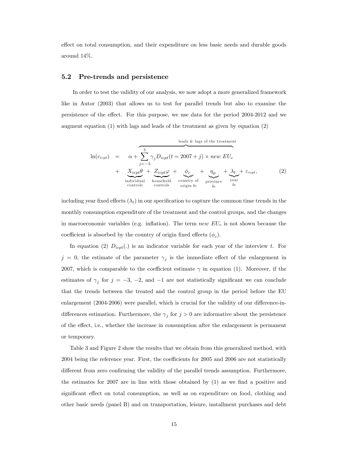effect on total consumption, and their expenditure on less basic needs and durable goods around 14%.

### 5.2 Pre-trends and persistence

In order to test the validity of our analysis, we now adopt a more generalized framework like in Autor (2003) that allows us to test for parallel trends but also to examine the persistence of the effect. For this purpose, we use data for the period 2004-2012 and we augment equation (1) with lags and leads of the treatment as given by equation (2)

ln(cicpt) = leads & lags of the treatment + z }| { X 5 j=3 <sup>j</sup>Dicpt(t = 2007 + j) new EU<sup>c</sup> + Xicpt | {z } individual controls + Zicpt' | {z } household controls + <sup>c</sup> |{z} country of origin fe + <sup>p</sup> |{z} province fe + <sup>t</sup> |{z} year fe + "icpt; (2)

including year fixed effects  $(\lambda_t)$  in our specification to capture the common time trends in the monthly consumption expenditure of the treatment and the control groups, and the changes in macroeconomic variables (e.g. inflation). The term new  $EU_c$  is not shown because the coefficient is absorbed by the country of origin fixed effects  $(\phi_c)$ .

In equation (2)  $D_{icpt}(.)$  is an indicator variable for each year of the interview t. For  $j = 0$ , the estimate of the parameter  $\gamma_j$  is the immediate effect of the enlargement in 2007, which is comparable to the coefficient estimate  $\gamma$  in equation (1). Moreover, if the estimates of  $\gamma_j$  for  $j = -3, -2,$  and  $-1$  are not statistically significant we can conclude that the trends between the treated and the control group in the period before the EU enlargement (2004-2006) were parallel, which is crucial for the validity of our difference-indifferences estimation. Furthermore, the  $\gamma_j$  for  $j > 0$  are informative about the persistence of the effect, i.e., whether the increase in consumption after the enlargement is permanent or temporary.

Table 3 and Figure 2 show the results that we obtain from this generalized method, with  $2004$  being the reference year. First, the coefficients for  $2005$  and  $2006$  are not statistically different from zero confirming the validity of the parallel trends assumption. Furthermore, the estimates for 2007 are in line with those obtained by  $(1)$  as we find a positive and significant effect on total consumption, as well as on expenditure on food, clothing and other basic needs (panel B) and on transportation, leisure, installment purchases and debt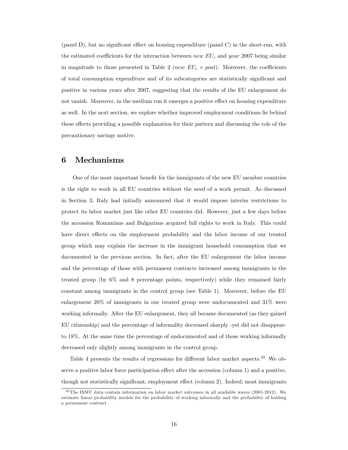(panel  $D$ ), but no significant effect on housing expenditure (panel  $C$ ) in the short-run, with the estimated coefficients for the interaction between new  $EU_c$  and year 2007 being similar in magnitude to those presented in Table 2 (*new*  $EU_c \times post$ *)*. Moreover, the coefficients of total consumption expenditure and of its subcategories are statistically significant and positive in various years after 2007, suggesting that the results of the EU enlargement do not vanish. Moreover, in the medium run it emerges a positive effect on housing expenditure as well. In the next section, we explore whether improved employment conditions lie behind these effects providing a possible explanation for their pattern and discussing the role of the precautionary savings motive.

## 6 Mechanisms

One of the most important benefit for the immigrants of the new EU member countries is the right to work in all EU countries without the need of a work permit. As discussed in Section 3, Italy had initially announced that it would impose interim restrictions to protect its labor market just like other EU countries did. However, just a few days before the accession Romanians and Bulgarians acquired full rights to work in Italy. This could have direct effects on the employment probability and the labor income of our treated group which may explain the increase in the immigrant household consumption that we documented in the previous section. In fact, after the EU enlargement the labor income and the percentage of those with permanent contracts increased among immigrants in the treated group (by 6% and 8 percentage points, respectively) while they remained fairly constant among immigrants in the control group (see Table 1). Moreover, before the EU enlargement 20% of immigrants in our treated group were undocumented and 31% were working informally. After the EU enlargement, they all became documented (as they gained EU citizenship) and the percentage of informality decreased sharply -yet did not disappearto 18%. At the same time the percentage of undocumented and of those working informally decreased only slightly among immigrants in the control group.

Table 4 presents the results of regressions for different labor market aspects.<sup>30</sup> We observe a positive labor force participation effect after the accession (column 1) and a positive, though not statistically significant, employment effect (column 2). Indeed, most immigrants

 $30$  The ISMU data contain information on labor market outcomes in all available waves (2001-2012). We estimate linear probability models for the probability of working informally and the probability of holding a permanent contract .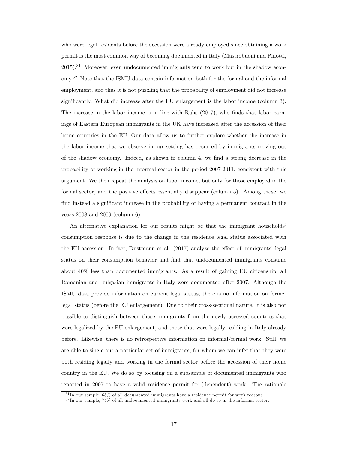who were legal residents before the accession were already employed since obtaining a work permit is the most common way of becoming documented in Italy (Mastrobuoni and Pinotti,  $2015$ ).<sup>31</sup> Moreover, even undocumented immigrants tend to work but in the shadow economy.<sup>32</sup> Note that the ISMU data contain information both for the formal and the informal employment, and thus it is not puzzling that the probability of employment did not increase significantly. What did increase after the EU enlargement is the labor income (column 3). The increase in the labor income is in line with Ruhs  $(2017)$ , who finds that labor earnings of Eastern European immigrants in the UK have increased after the accession of their home countries in the EU. Our data allow us to further explore whether the increase in the labor income that we observe in our setting has occurred by immigrants moving out of the shadow economy. Indeed, as shown in column 4, we Önd a strong decrease in the probability of working in the informal sector in the period 2007-2011, consistent with this argument. We then repeat the analysis on labor income, but only for those employed in the formal sector, and the positive effects essentially disappear (column 5). Among those, we find instead a significant increase in the probability of having a permanent contract in the years 2008 and 2009 (column 6).

An alternative explanation for our results might be that the immigrant households consumption response is due to the change in the residence legal status associated with the EU accession. In fact, Dustmann et al.  $(2017)$  analyze the effect of immigrants' legal status on their consumption behavior and find that undocumented immigrants consume about 40% less than documented immigrants. As a result of gaining EU citizenship, all Romanian and Bulgarian immigrants in Italy were documented after 2007. Although the ISMU data provide information on current legal status, there is no information on former legal status (before the EU enlargement). Due to their cross-sectional nature, it is also not possible to distinguish between those immigrants from the newly accessed countries that were legalized by the EU enlargement, and those that were legally residing in Italy already before. Likewise, there is no retrospective information on informal/formal work. Still, we are able to single out a particular set of immigrants, for whom we can infer that they were both residing legally and working in the formal sector before the accession of their home country in the EU. We do so by focusing on a subsample of documented immigrants who reported in 2007 to have a valid residence permit for (dependent) work. The rationale

 $31$  In our sample, 65% of all documented immigrants have a residence permit for work reasons.

<sup>3 2</sup> In our sample, 74% of all undocumented immigrants work and all do so in the informal sector.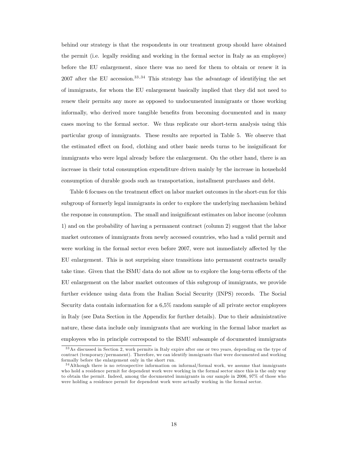behind our strategy is that the respondents in our treatment group should have obtained the permit (i.e. legally residing and working in the formal sector in Italy as an employee) before the EU enlargement, since there was no need for them to obtain or renew it in  $2007$  after the EU accession.<sup>33,34</sup> This strategy has the advantage of identifying the set of immigrants, for whom the EU enlargement basically implied that they did not need to renew their permits any more as opposed to undocumented immigrants or those working informally, who derived more tangible benefits from becoming documented and in many cases moving to the formal sector. We thus replicate our short-term analysis using this particular group of immigrants. These results are reported in Table 5. We observe that the estimated effect on food, clothing and other basic needs turns to be insignificant for immigrants who were legal already before the enlargement. On the other hand, there is an increase in their total consumption expenditure driven mainly by the increase in household consumption of durable goods such as transportation, installment purchases and debt.

Table 6 focuses on the treatment effect on labor market outcomes in the short-run for this subgroup of formerly legal immigrants in order to explore the underlying mechanism behind the response in consumption. The small and insignificant estimates on labor income (column 1) and on the probability of having a permanent contract (column 2) suggest that the labor market outcomes of immigrants from newly accessed countries, who had a valid permit and were working in the formal sector even before 2007, were not immediately affected by the EU enlargement. This is not surprising since transitions into permanent contracts usually take time. Given that the ISMU data do not allow us to explore the long-term effects of the EU enlargement on the labor market outcomes of this subgroup of immigrants, we provide further evidence using data from the Italian Social Security (INPS) records. The Social Security data contain information for a 6,5% random sample of all private sector employees in Italy (see Data Section in the Appendix for further details). Due to their administrative nature, these data include only immigrants that are working in the formal labor market as employees who in principle correspond to the ISMU subsample of documented immigrants

<sup>3 3</sup>As discussed in Section 2, work permits in Italy expire after one or two years, depending on the type of contract (temporary/permanent). Therefore, we can identify immigrants that were documented and working formally before the enlargement only in the short run.

<sup>3 4</sup>Although there is no retrospective information on informal/formal work, we assume that immigrants who hold a residence permit for dependent work were working in the formal sector since this is the only way to obtain the permit. Indeed, among the documented immigrants in our sample in 2006, 97% of those who were holding a residence permit for dependent work were actually working in the formal sector.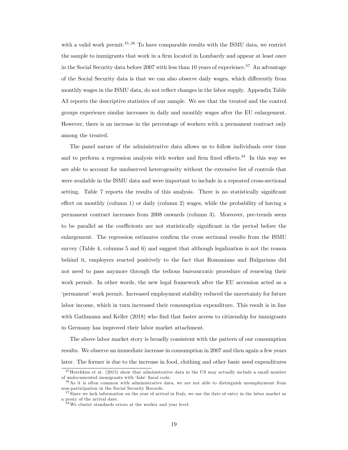with a valid work permit.<sup>35,36</sup> To have comparable results with the ISMU data, we restrict the sample to immigrants that work in a firm located in Lombardy and appear at least once in the Social Security data before 2007 with less than 10 years of experience.<sup>37</sup> An advantage of the Social Security data is that we can also observe daily wages, which differently from monthly wages in the ISMU data, do not reflect changes in the labor supply. Appendix Table A3 reports the descriptive statistics of our sample. We see that the treated and the control groups experience similar increases in daily and monthly wages after the EU enlargement. However, there is an increase in the percentage of workers with a permanent contract only among the treated.

The panel nature of the administrative data allows us to follow individuals over time and to perform a regression analysis with worker and firm fixed effects.<sup>38</sup> In this way we are able to account for unobserved heterogeneity without the extensive list of controls that were available in the ISMU data and were important to include in a repeated cross-sectional setting. Table 7 reports the results of this analysis. There is no statistically significant effect on monthly (column 1) or daily (column 2) wages, while the probability of having a permanent contract increases from 2008 onwards (column 3). Moreover, pre-trends seem to be parallel as the coefficients are not statistically significant in the period before the enlargement. The regression estimates confirm the cross sectional results from the ISMU survey (Table 4, columns 5 and 6) and suggest that although legalization is not the reason behind it, employers reacted positively to the fact that Romanians and Bulgarians did not need to pass anymore through the tedious bureaucratic procedure of renewing their work permit. In other words, the new legal framework after the EU accession acted as a ëpermanentíwork permit. Increased employment stability reduced the uncertainty for future labor income, which in turn increased their consumption expenditure. This result is in line with Gathmann and Keller (2018) who find that faster access to citizenship for immigrants in Germany has improved their labor market attachment.

The above labor market story is broadly consistent with the pattern of our consumption results. We observe an immediate increase in consumption in 2007 and then again a few years later. The former is due to the increase in food, clothing and other basic need expenditures

<sup>3 5</sup>Hotchkiss et al. (2015) show that administrative data in the US may actually include a small number of undocumented immigrants with 'fake' fiscal code.

 $36\text{ As }$  it is often common with administrative data, we are not able to distinguish unemployment from non-participation in the Social Security Records.

 $37\,$ Since we lack information on the year of arrival in Italy, we use the date of entry in the labor market as a proxy of the arrival date.

 $38\,\text{We cluster standards errors at the worker and year level.}$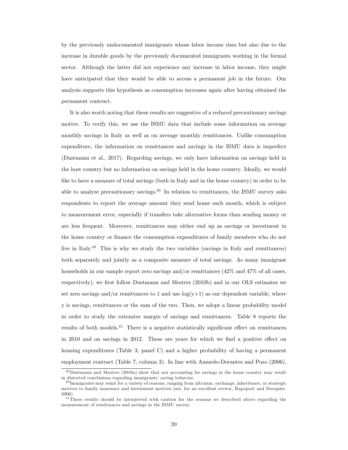by the previously undocumented immigrants whose labor income rises but also due to the increase in durable goods by the previously documented immigrants working in the formal sector. Although the latter did not experience any increase in labor income, they might have anticipated that they would be able to access a permanent job in the future. Our analysis supports this hypothesis as consumption increases again after having obtained the permanent contract.

It is also worth noting that these results are suggestive of a reduced precautionary savings motive. To verify this, we use the ISMU data that include some information on average monthly savings in Italy as well as on average monthly remittances. Unlike consumption expenditure, the information on remittances and savings in the ISMU data is imperfect (Dustmann et al., 2017). Regarding savings, we only have information on savings held in the host country but no information on savings held in the home country. Ideally, we would like to have a measure of total savings (both in Italy and in the home country) in order to be able to analyze precautionary savings.<sup>39</sup> In relation to remittances, the ISMU survey asks respondents to report the average amount they send home each month, which is subject to measurement error, especially if transfers take alternative forms than sending money or are less frequent. Moreover, remittances may either end up as savings or investment in the home country or finance the consumption expenditures of family members who do not live in Italy.<sup>40</sup> This is why we study the two variables (savings in Italy and remittances) both separately and jointly as a composite measure of total savings. As many immigrant households in our sample report zero savings and/or remittances (42\%) and 47\% of all cases, respectively), we first follow Dustmann and Mestres (2010b) and in our OLS estimates we set zero savings and/or remittances to 1 and use  $log(y+1)$  as our dependent variable, where y is savings, remittances or the sum of the two. Then, we adopt a linear probability model in order to study the extensive margin of savings and remittances. Table 8 reports the results of both models. $^{41}$  There is a negative statistically significant effect on remittances in 2010 and on savings in 2012. These are years for which we find a positive effect on housing expenditures (Table 3, panel C) and a higher probability of having a permanent employment contract (Table 7, column 3). In line with Amuedo-Dorantes and Pozo (2006),

<sup>&</sup>lt;sup>39</sup>Dustmann and Mestres (2010a) show that not accounting for savings in the home country may result in distorted conclusions regarding immigrants' saving behavior.

<sup>4 0</sup> Immigrants may remit for a variety of reasons, ranging from altruism, exchange, inheritance, or strategic motives to family insurance and investment motives (see, for an excellent review, Rapoport and Docquier, 2006).

<sup>&</sup>lt;sup>41</sup> These results should be interpreted with caution for the reasons we described above regarding the measurement of remittances and savings in the ISMU survey.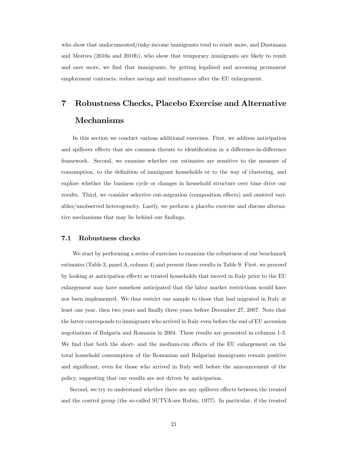who show that undocumented/risky-income immigrants tend to remit more, and Dustmann and Mestres (2010a and 2010b), who show that temporary immigrants are likely to remit and save more, we find that immigrants, by getting legalized and accessing permanent employment contracts, reduce savings and remittances after the EU enlargement.

# 7 Robustness Checks, Placebo Exercise and Alternative Mechanisms

In this section we conduct various additional exercises. First, we address anticipation and spillover effects that are common threats to identification in a difference-in-difference framework. Second, we examine whether our estimates are sensitive to the measure of consumption, to the definition of immigrant households or to the way of clustering, and explore whether the business cycle or changes in household structure over time drive our results. Third, we consider selective out-migration (composition effects) and omitted variables/unobserved heterogeneity. Lastly, we perform a placebo exercise and discuss alternative mechanisms that may lie behind our findings.

#### 7.1 Robustness checks

We start by performing a series of exercises to examine the robustness of our benchmark estimates (Table 3, panel A, column 4) and present these results in Table 9. First, we proceed by looking at anticipation effects as treated households that moved in Italy prior to the EU enlargement may have somehow anticipated that the labor market restrictions would have not been implemented. We thus restrict our sample to those that had migrated in Italy at least one year, then two years and finally three years before December 27, 2007. Note that the latter corresponds to immigrants who arrived in Italy even before the end of EU accession negotiations of Bulgaria and Romania in 2004. These results are presented in columns 1-3. We find that both the short- and the medium-run effects of the EU enlargement on the total household consumption of the Romanian and Bulgarian immigrants remain positive and significant, even for those who arrived in Italy well before the announcement of the policy, suggesting that our results are not driven by anticipation.

Second, we try to understand whether there are any spillover effects between the treated and the control group (the so-called SUTVA-see Rubin, 1977). In particular, if the treated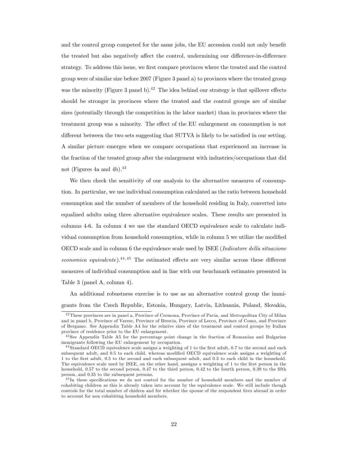and the control group competed for the same jobs, the EU accession could not only benefit the treated but also negatively affect the control, undermining our difference-in-difference strategy. To address this issue, we first compare provinces where the treated and the control group were of similar size before 2007 (Figure 3 panel a) to provinces where the treated group was the minority (Figure 3 panel b).<sup>42</sup> The idea behind our strategy is that spillover effects should be stronger in provinces where the treated and the control groups are of similar sizes (potentially through the competition in the labor market) than in provinces where the treatment group was a minority. The effect of the EU enlargement on consumption is not different between the two sets suggesting that SUTVA is likely to be satisfied in our setting. A similar picture emerges when we compare occupations that experienced an increase in the fraction of the treated group after the enlargement with industries/occupations that did not (Figures 4a and 4b).<sup>43</sup>

We then check the sensitivity of our analysis to the alternative measures of consumption. In particular, we use individual consumption calculated as the ratio between household consumption and the number of members of the household residing in Italy, converted into equalized adults using three alternative equivalence scales. These results are presented in columns 4-6. In column 4 we use the standard OECD equivalence scale to calculate individual consumption from household consumption, while in column 5 we utilize the modified OECD scale and in column 6 the equivalence scale used by ISEE (Indicatore della situazione economica equivalente).<sup>44,45</sup> The estimated effects are very similar across these different measures of individual consumption and in line with our benchmark estimates presented in Table 3 (panel A, column 4).

An additional robustness exercise is to use as an alternative control group the immigrants from the Czech Republic, Estonia, Hungary, Latvia, Lithuania, Poland, Slovakia,

 $^{42}$ These provinces are in panel a, Province of Cremona, Province of Pavia, and Metropolitan City of Milan and in panel b, Province of Varese, Province of Brescia, Province of Lecco, Province of Como, and Province of Bergamo. See Appendix Table A4 for the relative sizes of the treatment and control groups by Italian province of residence prior to the EU enlargement.

<sup>&</sup>lt;sup>43</sup> See Appendix Table A5 for the percentage point change in the fraction of Romanian and Bulgarian immigrants following the EU enlargement by occupation.

 $44$  Standard OECD equivalence scale assigns a weighting of 1 to the first adult, 0.7 to the second and each subsequent adult, and 0.5 to each child, whereas modified OECD equivalence scale assigns a weighting of 1 to the Örst adult, 0.5 to the second and each subsequent adult, and 0.3 to each child in the household. The equivalence scale used by ISEE, on the other hand, asssigns a weighting of 1 to the first person in the household, 0.57 to the second person, 0.47 to the third person, 0.42 to the fourth person, 0.39 to the fifth person, and 0.35 to the subsequent persons.

<sup>&</sup>lt;sup>45</sup>In these specifications we do not control for the number of household members and the number of cohabiting children as this is already taken into account by the equivalence scale. We still include though controls for the total number of chidren and for whether the spouse of the respondent lives abroad in order to account for non cohabiting household members.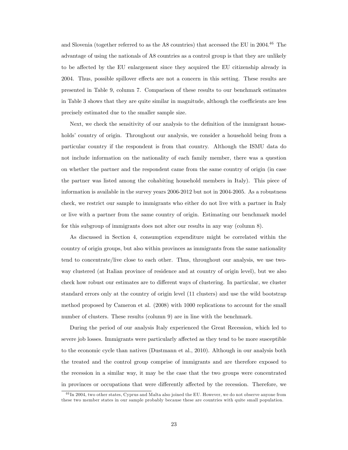and Slovenia (together referred to as the A8 countries) that accessed the EU in 2004.<sup>46</sup> The advantage of using the nationals of A8 countries as a control group is that they are unlikely to be affected by the EU enlargement since they acquired the EU citizenship already in 2004. Thus, possible spillover effects are not a concern in this setting. These results are presented in Table 9, column 7. Comparison of these results to our benchmark estimates in Table 3 shows that they are quite similar in magnitude, although the coefficients are less precisely estimated due to the smaller sample size.

Next, we check the sensitivity of our analysis to the definition of the immigrant households' country of origin. Throughout our analysis, we consider a household being from a particular country if the respondent is from that country. Although the ISMU data do not include information on the nationality of each family member, there was a question on whether the partner and the respondent came from the same country of origin (in case the partner was listed among the cohabiting household members in Italy). This piece of information is available in the survey years 2006-2012 but not in 2004-2005. As a robustness check, we restrict our sample to immigrants who either do not live with a partner in Italy or live with a partner from the same country of origin. Estimating our benchmark model for this subgroup of immigrants does not alter our results in any way (column 8).

As discussed in Section 4, consumption expenditure might be correlated within the country of origin groups, but also within provinces as immigrants from the same nationality tend to concentrate/live close to each other. Thus, throughout our analysis, we use twoway clustered (at Italian province of residence and at country of origin level), but we also check how robust our estimates are to different ways of clustering. In particular, we cluster standard errors only at the country of origin level (11 clusters) and use the wild bootstrap method proposed by Cameron et al. (2008) with 1000 replications to account for the small number of clusters. These results (column 9) are in line with the benchmark.

During the period of our analysis Italy experienced the Great Recession, which led to severe job losses. Immigrants were particularly affected as they tend to be more susceptible to the economic cycle than natives (Dustmann et al., 2010). Although in our analysis both the treated and the control group comprise of immigrants and are therefore exposed to the recession in a similar way, it may be the case that the two groups were concentrated in provinces or occupations that were differently affected by the recession. Therefore, we

<sup>&</sup>lt;sup>46</sup>In 2004, two other states, Cyprus and Malta also joined the EU. However, we do not observe anyone from these two member states in our sample probably because these are countries with quite small population.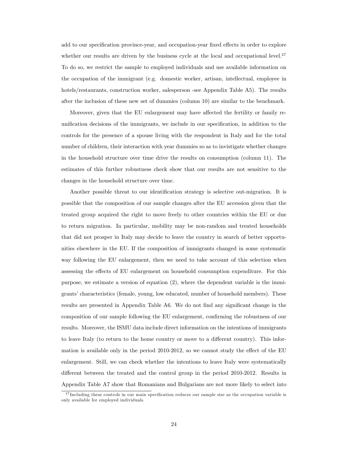add to our specification province-year, and occupation-year fixed effects in order to explore whether our results are driven by the business cycle at the local and occupational level. $47$ To do so, we restrict the sample to employed individuals and use available information on the occupation of the immigrant (e.g. domestic worker, artisan, intellectual, employee in hotels/restaurants, construction worker, salesperson -see Appendix Table A5). The results after the inclusion of these new set of dummies (column 10) are similar to the benchmark.

Moreover, given that the EU enlargement may have affected the fertility or family reunification decisions of the immigrants, we include in our specification, in addition to the controls for the presence of a spouse living with the respondent in Italy and for the total number of children, their interaction with year dummies so as to invistigate whether changes in the household structure over time drive the results on consumption (column 11). The estimates of this further robustness check show that our results are not sensitive to the changes in the household structure over time.

Another possible threat to our identification strategy is selective out-migration. It is possible that the composition of our sample changes after the EU accession given that the treated group acquired the right to move freely to other countries within the EU or due to return migration. In particular, mobility may be non-random and treated households that did not prosper in Italy may decide to leave the country in search of better opportunities elsewhere in the EU. If the composition of immigrants changed in some systematic way following the EU enlargement, then we need to take account of this selection when assessing the effects of EU enlargement on household consumption expenditure. For this purpose, we estimate a version of equation (2), where the dependent variable is the immigrants' characteristics (female, young, low educated, number of household members). These results are presented in Appendix Table A6. We do not find any significant change in the composition of our sample following the EU enlargement, confirming the robustness of our results. Moreover, the ISMU data include direct information on the intentions of immigrants to leave Italy (to return to the home country or move to a different country). This information is available only in the period  $2010-2012$ , so we cannot study the effect of the EU enlargement. Still, we can check whether the intentions to leave Italy were systematically different between the treated and the control group in the period 2010-2012. Results in Appendix Table A7 show that Romanians and Bulgarians are not more likely to select into

<sup>&</sup>lt;sup>47</sup>Including these controls in our main specification reduces our sample size as the occupation variable is only available for employed individuals.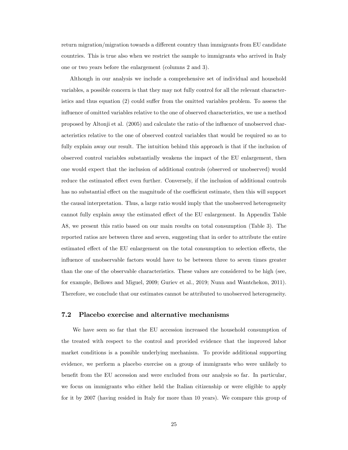return migration/migration towards a different country than immigrants from EU candidate countries. This is true also when we restrict the sample to immigrants who arrived in Italy one or two years before the enlargement (columns 2 and 3).

Although in our analysis we include a comprehensive set of individual and household variables, a possible concern is that they may not fully control for all the relevant characteristics and thus equation  $(2)$  could suffer from the omitted variables problem. To assess the influence of omitted variables relative to the one of observed characteristics, we use a method proposed by Altonji et al. (2005) and calculate the ratio of the ináuence of unobserved characteristics relative to the one of observed control variables that would be required so as to fully explain away our result. The intuition behind this approach is that if the inclusion of observed control variables substantially weakens the impact of the EU enlargement, then one would expect that the inclusion of additional controls (observed or unobserved) would reduce the estimated effect even further. Conversely, if the inclusion of additional controls has no substantial effect on the magnitude of the coefficient estimate, then this will support the causal interpretation. Thus, a large ratio would imply that the unobserved heterogeneity cannot fully explain away the estimated effect of the EU enlargement. In Appendix Table A8, we present this ratio based on our main results on total consumption (Table 3). The reported ratios are between three and seven, suggesting that in order to attribute the entire estimated effect of the EU enlargement on the total consumption to selection effects, the influence of unobservable factors would have to be between three to seven times greater than the one of the observable characteristics. These values are considered to be high (see, for example, Bellows and Miguel, 2009; Guriev et al., 2019; Nunn and Wantchekon, 2011). Therefore, we conclude that our estimates cannot be attributed to unobserved heterogeneity.

#### 7.2 Placebo exercise and alternative mechanisms

We have seen so far that the EU accession increased the household consumption of the treated with respect to the control and provided evidence that the improved labor market conditions is a possible underlying mechanism. To provide additional supporting evidence, we perform a placebo exercise on a group of immigrants who were unlikely to benefit from the EU accession and were excluded from our analysis so far. In particular, we focus on immigrants who either held the Italian citizenship or were eligible to apply for it by 2007 (having resided in Italy for more than 10 years). We compare this group of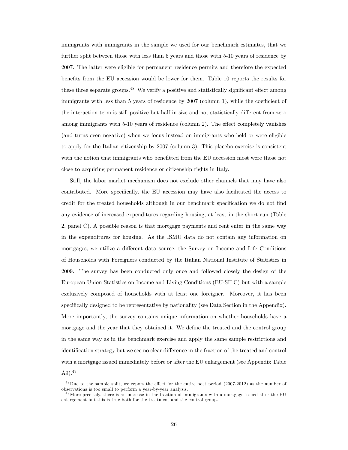immigrants with immigrants in the sample we used for our benchmark estimates, that we further split between those with less than 5 years and those with 5-10 years of residence by 2007. The latter were eligible for permanent residence permits and therefore the expected benefits from the EU accession would be lower for them. Table 10 reports the results for these three separate groups. $48$  We verify a positive and statistically significant effect among immigrants with less than 5 years of residence by  $2007$  (column 1), while the coefficient of the interaction term is still positive but half in size and not statistically different from zero among immigrants with  $5-10$  years of residence (column 2). The effect completely vanishes (and turns even negative) when we focus instead on immigrants who held or were eligible to apply for the Italian citizenship by 2007 (column 3). This placebo exercise is consistent with the notion that immigrants who benefitted from the EU accession most were those not close to acquiring permanent residence or citizenship rights in Italy.

Still, the labor market mechanism does not exclude other channels that may have also contributed. More specifically, the EU accession may have also facilitated the access to credit for the treated households although in our benchmark specification we do not find any evidence of increased expenditures regarding housing, at least in the short run (Table 2, panel C). A possible reason is that mortgage payments and rent enter in the same way in the expenditures for housing. As the ISMU data do not contain any information on mortgages, we utilize a different data source, the Survey on Income and Life Conditions of Households with Foreigners conducted by the Italian National Institute of Statistics in 2009. The survey has been conducted only once and followed closely the design of the European Union Statistics on Income and Living Conditions (EU-SILC) but with a sample exclusively composed of households with at least one foreigner. Moreover, it has been specifically designed to be representative by nationality (see Data Section in the Appendix). More importantly, the survey contains unique information on whether households have a mortgage and the year that they obtained it. We define the treated and the control group in the same way as in the benchmark exercise and apply the same sample restrictions and identification strategy but we see no clear difference in the fraction of the treated and control with a mortgage issued immediately before or after the EU enlargement (see Appendix Table  $(A9)$ <sup>49</sup>

 $48$ Due to the sample split, we report the effect for the entire post period (2007-2012) as the number of observations is too small to perform a year-by-year analysis.

 $^{49}$ More precisely, there is an increase in the fraction of immigrants with a mortgage issued after the EU enlargement but this is true both for the treatment and the control group.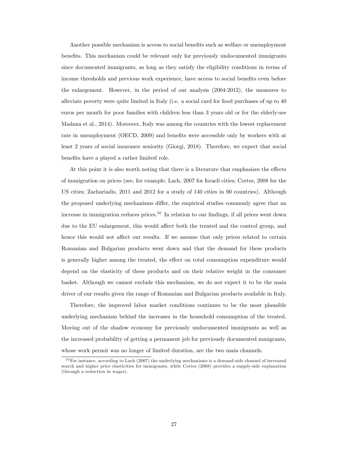Another possible mechanism is access to social benefits such as welfare or unemployment benefits. This mechanism could be relevant only for previously undocumented immigrants since documented immigrants, as long as they satisfy the eligibility conditions in terms of income thresholds and previous work experience, have access to social benefits even before the enlargement. However, in the period of our analysis (2004-2012), the measures to alleviate poverty were quite limited in Italy (i.e. a social card for food purchases of up to 40 euros per month for poor families with children less than 3 years old or for the elderly-see Madana et al., 2014). Moreover, Italy was among the countries with the lowest replacement rate in unemployment (OECD, 2009) and benefits were accessible only by workers with at least 2 years of social insurance seniority (Giorgi, 2018). Therefore, we expect that social benefits have a played a rather limited role.

At this point it is also worth noting that there is a literature that emphasizes the effects of immigration on prices (see, for example, Lach, 2007 for Israeli cities; Cortes, 2008 for the US cities; Zachariadis, 2011 and 2012 for a study of 140 cities in 90 countries). Although the proposed underlying mechanisms differ, the empirical studies commonly agree that an increase in immigration reduces prices.<sup>50</sup> In relation to our findings, if all prices went down due to the EU enlargement, this would affect both the treated and the control group, and hence this would not affect our results. If we assume that only prices related to certain Romanian and Bulgarian products went down and that the demand for these products is generally higher among the treated, the effect on total consumption expenditure would depend on the elasticity of these products and on their relative weight in the consumer basket. Although we cannot exclude this mechanism, we do not expect it to be the main driver of our results given the range of Romanian and Bulgarian products available in Italy.

Therefore, the improved labor market conditions continues to be the most plausible underlying mechanism behind the increases in the household consumption of the treated. Moving out of the shadow economy for previously undocumented immigrants as well as the increased probability of getting a permanent job for previously documented mmigrants, whose work permit was no longer of limited duration, are the two main channels.

<sup>&</sup>lt;sup>50</sup>For instance, according to Lach (2007) the underlying mechanisms is a demand-side channel of increased search and higher price elasticities for immigrants, while Cortes (2008) provides a supply-side explanation (through a reduction in wages).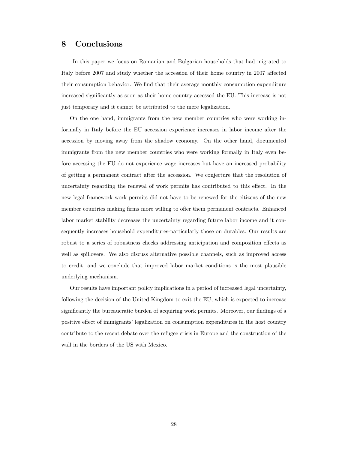## 8 Conclusions

In this paper we focus on Romanian and Bulgarian households that had migrated to Italy before 2007 and study whether the accession of their home country in 2007 affected their consumption behavior. We find that their average monthly consumption expenditure increased significantly as soon as their home country accessed the EU. This increase is not just temporary and it cannot be attributed to the mere legalization.

On the one hand, immigrants from the new member countries who were working informally in Italy before the EU accession experience increases in labor income after the accession by moving away from the shadow economy. On the other hand, documented immigrants from the new member countries who were working formally in Italy even before accessing the EU do not experience wage increases but have an increased probability of getting a permanent contract after the accession. We conjecture that the resolution of uncertainty regarding the renewal of work permits has contributed to this effect. In the new legal framework work permits did not have to be renewed for the citizens of the new member countries making firms more willing to offer them permanent contracts. Enhanced labor market stability decreases the uncertainty regarding future labor income and it consequently increases household expenditures-particularly those on durables. Our results are robust to a series of robustness checks addressing anticipation and composition effects as well as spillovers. We also discuss alternative possible channels, such as improved access to credit, and we conclude that improved labor market conditions is the most plausible underlying mechanism.

Our results have important policy implications in a period of increased legal uncertainty, following the decision of the United Kingdom to exit the EU, which is expected to increase significantly the bureaucratic burden of acquiring work permits. Moreover, our findings of a positive effect of immigrants' legalization on consumption expenditures in the host country contribute to the recent debate over the refugee crisis in Europe and the construction of the wall in the borders of the US with Mexico.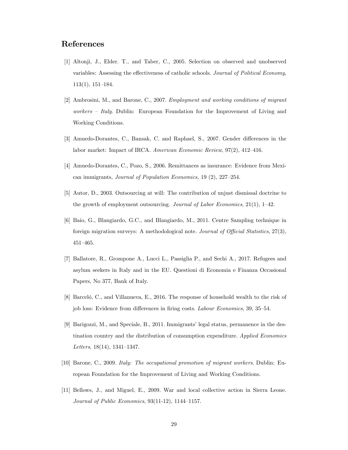## References

- [1] Altonji, J., Elder. T., and Taber, C., 2005. Selection on observed and unobserved variables: Assessing the effectiveness of catholic schools. Journal of Political Economy,  $113(1), 151-184.$
- [2] Ambrosini, M., and Barone, C., 2007. Employment and working conditions of migrant *workers – Italy.* Dublin: European Foundation for the Improvement of Living and Working Conditions.
- [3] Amuedo-Dorantes, C., Bansak, C. and Raphael, S., 2007. Gender differences in the labor market: Impact of IRCA. American Economic Review,  $97(2)$ ,  $412-416$ .
- [4] Amuedo-Dorantes, C., Pozo, S., 2006. Remittances as insurance: Evidence from Mexican immigrants, *Journal of Population Economics*,  $19(2)$ ,  $227-254$ .
- [5] Autor, D., 2003. Outsourcing at will: The contribution of unjust dismissal doctrine to the growth of employment outsourcing. Journal of Labor Economics,  $21(1)$ ,  $1-42$ .
- [6] Baio, G., Blangiardo, G.C., and Blangiardo, M., 2011. Centre Sampling technique in foreign migration surveys: A methodological note. Journal of Official Statistics,  $27(3)$ ,  $451 - 465.$
- [7] Ballatore, R., Grompone A., Lucci L., Passiglia P., and Sechi A., 2017. Refugees and asylum seekers in Italy and in the EU. Questioni di Economia e Finanza Occasional Papers, No 377, Bank of Italy.
- [8] Barceló, C., and Villanueva, E., 2016. The response of household wealth to the risk of job loss: Evidence from differences in firing costs. Labour Economics, 39, 35–54.
- [9] Barigozzi, M., and Speciale, B., 2011. Immigrants' legal status, permanence in the destination country and the distribution of consumption expenditure. Applied Economics Letters,  $18(14)$ ,  $1341-1347$ .
- [10] Barone, C., 2009. Italy: The occupational promotion of migrant workers. Dublin: European Foundation for the Improvement of Living and Working Conditions.
- [11] Bellows, J., and Miguel, E., 2009. War and local collective action in Sierra Leone. Journal of Public Economics,  $93(11-12)$ ,  $1144-1157$ .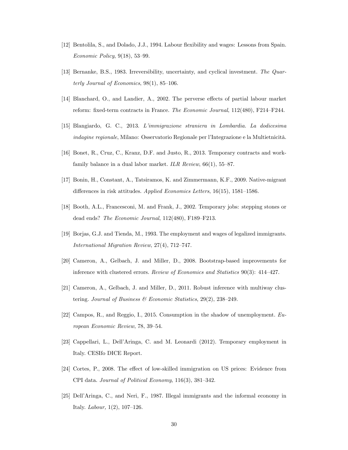- [12] Bentolila, S., and Dolado, J.J., 1994. Labour flexibility and wages: Lessons from Spain. Economic Policy,  $9(18)$ ,  $53-99$ .
- [13] Bernanke, B.S., 1983. Irreversibility, uncertainty, and cyclical investment. The Quarterly Journal of Economics,  $98(1)$ ,  $85-106$ .
- [14] Blanchard, O., and Landier, A., 2002. The perverse effects of partial labour market reform: fixed-term contracts in France. The Economic Journal,  $112(480)$ , F214–F244.
- [15] Blangiardo, G. C., 2013. Líimmigrazione straniera in Lombardia. La dodicesima indagine regionale, Milano: Osservatorio Regionale per l'Integrazione e la Multietnicità.
- [16] Bonet, R., Cruz, C., Kranz, D.F. and Justo, R., 2013. Temporary contracts and workfamily balance in a dual labor market. ILR Review,  $66(1)$ ,  $55-87$ .
- [17] Bonin, H., Constant, A., Tatsiramos, K. and Zimmermann, K.F., 2009. Native-migrant differences in risk attitudes. Applied Economics Letters,  $16(15)$ , 1581–1586.
- [18] Booth, A.L., Francesconi, M. and Frank, J., 2002. Temporary jobs: stepping stones or dead ends? The Economic Journal,  $112(480)$ , F189-F213.
- [19] Borjas, G.J. and Tienda, M., 1993. The employment and wages of legalized immigrants. International Migration Review,  $27(4)$ ,  $712-747$ .
- [20] Cameron, A., Gelbach, J. and Miller, D., 2008. Bootstrap-based improvements for inference with clustered errors. Review of Economics and Statistics  $90(3)$ : 414-427.
- [21] Cameron, A., Gelbach, J. and Miller, D., 2011. Robust inference with multiway clustering. Journal of Business  $\mathcal B$  Economic Statistics, 29(2), 238–249.
- [22] Campos, R., and Reggio, I., 2015. Consumption in the shadow of unemployment. European Economic Review, 78, 39–54.
- [23] Cappellari, L., Dell'Aringa, C. and M. Leonardi (2012). Temporary employment in Italy. CESIfo DICE Report.
- [24] Cortes, P., 2008. The effect of low-skilled immigration on US prices: Evidence from CPI data. Journal of Political Economy,  $116(3)$ ,  $381-342$ .
- [25] DellíAringa, C., and Neri, F., 1987. Illegal immigrants and the informal economy in Italy. *Labour*,  $1(2)$ ,  $107-126$ .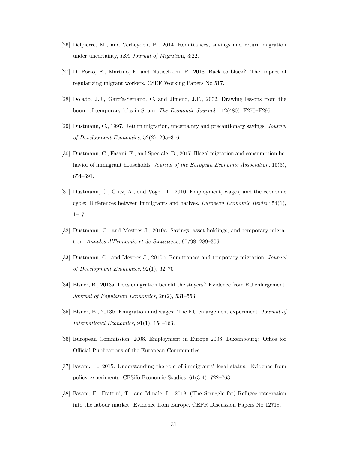- [26] Delpierre, M., and Verheyden, B., 2014. Remittances, savings and return migration under uncertainty, IZA Journal of Migration, 3:22.
- [27] Di Porto, E., Martino, E. and Naticchioni, P., 2018. Back to black? The impact of regularizing migrant workers. CSEF Working Papers No 517.
- [28] Dolado, J.J., García-Serrano, C. and Jimeno, J.F., 2002. Drawing lessons from the boom of temporary jobs in Spain. The Economic Journal, 112(480), F270–F295.
- [29] Dustmann, C., 1997. Return migration, uncertainty and precautionary savings. Journal of Development Economics,  $52(2)$ ,  $295-316$ .
- [30] Dustmann, C., Fasani, F., and Speciale, B., 2017. Illegal migration and consumption behavior of immigrant households. Journal of the European Economic Association, 15(3), 654-691.
- [31] Dustmann, C., Glitz, A., and Vogel. T., 2010. Employment, wages, and the economic cycle: Differences between immigrants and natives. European Economic Review  $54(1)$ ,  $1 - 17$ .
- [32] Dustmann, C., and Mestres J., 2010a. Savings, asset holdings, and temporary migration. Annales d'Economie et de Statistique,  $97/98$ ,  $289-306$ .
- [33] Dustmann, C., and Mestres J., 2010b. Remittances and temporary migration, Journal of Development Economics,  $92(1)$ ,  $62-70$
- [34] Elsner, B., 2013a. Does emigration benefit the stayers? Evidence from EU enlargement. Journal of Population Economics,  $26(2)$ ,  $531-553$ .
- [35] Elsner, B., 2013b. Emigration and wages: The EU enlargement experiment. Journal of International Economics,  $91(1)$ ,  $154-163$ .
- [36] European Commission, 2008. Employment in Europe 2008. Luxembourg: Office for Official Publications of the European Communities.
- [37] Fasani, F., 2015. Understanding the role of immigrants' legal status: Evidence from policy experiments. CESifo Economic Studies,  $61(3-4)$ ,  $722-763$ .
- [38] Fasani, F., Frattini, T., and Minale, L., 2018. (The Struggle for) Refugee integration into the labour market: Evidence from Europe. CEPR Discussion Papers No 12718.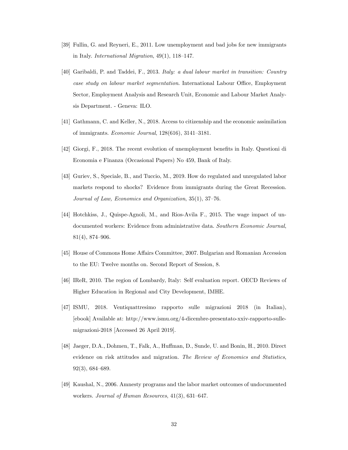- [39] Fullin, G. and Reyneri, E., 2011. Low unemployment and bad jobs for new immigrants in Italy. *International Migration*,  $49(1)$ ,  $118–147$ .
- [40] Garibaldi, P. and Taddei, F., 2013. Italy: a dual labour market in transition: Country case study on labour market segmentation. International Labour Office, Employment Sector, Employment Analysis and Research Unit, Economic and Labour Market Analysis Department. - Geneva: ILO.
- [41] Gathmann, C. and Keller, N., 2018. Access to citizenship and the economic assimilation of immigrants. *Economic Journal*,  $128(616)$ ,  $3141-3181$ .
- [42] Giorgi, F., 2018. The recent evolution of unemployment benefits in Italy. Questioni di Economia e Finanza (Occasional Papers) No 459, Bank of Italy.
- [43] Guriev, S., Speciale, B., and Tuccio, M., 2019. How do regulated and unregulated labor markets respond to shocks? Evidence from immigrants during the Great Recession. Journal of Law, Economics and Organization,  $35(1)$ ,  $37-76$ .
- [44] Hotchkiss, J., Quispe-Agnoli, M., and Rios-Avila F., 2015. The wage impact of undocumented workers: Evidence from administrative data. Southern Economic Journal,  $81(4)$ ,  $874-906$ .
- [45] House of Commons Home Affairs Committee, 2007. Bulgarian and Romanian Accession to the EU: Twelve months on. Second Report of Session, 8.
- [46] IReR, 2010. The region of Lombardy, Italy: Self evaluation report. OECD Reviews of Higher Education in Regional and City Development, IMHE.
- [47] ISMU, 2018. Ventiquattresimo rapporto sulle migrazioni 2018 (in Italian), [ebook] Available at: http://www.ismu.org/4-dicembre-presentato-xxiv-rapporto-sullemigrazioni-2018 [Accessed 26 April 2019].
- [48] Jaeger, D.A., Dohmen, T., Falk, A., Huffman, D., Sunde, U. and Bonin, H., 2010. Direct evidence on risk attitudes and migration. The Review of Economics and Statistics,  $92(3)$ , 684–689.
- [49] Kaushal, N., 2006. Amnesty programs and the labor market outcomes of undocumented workers. Journal of Human Resources,  $41(3)$ ,  $631-647$ .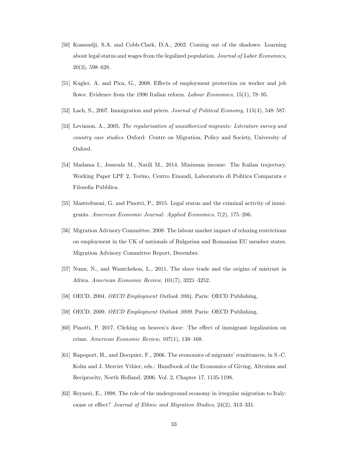- [50] Kossoudji, S.A. and Cobb-Clark, D.A., 2002. Coming out of the shadows: Learning about legal status and wages from the legalized population. Journal of Labor Economics,  $20(3)$ , 598–628.
- [51] Kugler, A. and Pica, G., 2008. Effects of employment protection on worker and job flows: Evidence from the 1990 Italian reform. Labour Economics,  $15(1)$ , 78–95.
- [52] Lach, S., 2007. Immigration and prices. *Journal of Political Economy*,  $115(4)$ , 548–587.
- [53] Levinson, A., 2005. The regularisation of unauthorized migrants: Literature survey and country case studies. Oxford: Centre on Migration, Policy and Society, University of Oxford.
- [54] Madama I., Jessoula M., Natili M., 2014. Minimum income: The Italian trajectory. Working Paper LPF 2, Torino, Centro Einaudi, Laboratorio di Politica Comparata e Filosofia Pubblica.
- [55] Mastrobuoni, G. and Pinotti, P., 2015. Legal status and the criminal activity of immigrants. American Economic Journal: Applied Economics,  $7(2)$ , 175–206.
- [56] Migration Advisory Committee, 2008. The labour market impact of relaxing restrictions on employment in the UK of nationals of Bulgarian and Romanian EU member states. Migration Advisory Committee Report, December.
- [57] Nunn, N., and Wantchekon, L., 2011. The slave trade and the origins of mistrust in Africa. American Economic Review,  $101(7)$ ,  $3221-3252$ .
- [58] OECD, 2004. OECD Employment Outlook 2004. Paris: OECD Publishing.
- [59] OECD, 2009. OECD Employment Outlook 2009. Paris: OECD Publishing.
- [60] Pinotti, P. 2017. Clicking on heaven's door: The effect of immigrant legalization on crime. American Economic Review,  $107(1)$ ,  $138-168$ .
- [61] Rapoport, H., and Docquier, F., 2006. The economics of migrants' remittances, in S.-C. Kolm and J. Mercier Ythier, eds.: Handbook of the Economics of Giving, Altruism and Reciprocity, North Holland, 2006. Vol. 2, Chapter 17, 1135-1198.
- [62] Reyneri, E., 1998. The role of the underground economy in irregular migration to Italy: cause or effect? Journal of Ethnic and Migration Studies,  $24(2)$ ,  $313-331$ .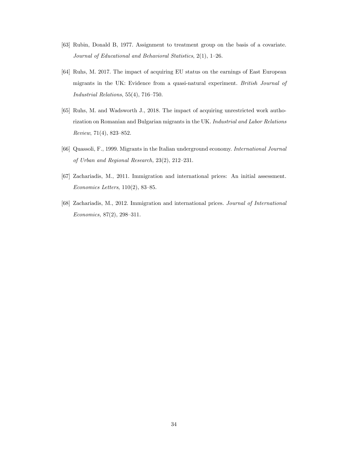- [63] Rubin, Donald B, 1977. Assignment to treatment group on the basis of a covariate. Journal of Educational and Behavioral Statistics,  $2(1)$ , 1-26.
- [64] Ruhs, M. 2017. The impact of acquiring EU status on the earnings of East European migrants in the UK: Evidence from a quasi-natural experiment. British Journal of Industrial Relations,  $55(4)$ ,  $716-750$ .
- [65] Ruhs, M. and Wadsworth J., 2018. The impact of acquiring unrestricted work authorization on Romanian and Bulgarian migrants in the UK. Industrial and Labor Relations Review,  $71(4)$ , 823-852.
- [66] Quassoli, F., 1999. Migrants in the Italian underground economy. International Journal of Urban and Regional Research,  $23(2)$ ,  $212-231$ .
- [67] Zachariadis, M., 2011. Immigration and international prices: An initial assessment.  $Economics Letters, 110(2), 83–85.$
- [68] Zachariadis, M., 2012. Immigration and international prices. Journal of International  $Economics, 87(2), 298-311.$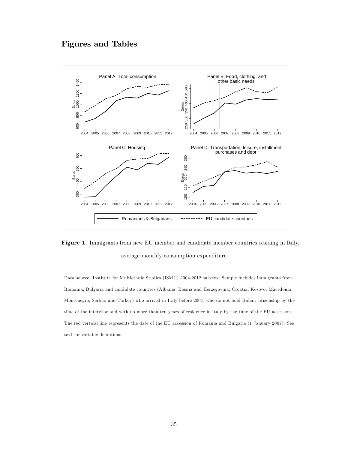## Figures and Tables



Figure 1. Immigrants from new EU member and candidate member countries residing in Italy, average monthly consumption expenditure

Data source: Institute for Multiethnic Studies (ISMU) 2004-2012 surveys. Sample includes immigrants from Romania, Bulgaria and candidate countries (Albania, Bosnia and Herzegovina, Croatia, Kosovo, Macedonia, Montenegro, Serbia, and Turkey) who arrived in Italy before 2007, who do not hold Italian citizenship by the time of the interview and with no more than ten years of residence in Italy by the time of the EU accession. The red vertical line represents the date of the EU accession of Romania and Bulgaria (1 January 2007). See text for variable definitions.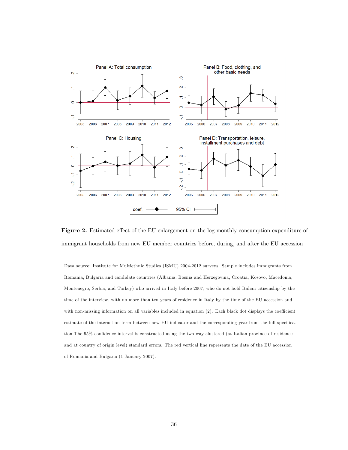

Figure 2. Estimated effect of the EU enlargement on the log monthly consumption expenditure of immigrant households from new EU member countries before, during, and after the EU accession

Data source: Institute for Multiethnic Studies (ISMU) 2004-2012 surveys. Sample includes immigrants from Romania, Bulgaria and candidate countries (Albania, Bosnia and Herzegovina, Croatia, Kosovo, Macedonia, Montenegro, Serbia, and Turkey) who arrived in Italy before 2007, who do not hold Italian citizenship by the time of the interview, with no more than ten years of residence in Italy by the time of the EU accession and with non-missing information on all variables included in equation (2). Each black dot displays the coefficient estimate of the interaction term between new EU indicator and the corresponding year from the full specification The 95% confidence interval is constructed using the two way clustered (at Italian province of residence and at country of origin level) standard errors. The red vertical line represents the date of the EU accession of Romania and Bulgaria (1 January 2007).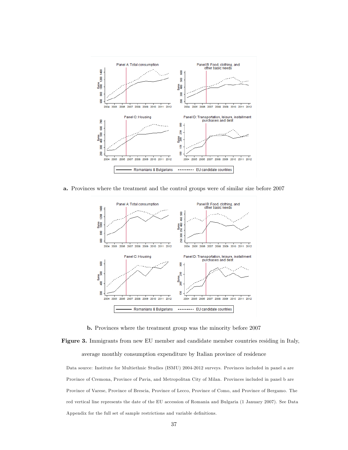

a. Provinces where the treatment and the control groups were of similar size before 2007



b. Provinces where the treatment group was the minority before 2007

Figure 3. Immigrants from new EU member and candidate member countries residing in Italy, average monthly consumption expenditure by Italian province of residence

Data source: Institute for Multiethnic Studies (ISMU) 2004-2012 surveys. Provinces included in panel a are Province of Cremona, Province of Pavia, and Metropolitan City of Milan. Provinces included in panel b are Province of Varese, Province of Brescia, Province of Lecco, Province of Como, and Province of Bergamo. The red vertical line represents the date of the EU accession of Romania and Bulgaria (1 January 2007). See Data Appendix for the full set of sample restrictions and variable definitions.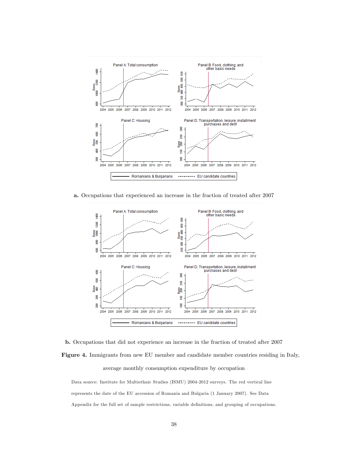

a. Occupations that experienced an increase in the fraction of treated after 2007



b. Occupations that did not experience an increase in the fraction of treated after 2007 Figure 4. Immigrants from new EU member and candidate member countries residing in Italy, average monthly consumption expenditure by occupation

Data source: Institute for Multiethnic Studies (ISMU) 2004-2012 surveys. The red vertical line represents the date of the EU accession of Romania and Bulgaria (1 January 2007). See Data Appendix for the full set of sample restrictions, variable definitions, and grouping of occupations.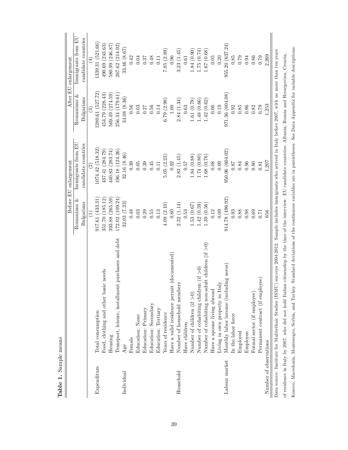|                        |                                                                                                                                                                     |                                                       | Before EU enlargement                                                                                            |                                                                                | After EU enlargement                                                        |
|------------------------|---------------------------------------------------------------------------------------------------------------------------------------------------------------------|-------------------------------------------------------|------------------------------------------------------------------------------------------------------------------|--------------------------------------------------------------------------------|-----------------------------------------------------------------------------|
|                        |                                                                                                                                                                     | Romanians &                                           | Immigrants from EU                                                                                               | Romanians &                                                                    | Immigrants from EU                                                          |
|                        |                                                                                                                                                                     | Bulgarians                                            | candidate countries                                                                                              | Bulgarians                                                                     | candidate countries                                                         |
|                        |                                                                                                                                                                     |                                                       |                                                                                                                  |                                                                                |                                                                             |
| Expenditure            | Total consumption                                                                                                                                                   | 917.61(433.31)                                        | 1074.42(518.32)                                                                                                  | 280.61 (527.72)                                                                | .339.31 (521.66)                                                            |
|                        | Food, clothing and other basic needs                                                                                                                                | 351.70 (185.12)                                       | 437.41 (284.79)                                                                                                  | 454.79 (228.43)                                                                | 490.69(243.63)                                                              |
|                        | Housing                                                                                                                                                             | 393.88 (265.59)                                       | 440.83 (283.74)                                                                                                  | 569.49 (274.59)                                                                | 580.99 (246.87)                                                             |
|                        | Transport, leisure, installment purchases and debt                                                                                                                  | 172.02(109.24)                                        | 196.18 (124.26)                                                                                                  | 256.34 (179.61)                                                                | 267.62 (214.92)                                                             |
| Individual             | Age                                                                                                                                                                 | $\begin{array}{c} 32.03 \ (7.23) \\ 0.48 \end{array}$ | 32.16 (8.46)                                                                                                     | $34.08(8.36)$ $0.56$                                                           | 33.46 (8.67)                                                                |
|                        | Female                                                                                                                                                              |                                                       | 0.39                                                                                                             |                                                                                | 0.42                                                                        |
|                        | Education: None                                                                                                                                                     | 0.03                                                  | 0.05                                                                                                             | 0.03                                                                           | 0.04                                                                        |
|                        | Education: Primary                                                                                                                                                  | 0.29                                                  | 0.39                                                                                                             | 0.27                                                                           | 0.37                                                                        |
|                        | Education: Secondary                                                                                                                                                | $0.55\,$                                              | 0.45                                                                                                             | $0.56\,$                                                                       | $0.48\,$                                                                    |
|                        | Education: Tertiary                                                                                                                                                 | 0.13                                                  | 0.11                                                                                                             | 0.14                                                                           | 0.11                                                                        |
|                        | Years of residence                                                                                                                                                  | 4.09(2.10)                                            | $5.05\,\,(2.23) \\ 0.92$                                                                                         | $6.79~(2.98)$ $1.00$                                                           | $7.85~(2.89)$ $0.96$                                                        |
|                        | Have a valid residence permit (documented)                                                                                                                          | 0.80                                                  |                                                                                                                  |                                                                                |                                                                             |
| Household              | ö.<br>Number of household member                                                                                                                                    | 2.32(1.14)                                            | 2.83(1.45)                                                                                                       | 2.84(1.34)                                                                     | 3.23(1.45)                                                                  |
|                        | Have children                                                                                                                                                       | 0.53                                                  | 0.57                                                                                                             | 0.63                                                                           | 0.61                                                                        |
|                        | Number of children $(if > 0)$                                                                                                                                       | 1.53(0.67)                                            |                                                                                                                  | $\begin{array}{c} 1.61 \ (0.78) \\ 1.48 \ (0.66) \\ 1.42 \ (0.62) \end{array}$ |                                                                             |
|                        | Number of cohabiting children (if $>0$ )                                                                                                                            |                                                       |                                                                                                                  |                                                                                |                                                                             |
|                        | Number of cohabiting non-adult children (if $>0$ )                                                                                                                  | $1.42\ (0.59) \\ 1.39\ (0.56)$                        | $\begin{array}{c} 1.84 \ (0.88) \\ 1.74 \ (0.80) \\ 1.68 \ (0.76) \end{array}$                                   |                                                                                | $\begin{array}{c} 1.84\ (0.90) \\ 1.75\ (0.74) \\ 1.67\ (0.68) \end{array}$ |
|                        | Have a spouse living abroad                                                                                                                                         | 0.12                                                  | 0.08                                                                                                             | 0.06                                                                           | 0.05                                                                        |
|                        | Living in own property in Italy                                                                                                                                     | 0.09                                                  | 0.09                                                                                                             | 0.19                                                                           | 0.20                                                                        |
| Labour market          | Monthly labor income (including zeros)                                                                                                                              | 914.78 (496.92)                                       | 950.96 (604.02)                                                                                                  | 971.36 (604.08)                                                                | 955.20(637.24)                                                              |
|                        | In the labor force                                                                                                                                                  | $\!0.93\!$                                            | $78.0\,$                                                                                                         | 0.92                                                                           | $0.85\,$                                                                    |
|                        | Employed                                                                                                                                                            | 0.88                                                  | 0.84                                                                                                             | $0.85\,$                                                                       | 0.79                                                                        |
|                        | Employee                                                                                                                                                            | $\!0.98\!$                                            | $0.96\,$                                                                                                         | 0.96                                                                           | 0.94                                                                        |
|                        | Formal sector (if employee)                                                                                                                                         | 0.69                                                  | 0.80                                                                                                             | 0.82                                                                           | $0.86\,$                                                                    |
|                        | Permanent contract (if employee)                                                                                                                                    | 0.71                                                  | 0.81                                                                                                             | 0.79                                                                           | 0.79                                                                        |
| Number of observations |                                                                                                                                                                     | 656                                                   | 1,207                                                                                                            | 1,253                                                                          | 2,269                                                                       |
|                        | Data source: Institute for Multiethnic Studies (ISMU) surveys 2004-2012. Sample includes inmigrants who arrived in Italy before 2007, with no more than ten years   |                                                       |                                                                                                                  |                                                                                |                                                                             |
|                        | of residence in Italy by 2007, who did not hold Italian citizenship by the time of the interview. EU candidate countries: Albania, Bosnia and Herzegovina, Croatia, |                                                       |                                                                                                                  |                                                                                |                                                                             |
|                        | Kosovo, Macedonia, Montenegro, Serbia, and Turkey.                                                                                                                  |                                                       | Standard deviations of the continuous variables are in parentheses. See Data Appendix for variable descriptions. |                                                                                |                                                                             |

Table 1. Sample means Table 1. Sample means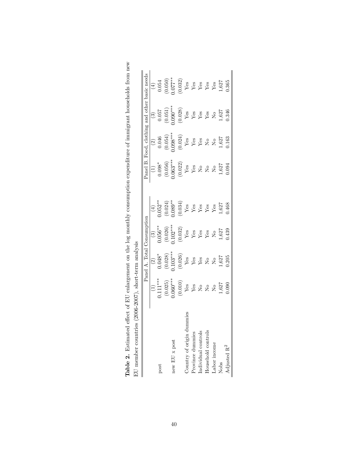|                           |                                                                                                                                                                                                                                                                                                                                                                                                                                                                   | Panel A. Total | Consumption |                                                                                | Panel B. Food, clot |                                                                                                                                                                             | ng and other basic need                                                                                                                                                                      |                                                                                                                                                              |
|---------------------------|-------------------------------------------------------------------------------------------------------------------------------------------------------------------------------------------------------------------------------------------------------------------------------------------------------------------------------------------------------------------------------------------------------------------------------------------------------------------|----------------|-------------|--------------------------------------------------------------------------------|---------------------|-----------------------------------------------------------------------------------------------------------------------------------------------------------------------------|----------------------------------------------------------------------------------------------------------------------------------------------------------------------------------------------|--------------------------------------------------------------------------------------------------------------------------------------------------------------|
|                           |                                                                                                                                                                                                                                                                                                                                                                                                                                                                   |                |             |                                                                                |                     |                                                                                                                                                                             | $\odot$                                                                                                                                                                                      | $\left( \pm \right)$                                                                                                                                         |
| post                      |                                                                                                                                                                                                                                                                                                                                                                                                                                                                   |                |             | $(4)$<br>$(0.052***$                                                           |                     |                                                                                                                                                                             |                                                                                                                                                                                              |                                                                                                                                                              |
|                           |                                                                                                                                                                                                                                                                                                                                                                                                                                                                   |                |             | $(0.024)$<br>$0.089***$                                                        |                     |                                                                                                                                                                             |                                                                                                                                                                                              |                                                                                                                                                              |
| new $EU$ x post           |                                                                                                                                                                                                                                                                                                                                                                                                                                                                   |                |             |                                                                                |                     |                                                                                                                                                                             |                                                                                                                                                                                              |                                                                                                                                                              |
|                           | $\begin{array}{c} (1)\\ 1.111***\\ (0.025)\\ (0.060***\\ (0.010)\\ (0.010)\\ \text{Yes}\\ \text{Yes}\\ \text{Yes}\\ \text{Xes}\\ \text{Xes}\\ \text{Xes}\\ \text{Xes}\\ \text{Xes}\\ \text{Xes}\\ \text{Xes}\\ \text{Xes}\\ \text{Xes}\\ \text{Xes}\\ \text{Xes}\\ \text{Xes}\\ \text{Xes}\\ \text{Xes}\\ \text{Xes}\\ \text{Xes}\\ \text{Xes}\\ \text{Xes}\\ \text{Xes}\\ \text{Xes}\\ \text{Xes}\\ \text{Xes}\\ \text{Xes}\\ \text{Xes}\\ \text{Xes}\\ \text{X$ |                |             | $\frac{V_{\text{ES}}}{V_{\text{ES}}}$<br>$\frac{V_{\text{ES}}}{V_{\text{ES}}}$ |                     | $\begin{array}{c} (2) \\ 0.046 \\ (0.054) \\ 0.098^{***} \\ (0.024) \\ (0.024) \\ \textbf{Yes} \\ \textbf{Yes} \\ \textbf{Yes} \\ \textbf{Yes} \\ \textbf{Yes} \end{array}$ | $\begin{array}{c} 0.057 \\ (0.051) \\ 1.090^{***} \\ (0.028) \\ \text{Yes} \\ \text{Yes} \\ \text{Yes} \\ \text{Yes} \\ \text{Yes} \\ \text{Yes} \\ \text{Yes} \\ \text{Yes} \\ \end{array}$ | $\begin{array}{c} 0.054 \\ (0.050) \\ 1.077^{**} \\ (0.032) \\ \text{Yes} \\ \text{Yes} \\ \text{Yes} \\ \text{Yes} \\ \text{Yes} \\ \text{Yes} \end{array}$ |
| Country of origin dummies |                                                                                                                                                                                                                                                                                                                                                                                                                                                                   |                |             |                                                                                |                     |                                                                                                                                                                             |                                                                                                                                                                                              |                                                                                                                                                              |
| Province dummies          |                                                                                                                                                                                                                                                                                                                                                                                                                                                                   |                |             |                                                                                |                     |                                                                                                                                                                             |                                                                                                                                                                                              |                                                                                                                                                              |
| Individual controls       |                                                                                                                                                                                                                                                                                                                                                                                                                                                                   |                |             |                                                                                |                     |                                                                                                                                                                             |                                                                                                                                                                                              |                                                                                                                                                              |
| Household controls        |                                                                                                                                                                                                                                                                                                                                                                                                                                                                   |                |             |                                                                                |                     |                                                                                                                                                                             |                                                                                                                                                                                              |                                                                                                                                                              |
| Labor income              |                                                                                                                                                                                                                                                                                                                                                                                                                                                                   |                |             | $\mathbf{Y}\mathbf{e}\mathbf{s}$                                               |                     |                                                                                                                                                                             |                                                                                                                                                                                              |                                                                                                                                                              |
| Nobs                      | 1,627                                                                                                                                                                                                                                                                                                                                                                                                                                                             | 1,627<br>0.205 | 1,627       | 1,627<br>0.468                                                                 | 1,627               | 1,627<br>0.163                                                                                                                                                              | 1,627<br>0.346                                                                                                                                                                               | 1,627                                                                                                                                                        |
| Adjusted $\mathbf{R}^2$   | 0.090                                                                                                                                                                                                                                                                                                                                                                                                                                                             |                | 1.439       |                                                                                | 0.094               |                                                                                                                                                                             |                                                                                                                                                                                              | 1.365                                                                                                                                                        |

Table 2. Estimated effect of EU enlargement on the log monthly consumption expenditure of immigrant households from new **Table 2.** Estimated effect of EU enlargement on the log monthly consumption expenditure of immigrant households from new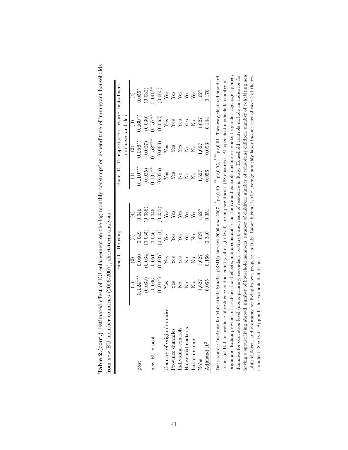| from new EU member countries (2006-2007), short-term analysis                                                                                    |                    |                                                                        |                             |                         |                                                                                                                       |                                                                        |                    |                                    |
|--------------------------------------------------------------------------------------------------------------------------------------------------|--------------------|------------------------------------------------------------------------|-----------------------------|-------------------------|-----------------------------------------------------------------------------------------------------------------------|------------------------------------------------------------------------|--------------------|------------------------------------|
|                                                                                                                                                  |                    | Panel C. Housing                                                       |                             |                         |                                                                                                                       | Panel D. Transportation, leisure, installment                          |                    |                                    |
|                                                                                                                                                  |                    |                                                                        |                             |                         |                                                                                                                       |                                                                        | purchases and debt |                                    |
|                                                                                                                                                  |                    | $\widehat{\infty}$                                                     |                             |                         |                                                                                                                       | $\widehat{c}$                                                          | $\odot$            | $\widehat{\mathbb{E}}$             |
| post                                                                                                                                             | $0.124***$         | 0.040                                                                  | 0.049                       | 0.046                   | $0.110***$                                                                                                            | $0.056***$                                                             | $0.060**$          | $0.055*$                           |
|                                                                                                                                                  | (0.032)            | (0.034)                                                                | (0.035)                     | (0.036)                 | (0.025)                                                                                                               | (0.027)                                                                | (0.030)            | (0.032)                            |
| new $\mathop{\hbox{\rm EU}}\nolimits$ x post                                                                                                     | $-0.006$           | 0.051                                                                  | 0.056                       | 0.045                   | $0.131***$                                                                                                            | $0.158***$                                                             | $0.157***$         | $0.140**$                          |
|                                                                                                                                                  | (0.044)            | 0.037)                                                                 |                             | (0.055)                 | (0.056)                                                                                                               | (0.060)                                                                | (0.063)            | (0.065)                            |
| ummies<br>Country of origin d                                                                                                                    | ${\bf Y}$ es       | $\mathbf{Yes}$                                                         | $\frac{V}{\gamma_{\rm es}}$ | $\mathbf{Yes}$          | ${\rm Yes}$                                                                                                           | ${\rm Yes}$                                                            | ${\rm Yes}$        | $\mathbf{Y}\mathbf{es}$            |
| Province dummies                                                                                                                                 | $\mathbf{Yes}$     | $\mathbf{Yes}$                                                         |                             | $\mathbf{Y}\mathbf{es}$ | ${\rm Yes}$                                                                                                           | ${\rm Yes}$                                                            | ${\rm Yes}$        |                                    |
| Individual controls                                                                                                                              | $\rm _{N}^{\circ}$ | ${\rm Yes}$                                                            | $_{\rm Yes}^{\rm QST}$      | Yes                     | $\rm \stackrel{\circ}{\rm \stackrel{\circ}{\rm \scriptscriptstyle M}}$                                                | ${\rm Yes}$                                                            | ${\rm Yes}$        | $\frac{\text{Yes}}{\text{Yes}}$    |
| Household controls                                                                                                                               | $\overline{N}$ o   | $\rm \stackrel{\circ}{\rm \stackrel{\circ}{\rm \scriptscriptstyle M}}$ | Yes                         | Yes                     | $\tilde{S}$                                                                                                           | $\rm \stackrel{\circ}{\rm \stackrel{\circ}{\rm \scriptscriptstyle M}}$ | Yes                |                                    |
| Labor income                                                                                                                                     | $\tilde{S}$        | $\overline{N}$                                                         | $\tilde{\mathsf{X}}$        | Yes                     | $\tilde{\mathsf{X}}$                                                                                                  | $\tilde{\mathsf{X}}$                                                   | $\overline{S}$     | Yes                                |
| Nobs                                                                                                                                             | 1,627              | 1,627                                                                  | 1,627                       | 1,627                   | 1,627                                                                                                                 | 1,627                                                                  | 1,627              | 1,627                              |
| Adjusted $\rm R^2$                                                                                                                               | 0.065              | 0.166                                                                  | 0.340                       | 1.351                   | 0.056                                                                                                                 | 0.093                                                                  | 0.144              | 0.170                              |
| Data source: Institut                                                                                                                            |                    |                                                                        |                             |                         | e for Multiethnic Studies (ISMU) surveys 2006 and 2007. $*$ $p < 0.10$ , $*$ $p < 0.05$ ,                             | ***                                                                    |                    | p<0.01. Two-way clustered standard |
| errors (at Italian province of residence and at country of origin level) are in parentheses (88 clusters). All specifications include country of |                    |                                                                        |                             |                         |                                                                                                                       |                                                                        |                    |                                    |
| origin and Italian province of residence fixed effects, and a constant term. Individual controls include respondent's gender, age, age squared,  |                    |                                                                        |                             |                         |                                                                                                                       |                                                                        |                    |                                    |
| dummies for education level (none, primary, secondary, tertiary), and years of residence in Italy. Household controls include an indicator for   |                    |                                                                        |                             |                         |                                                                                                                       |                                                                        |                    |                                    |
| having a spouse livin                                                                                                                            |                    |                                                                        |                             |                         | g abroad, number of household members, number of children, number of cohabiting children, number of cohabiting non    |                                                                        |                    |                                    |
| adult children, and a                                                                                                                            |                    |                                                                        |                             |                         | dummy for living in own property in Italy. Labor income is the average monthly labor income (net of taxes) of the re- |                                                                        |                    |                                    |
| spondent. See Data Appendix for variable definitions.                                                                                            |                    |                                                                        |                             |                         |                                                                                                                       |                                                                        |                    |                                    |

Table 2.(cont.) Estimated effect of EU enlargement on the log monthly consumption expenditure of immigrant households Table 2.(cont.) Estimated effect of EU enlargement on the log monthly consumption expenditure of immigrant households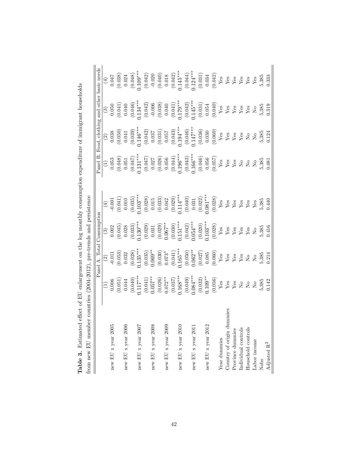|                                                       | and other basic needs |                    |                    |                    | $\begin{array}{c} (4) \\ (0.047) \\ (0.038) \\ (0.047) \\ (0.048) \\ (0.049) \\ (0.042) \\ (0.042) \\ (0.040) \\ (0.041) \\ (0.041) \\ (0.041) \\ (0.044) \\ (0.041) \\ (0.031) \\ (0.034) \\ (0.034) \\ (0.034) \\ (0.035) \\ (0.034) \\ (0.035) \\ (0.034) \\ (0.035) \\ (0.035) \\ (0.034) \\ (0.035) \\ (0.035) \\ ($                                                                  |                    |                    |                    |                    |                    |              |                               |                  |                     |                    |              | 5,385          | 0.333                   |
|-------------------------------------------------------|-----------------------|--------------------|--------------------|--------------------|--------------------------------------------------------------------------------------------------------------------------------------------------------------------------------------------------------------------------------------------------------------------------------------------------------------------------------------------------------------------------------------------|--------------------|--------------------|--------------------|--------------------|--------------------|--------------|-------------------------------|------------------|---------------------|--------------------|--------------|----------------|-------------------------|
|                                                       |                       |                    |                    |                    | $\begin{array}{c} (3) \\ (0.050 \\ (0.041) \\ (0.042) \\ (0.042) \\ (0.043) \\ (0.042) \\ (0.038) \\ (0.038) \\ (0.041) \\ (0.042) \\ (0.041) \\ (0.042) \\ (0.041) \\ (0.041) \\ (0.054) \\ (0.054) \\ \textbf{Yes} \\ \textbf{y}_{\text{BS}} \\ \textbf{y}_{\text{BS}} \\ \textbf{y}_{\text{BS}} \\ \textbf{y}_{\text{BS}} \\ \textbf{y}_{\text{BS}} \\ \textbf{y}_{\text{BS}} \\ \text$ |                    |                    |                    |                    |                    |              |                               |                  |                     |                    |              | 5,385          | 0.319                   |
|                                                       | Food, clothing        |                    |                    |                    | $\begin{array}{c} (2) \\ (0.038 \\ (0.050) \\ (0.050) \\ (0.039) \\ (0.037) \\ (0.037) \\ (0.037) \\ (0.037) \\ (0.037) \\ (0.037) \\ (0.030) \\ (0.030) \\ (0.030) \\ (0.030) \\ (0.030) \\ (0.030) \\ (0.030) \\ (0.030) \\ (0.030) \\ (0.030) \\ (0.030) \\ (0.030) \\ (0.030) \\ (0.030) \\ (0.030) \\ (0.030) \\ (0$                                                                  |                    |                    |                    |                    |                    |              |                               |                  |                     |                    |              | 5,385<br>0.124 |                         |
|                                                       | anel B                |                    |                    |                    | $\begin{array}{c} (1) \\ (0.053 \\ (0.047) \\ (0.047) \\ (0.047) \\ (0.047) \\ (0.047) \\ (0.056) \\ (0.056) \\ (0.056) \\ (0.056) \\ (0.056) \\ (0.057) \\ (0.057) \\ (0.057) \\ (0.057) \\ (0.057) \\ (0.057) \\ (0.057) \\ (0.057) \\ (0.057) \\ (0.057) \\ (0.057) \\ (0.058) \\ (0.058) \\ (0.057) \\ (0.057) \\ (0$                                                                  |                    |                    |                    |                    |                    |              |                               |                  |                     |                    |              | 5,385          | 0.081                   |
|                                                       |                       |                    |                    |                    | $\begin{array}{c} (4) \\ -0.001 \\ (0.041) \\ (0.010)^{***} \\ (0.028) \\ (0.028) \\ (0.029) \\ (0.031) \\ (0.031) \\ (0.031) \\ (0.031) \\ (0.031) \\ (0.031) \\ (0.031) \\ (0.032) \\ (0.031) \\ (0.032) \\ (0.033) \\ (0.033) \\ (0.033) \\ (0.033) \\ (0.033) \\ (0.033) \\ (0.033) \\ (0.033) \\ (0.033) \\ (0.033)$                                                                  |                    |                    |                    |                    |                    |              |                               |                  |                     |                    |              | 5,385          | 0.440                   |
|                                                       | Consumption           |                    |                    |                    | $\begin{array}{c} (3) \\ (0.002 \\ (0.045) \\ (0.033) \\ (0.029) \\ (0.030^{***} \\ (0.029) \\ (0.030) \\ (0.031) \\ (0.031) \\ (0.030) \\ (0.031) \\ (0.030) \\ (0.031) \\ (0.032) \\ (0.030) \\ (0.030) \\ (0.020) \\ (0.020) \\ (0.028) \\ \text{Yes} \\ \text{Yes} \\ \text{Yes} \\ \text{Yes} \\ \text{Yes} \\ \text{Yes} \\ \text{Yes} \\ \text{Yes} \\ \text{Yes} \\ \text$         |                    |                    |                    |                    |                    |              |                               |                  |                     |                    |              | 5,385          | 1.416                   |
|                                                       | Panel A. Total        |                    |                    |                    | $\begin{array}{c} (2) \\ -0.011 \\ (0.053) \\ (0.032 \\ (0.032) \\ (0.034) \\ (0.035) \\ (0.036) \\ (0.030) \\ (0.030) \\ (0.031) \\ (0.031) \\ (0.031) \\ (0.032) \\ (0.030) \\ (0.031) \\ (0.031) \\ (0.032) \\ (0.030) \\ (0.031) \\ (0.031) \\ (0.032) \\ (0.033) \\ (0.034) \\ (0.035) \\ (0.035) \\ (0.035) \\ (0.$                                                                  |                    |                    |                    |                    |                    |              |                               |                  |                     |                    |              | 5,385          | 0.214                   |
| countries ( $2004-2012$ ), pre-trends and persistence |                       |                    |                    |                    | $\begin{array}{c} (1) \\ 0.006 \\ 0.041 \\ 0.17^{***} \\ 0.17^{***} \\ 0.041 \\ 0.057^{**} \\ 0.072^{**} \\ 0.037 \\ 0.037 \\ 0.034^{***} \\ 0.030^{***} \\ 0.032 \\ 0.034^{***} \\ 0.032 \\ 0.034^{***} \\ 0.032 \\ 0.034^{***} \\ 0.032 \\ 0.034^{***} \\ 0.032 \\ 0.034^{***} \\ 0.032 \\ 0.034 \\ 0.032 \\ 0.034 \\ 0.$                                                                |                    |                    |                    |                    |                    |              |                               |                  |                     |                    |              | 5,385          | 0.142                   |
| from new EU member                                    |                       | new EU x year 2005 | new EU x year 2006 | new EU x year 2007 |                                                                                                                                                                                                                                                                                                                                                                                            | new EU x year 2008 | new EU x year 2009 | new EU x year 2010 | new EU x year 2011 | new EU x year 2012 | Year dummies | mies<br>Country of origin dum | Province dummies | Individual controls | Household controls | Labor income | Nobs           | Adjusted $\mathbf{R}^2$ |

Table 3. Estimated effect of EU enlargement on the log monthly consumption expenditure of immigrant households **Table 3.** Estimated effect of EU enlargement on the log monthly consumption expenditure of immigrant households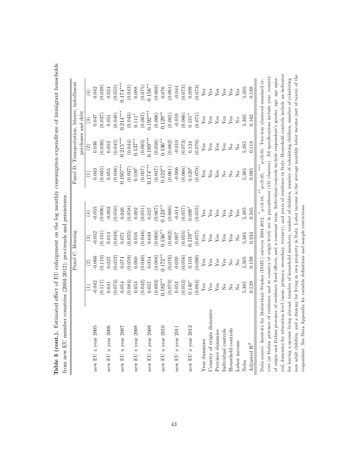| $\frac{1}{2}$<br>j<br>j<br>ľ | i                  |
|------------------------------|--------------------|
| Table 3 (cont.)              | trom new EU member |

|                                                                                                                                                    |                    |                                                                        | Panel C. Housing                                |                        |                                        |                                                    | Panel D. Transportation, leisure, installment                          |                                                                            |
|----------------------------------------------------------------------------------------------------------------------------------------------------|--------------------|------------------------------------------------------------------------|-------------------------------------------------|------------------------|----------------------------------------|----------------------------------------------------|------------------------------------------------------------------------|----------------------------------------------------------------------------|
|                                                                                                                                                    |                    |                                                                        |                                                 |                        |                                        |                                                    | purchases and debt                                                     |                                                                            |
|                                                                                                                                                    |                    | $\boxed{2}$                                                            | $\odot$                                         | $\bigoplus$            | $\begin{pmatrix} 1 \\ 2 \end{pmatrix}$ | $\widehat{c}$                                      | $\odot$                                                                | $\bigoplus$                                                                |
| new EU x year $2005$                                                                                                                               | 0.042              | 0.066                                                                  | $-0.052$                                        | 0.055                  | 0.043                                  | 0.036                                              | 0.047                                                                  | 0.042                                                                      |
|                                                                                                                                                    | $(0.117)$<br>0.041 | (0.110)                                                                |                                                 | 0.096                  | (0.035)                                | (0.036)                                            | (0.037)                                                                | (0.039)                                                                    |
| new EU x year $2006$                                                                                                                               |                    | 0.022                                                                  | $\begin{array}{c} (0.101) \\ 0.014 \end{array}$ | $-0.002$               | 0.055                                  | 0.053                                              | 0.051                                                                  | 0.024                                                                      |
|                                                                                                                                                    | (0.073)            | (0.052)                                                                | (0.049)                                         | (0.050)                | (0.046)                                | (0.045)                                            | (0.048)                                                                |                                                                            |
| new EU x year 2007                                                                                                                                 | 0.054              | 0.074                                                                  | $0.071\,$                                       |                        | $0.195***$                             | $0.215***$                                         | $0.214***$                                                             | $(0.055)$<br>0.174***                                                      |
|                                                                                                                                                    | (0.084)            | (0.059)                                                                | (0.055)                                         | (0.046)                | (0.037)                                |                                                    | (0.043)                                                                |                                                                            |
| new EU x year 2008                                                                                                                                 | 0.053              | 0.060                                                                  | 0.016                                           | 0.002                  | $0.109*$                               | $\left(0.044\right)$ $0.137**$                     | $0.111*$                                                               | $\begin{array}{c} (0.043) \\ 0.088 \end{array}$                            |
|                                                                                                                                                    | (0.042)            | (0.040)                                                                | (0.048)                                         | (0.051)                | (0.057)                                |                                                    |                                                                        | (0.075)                                                                    |
| new EU x year $2005$                                                                                                                               | 0.057              | 0.054                                                                  | 0.049                                           | 0.027                  | $0.174***$                             | $\begin{array}{c} (0.065) \\ 0.189*** \end{array}$ | $(0.067)$<br>$(192***$                                                 | $0.156***$                                                                 |
|                                                                                                                                                    | (0.093)            | (0.088)                                                                | $(0.068)$<br>0.156**                            | (0.067)                |                                        | $(0.056)$<br>$0.136**$                             | $(0.066)$<br>0.129**                                                   | (0.069)                                                                    |
| new EU x year 2010                                                                                                                                 | $0.182**$          | $0.172**$                                                              |                                                 | $0.123***$             | $(0.047)$<br>0.122**                   |                                                    |                                                                        |                                                                            |
|                                                                                                                                                    | (0.073)            | (0.076)                                                                | (0.062)                                         | (0.060)                | (0.061)                                | (0.062)                                            | (0.061)                                                                | $\begin{array}{c} (6.10000) \\ (190000) \\ (19000) \\ (19000) \end{array}$ |
| new EU x year 2011                                                                                                                                 | 0.052              | $0.020\,$                                                              | $0.007$                                         | $-0.014$<br>(0.057)    | $-0.006$                               | $-0.010$                                           | $-0.010$                                                               |                                                                            |
|                                                                                                                                                    | (0.053)            | (0.056)                                                                | (0.055)                                         |                        | (0.066)                                | (0.073)                                            | (0.066)                                                                |                                                                            |
| new EU x year $2012$                                                                                                                               | $0.140*$           | $\!0.103$                                                              | $0.119***$                                      | $0.099*$               | $0.120*$                               | 0.124                                              | $0.131*$                                                               | 0.099                                                                      |
|                                                                                                                                                    | (0.084)            | (0.090)                                                                | (0.057)                                         | (0.055)                | (0.070)                                | (0.078)                                            | (0.071)                                                                | (0.073)                                                                    |
| Year dummies                                                                                                                                       | ${\rm Yes}$        | ${\rm Yes}$                                                            | ${\rm Yes}$                                     | ${\rm Yes}$            | ${\rm Yes}$                            | $\mathbf{Yes}$                                     | ${\bf Yes}$                                                            | ${\rm Yes}$                                                                |
| mmmes<br>Country of origin d                                                                                                                       | ${\rm Yes}$        | ${\rm Yes}$                                                            | ${\rm Yes}$                                     |                        | ${\rm Yes}$                            | $\mathbf{Yes}$                                     | ${\rm Yes}$                                                            | ${\bf Yes}$                                                                |
| Province dummies                                                                                                                                   | ${\bf Yes}$        | $\mathbf{Y}\mathbf{es}$                                                | ${\rm Yes}$                                     | $_{\rm Yes}^{\rm Yes}$ | ${\rm Yes}$                            | $\mathbf{Y}\mathbf{es}$                            | ${\rm Yes}$                                                            | $\mathbf{Y}\mathbf{es}$                                                    |
| Individual controls                                                                                                                                | $\overline{R}$     | ${\bf Yes}$                                                            | Yes                                             | Yes                    | $\rm _{NO}$                            | ${\rm Yes}$                                        | $\mathbf{Yes}$                                                         | ${\rm Yes}$                                                                |
| Household controls                                                                                                                                 | $\overline{N}$     | $\rm \stackrel{\circ}{\rm \stackrel{\circ}{\rm \scriptscriptstyle M}}$ | Yes                                             | Yes                    | $\stackrel{\circ}{\simeq}$             | $_{\rm N_o}$                                       | Yes                                                                    | ${\rm Yes}$                                                                |
| Labor income                                                                                                                                       | $\overline{R}$     | $\overline{R}$                                                         | $\overline{R}$                                  | Yes                    | $\overline{N}$                         | $\overline{N}$                                     | $\rm \stackrel{\circ}{\rm \stackrel{\circ}{\rm \scriptscriptstyle M}}$ | Yes                                                                        |
| Nobs                                                                                                                                               | 5,385              | 5,385                                                                  | 5,385                                           | 5,385                  | 5,385                                  | 5,385                                              | 5,385                                                                  | 5,385                                                                      |
| Adjusted $\mathbf{R}^2$                                                                                                                            | 0.129              | 0.199                                                                  | 0.334                                           | 0.345                  | 0.095                                  | 0.118                                              | 0.162                                                                  | 0.188                                                                      |
| Data source: Institute for Multiethnic Studies (ISMU) surveys 2004-2012.                                                                           |                    |                                                                        |                                                 | $p<0.10$ .             | $***$<br>$p < 0.05$ ,                  |                                                    |                                                                        | p<0.01. Two-way clustered standard er-                                     |
| rors (at Italian province of residence and at country of origin level) are in parentheses (121 clusters). All specifications include year, country |                    |                                                                        |                                                 |                        |                                        |                                                    |                                                                        |                                                                            |
| of origin and Italian province of residence fixed effects, and a constant term. Individual controls include respondent's gender, age, age squa-    |                    |                                                                        |                                                 |                        |                                        |                                                    |                                                                        |                                                                            |
| red, dumnies for education level (none, primary, secondary, tertiary), and years of residence in Italy. Household controls include an indicator    |                    |                                                                        |                                                 |                        |                                        |                                                    |                                                                        |                                                                            |
| for having a spouse living abroad, number of household members, number of children, number of cohabiting children, number of cohabiting            |                    |                                                                        |                                                 |                        |                                        |                                                    |                                                                        |                                                                            |

for having a spouse living abroad, number of household members, number of children, number of cohabiting children, number of cohabiting non adult children, and a dummy for living in own property in Italy. Labor income is the average monthly labor income (net of taxes) of the

non adult children, and a dummy for living in own property in Italy. Labor income is the average monthly labor income (net of taxes) of the

respondent. See Data Appendix for variable deÖnitions and sample restrictions.

respondent. See Data Appendix for variable definitions and sample restrictions.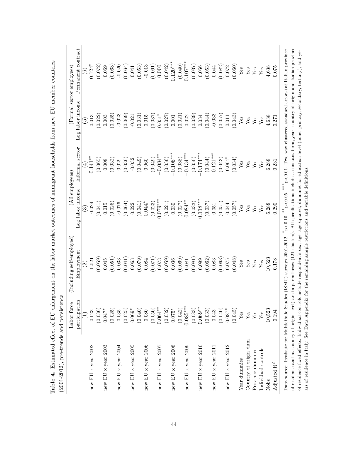|                        | Labor force    | Including self-employed                                                                                                                                                                                                                              | (All employees)                                           |                 |                          | (Formal sector employees)                                      |
|------------------------|----------------|------------------------------------------------------------------------------------------------------------------------------------------------------------------------------------------------------------------------------------------------------|-----------------------------------------------------------|-----------------|--------------------------|----------------------------------------------------------------|
|                        | participation  | Employment                                                                                                                                                                                                                                           | Log labor income                                          | Informal sector | Log labor income         | Permanent contract                                             |
|                        | Ξ,             | $\widehat{\mathfrak{D}}$                                                                                                                                                                                                                             | $\widehat{\mathbb{C}}$                                    | $\widehat{\pm}$ | $\widetilde{\mathbf{e}}$ | $\widehat{c}$                                                  |
| new EU x year $2002$   | 0.023          | $-0.021$                                                                                                                                                                                                                                             | $-0.024$                                                  | $0.141***$      | 0.013                    | $0.124*$                                                       |
|                        | (0.036)        | (0.059)                                                                                                                                                                                                                                              | (0.041)                                                   | (0.065)         | (0.022)                  | (0.072)                                                        |
| new EU x year $2003$   | $0.047*$       | 0.045                                                                                                                                                                                                                                                | $0.015\,$                                                 | 0.008           | 0.003                    | 0.069                                                          |
|                        | (0.025)        | (0.051)                                                                                                                                                                                                                                              | (0.026)                                                   | (0.032)         | (0.025)                  | (0.068)                                                        |
| new EU x year 2004     | 0.035          | 0.033                                                                                                                                                                                                                                                | $-0.076$                                                  | 0.029           | $-0.023$                 | $-0.020$                                                       |
|                        | (0.025)        | (0.041)                                                                                                                                                                                                                                              | (0.064)                                                   | (0.036)         | (0.069)                  | (0.064)                                                        |
| new EU x year 2005     | $0.069*$       | 0.063                                                                                                                                                                                                                                                | 0.022                                                     | $-0.032$        | $-0.021$                 | 0.041                                                          |
|                        | (0.040)        | (0.079)                                                                                                                                                                                                                                              | (0.041)                                                   | (0.049)         | (0.031)                  | (0.053)                                                        |
| new EU x year $2006$   | 0.080          | 0.084                                                                                                                                                                                                                                                | $0.044*$                                                  | 0.060           | 0.015                    | $-0.013$                                                       |
|                        | (0.050)        | (170.0)                                                                                                                                                                                                                                              | (0.023)                                                   | (0.049)         | (0.037)                  | (0.061)                                                        |
| new EU x year $2007$   | $0.064***$     | 0.073                                                                                                                                                                                                                                                | $0.079***$                                                | $-0.084***$     | $0.051*$                 | 0.000                                                          |
|                        | (0.032)        | (0.059)                                                                                                                                                                                                                                              | (0.021)                                                   | (0.036)         | (0.027)                  | (0.042)                                                        |
| new EU x year 2008     | $0.075*$       | 0.036                                                                                                                                                                                                                                                | 0.030                                                     | $-0.105***$     | 0.001                    | $0.120***$                                                     |
|                        | (0.042)        | (0.069)                                                                                                                                                                                                                                              | (0.027)                                                   | (0.038)         | (0.021)                  | (0.040)                                                        |
| new EU x year $2009$   | $0.085***$     | 0.081                                                                                                                                                                                                                                                | $0.084***$                                                | $-0.134***$     | 0.022                    | $0.107***$                                                     |
|                        | (0.033)        | (0.081)                                                                                                                                                                                                                                              | (0.033)                                                   | (0.050)         | (0.039)                  | (0.037)                                                        |
| new EU x year 2010     | $0.069***$     | 0.099                                                                                                                                                                                                                                                | $0.118***$                                                | $-0.174***$     | 0.034                    | 0.056                                                          |
|                        | (0.033)        | (0.062)                                                                                                                                                                                                                                              | (0.037)                                                   | (0.044)         | (0.044)                  | (0.053)                                                        |
| new EU x year $2011$   | 0.043          | 0.083                                                                                                                                                                                                                                                | 0.051                                                     | $-0.121***$     | $-0.033$                 | 0.044                                                          |
|                        | (0.040)        | (0.063)                                                                                                                                                                                                                                              | (0.051)                                                   | (0.043)         | (0.057)                  | (0.082)                                                        |
| new EU x year $2012$   | $0.087*$       | 0.075                                                                                                                                                                                                                                                | $0.044\,$                                                 | $-0.064*$       | 0.011                    | 0.072                                                          |
|                        | (0.045)        | (0.048)                                                                                                                                                                                                                                              | (0.057)                                                   | (0.034)         | (0.043)                  | (0.060)                                                        |
| Year dummies           | ${\rm Yes}$    | Yes                                                                                                                                                                                                                                                  | Yes                                                       | ${\rm Yes}$     | ${\rm Yes}$              | ${\rm Yes}$                                                    |
| Country of origin dum. | $\mathbf{Yes}$ | Yes                                                                                                                                                                                                                                                  | Yes                                                       | Yes             | Yes                      | Yes                                                            |
| Province dummies       | $\mathbf{Yes}$ | Yes                                                                                                                                                                                                                                                  | Yes                                                       | Yes             | ${\rm Yes}$              | ${\rm Yes}$                                                    |
| Individual controls    | $\mathbf{Yes}$ | ${\rm Yes}$                                                                                                                                                                                                                                          | $Y$ es                                                    | Yes             | ${\rm Yes}$              | Yes                                                            |
| Nobs                   | 10,523         | 10,523                                                                                                                                                                                                                                               | 6,288                                                     | 6,288           | 4,638                    | 4,638                                                          |
| Adjusted $\rm R^2$     | 0.194          | 0.178                                                                                                                                                                                                                                                | 0.290                                                     | 0.231           | 0.271                    | 0.075                                                          |
|                        |                | of residence and at country of origin level) are in parentheses (121 clusters). All specifications include a constant term, year, country of origin and Italian province<br>Data source: Institute for Multiethnic Studies (ISMU) surveys 2001-2012. | ***<br>$p < 0.05$ ,<br>$p<\!\!0.10,\,$ $^{**}$ $_{\rm D}$ |                 |                          | p<0.01. Two way clustered standard errors (at Italian province |
|                        |                | of residence fixed effects. Individual controls include respondent's sex, age, age squared, dummies for education level (none, primary, secondary, tertiary), and ye-                                                                                |                                                           |                 |                          |                                                                |

ars of residence in Italy. See Data Appendix for the remaining sample restrictions and variable definitions.

ars of residence in Italy. See Data Appendix for the remaining sample restrictions and variable definitions.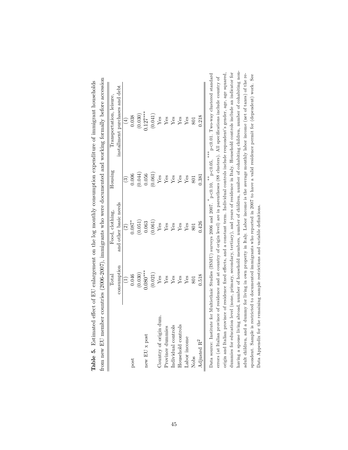|                         | Total                             | Food, clothing,       | Housing     | Transportation, leisure,       |
|-------------------------|-----------------------------------|-----------------------|-------------|--------------------------------|
|                         | consumption                       | and other basic needs |             | installment purchases and debt |
|                         | $\begin{pmatrix} 1 \end{pmatrix}$ | $\widehat{2}$         | ි           | $\left( \pm \right)$           |
| post                    | 0.046                             | $0.087$ *             | 0.006       | 0.038                          |
|                         | (0.030)                           | (0.051)               | (0.044)     | (0.030)                        |
| new EU x post           | $0.080***$                        | 0.063                 | 0.056       | $0.127***$                     |
|                         | (0.021)                           | (0.061)               | (0.061)     | (0.041)                        |
| Country of origin dum.  | Yes                               | $Y$ es                | $Y$ es      | Yes                            |
| Province dummies        | Yes                               | ${\it Yes}$           | ${\rm Yes}$ | Yes                            |
| Individual controls     | Yes                               | ${\rm Yes}$           | $Y$ es      | Yes                            |
| Household controls      | Yes                               | Yes                   | $Y$ es      | Yes                            |
| Labor income            | Yes                               | Yes                   | $Y$ es      | Yes                            |
| Nobs                    |                                   | 801                   |             |                                |
| Adjusted R <sup>2</sup> | 0.518                             | 1.426                 | 0.381       | 0.218                          |

| $\frac{1}{2}$                             |                                                |
|-------------------------------------------|------------------------------------------------|
|                                           | י<br>י<br>l                                    |
|                                           | 1、 1、 1、 1、 1、 1、 1、 1<br>i<br>ì<br>d          |
| $\ddot{\zeta}$<br>l<br>$\frac{1}{2}$<br>١ |                                                |
|                                           | <b>Contain of the Contain</b><br>$\frac{1}{2}$ |
|                                           |                                                |
| j<br>č                                    | ا<br>ا<br>l<br>l<br>l<br>l                     |
| Ì                                         | i<br>$\frac{1}{2}$                             |
| ļ                                         | <b>Contract Contract</b><br>j                  |
| l<br>l<br>I<br>3<br>I<br>İ                | T<br>;<br>i<br>$\frac{1}{2}$<br>ì<br>į         |

having a spouse living abroad, number of household members, number of children, number of cohabiting children, number of cohabiting nondummies for education level (none, primary, secondary, tertiary), and years of residence in Italy. Household controls include an indicator for having a spouse living abroad, number of household members, number of children, number of cohabiting children, number of cohabiting non- $\sqrt{\rm p}\!<\!0.01.$  Two-way clustered standard origin and Italian province of residence fixed effects, and a constant term. Individual controls include respondent's gender, age, age squared, adult children, and a dummy for living in own property in Italy. Labor income is the average monthly labor income (net of taxes) of the reorigin and Italian province of residence Öxed e§ects, and a constant term. Individual controls include respondentís gender, age, age squared, dummies for education level (none, primary, secondary, tertiary), and years of residence in Italy. Household controls include an indicator for spondent. Sample is restricted to documented immigrants who reported in 2007 to have a valid residence permit for (dependent) work. See Data source: Institute for Multiethnic Studies (ISMU) surveys 2006 and 2007.  $*$   $p < 0.10$ ,  $*$   $p < 0.05$ ,  $*$   $p < 0.01$ . Two-way clustered standard adult children, and a dummy for living in own property in Italy. Labor income is the average monthly labor income (net of taxes) of the reerrors (at Italian province of residence and at country of origin level) are in parentheses (88 clusters). All specifications include country of spondent. Sample is restricted to documented immigrants who reported in 2007 to have a valid residence permit for (dependent) work. See errors (at Italian province of residence and at country of origin level) are in parentheses (88 clusters). All specifications include country of Data source: Institute for Multiethnic Studies (IAMU) surveys 2006 and 2006 and 2007. P<0.10, p<0.05, Data Appendix for the remaining sample restrictions and variable definitions. Data Appendix for the remaining sample restrictions and variable deÖnitions.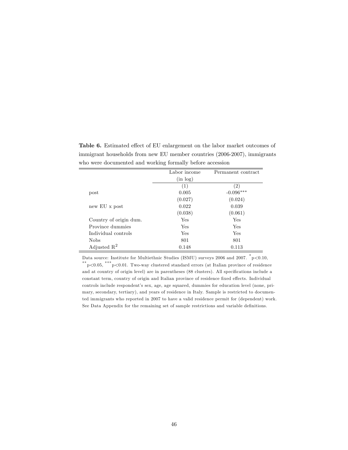|                  | who were documented and working formally before accession |                    |
|------------------|-----------------------------------------------------------|--------------------|
|                  | Labor income                                              | Permanent contract |
|                  | (in log)                                                  |                    |
|                  | (1)                                                       | (2)                |
| $_{\text{post}}$ | 0.005                                                     | $-0.096***$        |
|                  | (0.027)                                                   | (0.024)            |

 $(0.038)$   $(0.061)$ 

0.148 0.113

new EU x post  $\qquad \qquad 0.022 \qquad \qquad 0.039$ 

Country of origin dum. Yes Yes Province dummies Yes Yes Yes Individual controls Yes Yes Nobs 801 801

Adjusted  $\mathbf{R}^2$ 

Table 6. Estimated effect of EU enlargement on the labor market outcomes of immigrant households from new EU member countries (2006-2007), immigrants who were documented and working formally before accession

Data source: Institute for Multiethnic Studies (ISMU) surveys 2006 and 2007.  $^*$ p<0.10, \*\* p<0.05, \*\*\* p<0.01. Two-way clustered standard errors (at Italian province of residence and at country of origin level) are in parentheses (88 clusters). All specifications include a constant term, country of origin and Italian province of residence fixed effects. Individual controls include respondent's sex, age, age squared, dummies for education level (none, primary, secondary, tertiary), and years of residence in Italy. Sample is restricted to documented immigrants who reported in 2007 to have a valid residence permit for (dependent) work. See Data Appendix for the remaining set of sample restrictions and variable definitions.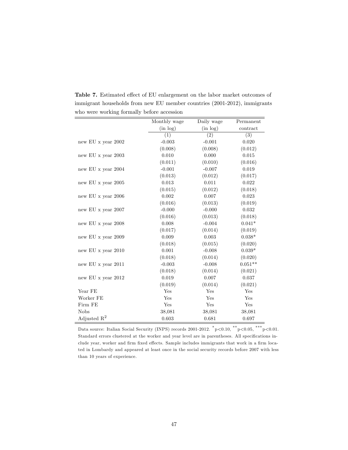|                    | Monthly wage | Daily wage | Permanent              |
|--------------------|--------------|------------|------------------------|
|                    | (in log)     | (in log)   | $\frac{1}{2}$ contract |
|                    | (1)          | (2)        | (3)                    |
| new EU x year 2002 | $-0.003$     | $-0.001$   | 0.020                  |
|                    | (0.008)      | (0.008)    | (0.012)                |
| new EU x year 2003 | 0.010        | 0.000      | 0.015                  |
|                    | (0.011)      | (0.010)    | (0.016)                |
| new EU x year 2004 | $-0.001$     | $-0.007$   | 0.019                  |
|                    | (0.013)      | (0.012)    | (0.017)                |
| new EU x year 2005 | 0.013        | 0.011      | 0.022                  |
|                    | (0.015)      | (0.012)    | (0.018)                |
| new EU x year 2006 | 0.002        | 0.007      | 0.023                  |
|                    | (0.016)      | (0.013)    | (0.019)                |
| new EU x year 2007 | $-0.000$     | $-0.000$   | 0.032                  |
|                    | (0.016)      | (0.013)    | (0.018)                |
| new EU x year 2008 | 0.008        | $-0.004$   | $0.041*$               |
|                    | (0.017)      | (0.014)    | (0.019)                |
| new EU x year 2009 | 0.009        | 0.003      | $0.038*$               |
|                    | (0.018)      | (0.015)    | (0.020)                |
| new EU x year 2010 | 0.001        | $-0.008$   | $0.039*$               |
|                    | (0.018)      | (0.014)    | (0.020)                |
| new EU x year 2011 | $-0.003$     | $-0.008$   | $0.051**$              |
|                    | (0.018)      | (0.014)    | (0.021)                |
| new EU x year 2012 | 0.019        | 0.007      | 0.037                  |
|                    | (0.019)      | (0.014)    | (0.021)                |
| Year FE            | Yes          | Yes        | Yes                    |
| Worker FE          | Yes          | Yes        | Yes                    |
| Firm FE            | Yes          | Yes        | Yes                    |
| <b>Nobs</b>        | 38,081       | 38,081     | 38,081                 |
| Adjusted $R^2$     | 0.603        | 0.681      | 0.697                  |

Table 7. Estimated effect of EU enlargement on the labor market outcomes of immigrant households from new EU member countries (2001-2012), immigrants who were working formally before accession

Data source: Italian Social Security (INPS) records 2001-2012.  $^{*}p<0.10, \frac{^{**}p<0.05, \frac{^{***}p<0.01.}{^{**}p<0.01.05, \frac{^{***}p<0.01.}{^{**}p<0.01.05, \frac{^{***}p<0.01.05, \frac{^{***}p<0.01.05, \frac{^{***}p<0.01.05, \frac{^{***}p<0.01.05, \frac{^{***}p<0.01.05,$ Standard errors clustered at the worker and year level are in parentheses. All specifications include year, worker and firm fixed effects. Sample includes immigrants that work in a firm located in Lombardy and appeared at least once in the social security records before 2007 with less than 10 years of experience.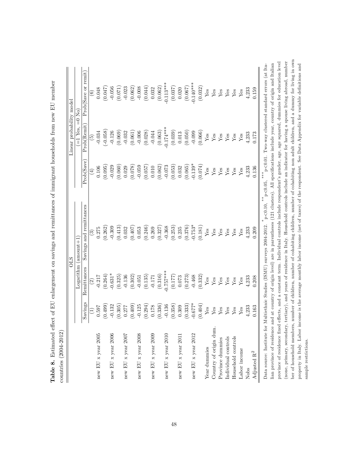|                         |                 |                | <b>OLS</b>              |             | Linear probability model |                        |
|-------------------------|-----------------|----------------|-------------------------|-------------|--------------------------|------------------------|
|                         |                 |                | $Logarithm (anount+1)$  |             | $=1$ Yes, $=0$ No        |                        |
|                         | Savings         | Remittances    | Savings and remittances | Prob(Save)  | Proof(Remit)             | Prob(Save or remit)    |
|                         | $\widehat{\Xi}$ | $\widehat{c}$  | $\mathfrak{S}$          | $(\pm)$     | $\widehat{5}$            | $\widehat{\mathbf{e}}$ |
| new EU x year $2005$    | 0.597           | $-0.217$       | 0.275                   | $0.106\,$   | $-0.034$                 | 0.048                  |
|                         | (0.499)         | (0.264)        | (0.262)                 | (0.095)     | $(-0.058)$               | (0.047)                |
| new EU x year $2006$    | $-0.132$        | $-0.631*$      | $-0.309$                | $-0.029$    | $-0.126$                 | $-0.056$               |
|                         | (0.305)         | (0.325)        | (0.413)                 | (0.060)     | (0.069)                  | (0.071)                |
| new EU x year 2007      | 0.277           | $-0.136$       | 0.032                   | 0.029       | $-0.032$                 | $-0.023$               |
|                         | (0.409)         | (0.302)        | (0.407)                 | (0.078)     | (0.061)                  | (0.062)                |
| new EU x year 2008      | $-0.125$        | $-0.051$       | 0.053                   | $-0.059$    | $-0.006$                 | $-0.008$               |
|                         | (0.294)         | (0.135)        | (0.246)                 | (0.057)     | (0.028)                  | (0.044)                |
| new EU x year $2009$    | 0.178           | $-0.171$       | 0.269                   | $0.010\,$   | $-0.044$                 | 0.032                  |
|                         | (0.336)         | (0.316)        | (0.327)                 | (0.062)     | (0.063)                  | (0.062)                |
| new EU x year 2010      | $-0.136$        | $-0.757***$    | $-0.368$                | $-0.073$    | $-0.174***$              | $-0.113***$            |
|                         | (0.358)         | (0.177)        | (0.253)                 | (0.053)     | (0.039)                  | (0.037)                |
| new EU x year $2011$    | 0.309           | 0.073          | 0.235                   | 0.032       | 0.013                    | 0.020                  |
|                         | (0.333)         | (0.273)        | (0.376)                 | (0.065)     | (0.050)                  | (0.067)                |
| new EU x year 2012      | $-0.677*$       | $-0.468$       | $-0.753*$               | $-0.139*$   | $-0.099$                 | $-0.140***$            |
|                         | (0.404)         | (0.332)        | (0.181)                 | (0.074)     | (0.066)                  | (0.032)                |
| Year dummies            | ${\rm Yes}$     | ${\it Yes}$    | Yes                     | ${\rm Yes}$ | ${\rm Yes}$              | ${\rm Yes}$            |
| Country of origin dum.  | ${\rm Yes}$     | ${\rm Yes}$    | ${\rm Yes}$             | ${\rm Yes}$ | ${\rm Yes}$              | ${\rm Yes}$            |
| Province dummies        | Yes             | $\mathbf{Yes}$ | ${\rm Yes}$             | ${\rm Yes}$ | ${\rm Yes}$              | ${\rm Yes}$            |
| Individual controls     | Yes             | ${\rm Yes}$    | Yes                     | Yes         | Yes                      | Yes                    |
| Household controls      | ${\rm Yes}$     | ${\rm Yes}$    | ${\rm Yes}$             | ${\rm Yes}$ | ${\rm Yes}$              | ${\bf Yes}$            |
| Labor income            | ${\rm Yes}$     | ${\rm Yes}$    | Yes                     | Yes         | ${\rm Yes}$              | Yes                    |
| Nobs                    | 4,233           | 4,233          | 4,233                   | 4,233       | 4,233                    | 4,233                  |
| Adjusted $\mathbf{R}^2$ | 0.163           | 0.208          | 0.209                   | 0.136       | 0.173                    | 0.159                  |

province of residence fixed effects, and a constant term. Individual controls include respondentís gender, age, aguared, dummies for education level (none, primary, secondary, tertiary), and years of residence in Italy. Household controls include an indicator for having a spouse living abroad, number ber of household members, number of children, number of cohabiting children, number of cohabiting non adult children, and a dummy for living in own property in Italy. Labor income is the average monthly labor income (net of taxes) of the respondent. See Data Appendix for variable definitions and

ber of household members, number of children, number of cohabiting children, number of cohabiting non adult children, and a dummy for living in own (none, primary, secondary, tertiary), and years of residence in Italy. Household controls include an indicator for having a spouse living abroad, number province of residence fixed effects, and a constant term. Individual controls include respondent's gender, age, age squared, dummies for education level

property in Italy. Labor income is the average monthly labor income (net of taxes) of the respondent. See Data Appendix for variable definitions and

sample restrictions.

sample restrictions.

Table 8. Estimated effect of EU enlargement on savings and remittances of immigrant households from new EU member Table 8. Estimated effect of EU enlargement on savings and remittances of immigrant households from new EU member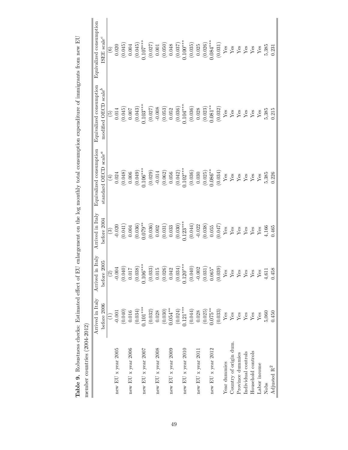| member countries (2004-2012) |                  |                                                                                  |                                                                  |                                               |                                  |                                                       |
|------------------------------|------------------|----------------------------------------------------------------------------------|------------------------------------------------------------------|-----------------------------------------------|----------------------------------|-------------------------------------------------------|
|                              | Arrived in Italy | in Italy<br>Arrived                                                              | Arrived in Italy                                                 | Equivalized consumption                       | Equivalized consumption          | Equivalized consumption<br>$(SEE)$ scale <sup>c</sup> |
|                              | before 2006      | 2005<br>before                                                                   | before 2004                                                      | standard OECD scale <sup><math>a</math></sup> | modified OECD scale <sup>b</sup> |                                                       |
|                              | $\widehat{\Xi}$  |                                                                                  |                                                                  | $\bigoplus$                                   | $\widetilde{5}$                  | $\odot$                                               |
| new EU x year $2005$         | $-0.001$         | $-0.004$                                                                         |                                                                  |                                               | $0.014\,$                        | 0.020                                                 |
|                              | (0.040)          | $^{710.0}_{700}$ $\,$                                                            | $\begin{array}{c} (3) \\ -0.020 \\ (0.041) \\ 0.004 \end{array}$ | (0.024)                                       | $(0.045)$<br>0.007               | (0.045)                                               |
| new EU x year 2006           | 0.016            |                                                                                  |                                                                  | 0.006                                         |                                  | 0.004                                                 |
|                              | (0.034)          | $^{(0.038)}_{0.106***}$                                                          |                                                                  |                                               |                                  |                                                       |
| new EU x year $2007$         | $0.101***$       |                                                                                  | $(0.036)$<br>$0.079***$                                          | $(0.049)$<br>0.106***                         | $(0.043)$<br>$0.103***$          | $(0.045)$<br>.107***                                  |
|                              | (0.032)          | (0.033)                                                                          | (0.036)                                                          | (0.029)                                       | (0.027)                          | $\left(0.027\right)$ $0.001$                          |
| new EU x year 2008           | 0.028            | $0.015\,$                                                                        | 0.002                                                            | $-0.014$                                      | $-0.008$                         |                                                       |
|                              | (0.030)          | (0.026)                                                                          | (0.031)                                                          | (0.062)                                       | (0.053)                          | (0.050)                                               |
| new EU x year 2009           | $0.054***$       | 0.042                                                                            | 0.033                                                            | 0.056                                         | 0.052                            | 0.048                                                 |
|                              | (0.024)          | (0.034)                                                                          | (0.030)                                                          | (0.042)                                       | $(0.036)$<br>$0.104***$          | $(0.037)$<br>$0.100***$                               |
| new EU x year 2010           | $0.121***$       | $0.120***$                                                                       | $0.123***$                                                       | $0.102***$                                    |                                  |                                                       |
|                              | (0.044)          | (0.040)                                                                          | (0.044)                                                          | (0.036)                                       | (0.036)                          | (0.035)                                               |
| new EU x year 2011           | 0.028            | $-0.002$                                                                         | $-0.022$                                                         | 0.030                                         | 0.028                            | 0.025                                                 |
|                              | (0.025)          | (0.031)                                                                          | (0.038)                                                          | (0.025)                                       | (0.023)                          | (0.026)                                               |
| new EU x year 2012           | $0.075***$       | $0.065*$                                                                         | $0.055\,$                                                        | $0.086***$                                    | $0.081**$                        | $0.084***$                                            |
|                              | (0.033)          | (0.039)                                                                          | (0.047)                                                          | (0.034)                                       | (0.032)                          | (0.031)                                               |
| Year dummies                 | ${\rm Yes}$      | ${\bf Yes}$                                                                      | ${\rm Yes}$                                                      | ${\rm Yes}$                                   | ${\rm Yes}$                      | ${\it Yes}$                                           |
| Country of origin dum.       | ${\rm Yes}$      | $\begin{tabular}{l} \hline \text{Yes} \\ \text{Yes} \\ \text{Yes} \end{tabular}$ | ${\rm Yes}$                                                      | Yes                                           | ${\rm Yes}$                      | ${\it Yes}$                                           |
| Province dummies             | ${\rm Yes}$      |                                                                                  | ${\bf Yes}$                                                      | ${\rm Yes}$                                   | ${\rm Yes}$                      | ${\rm Yes}$                                           |
| Individual controls          | ${\rm Yes}$      |                                                                                  | Yes                                                              | Yes                                           | Yes                              | Yes                                                   |
| Household controls           | ${\rm Yes}$      |                                                                                  | ${\rm Yes}$                                                      | Yes                                           | ${\rm Yes}$                      | ${\rm Yes}$                                           |
| Labor income                 | Yes              | ${\bf Yes}$                                                                      | $Y$ es                                                           | Yes                                           | Yes                              | $Y$ es                                                |
| Nobs                         | 5,060            | 4,611                                                                            | 4,166                                                            | 5,385                                         | 5,385                            | 5,385                                                 |
| Adjusted $\mathbf{R}^2$      | 0.450            | 0.458                                                                            | 0.465                                                            | 0.226                                         | 0.215                            | 0.231                                                 |
|                              |                  |                                                                                  |                                                                  |                                               |                                  |                                                       |

Table 9. Robustness checks: Estimated effect of EU enlargement on the log monthly total consumption expenditure of immigrants from new EU **Table 9.** Robustness checks: Estimated effect of EU enlargement on the log monthly total consumption expenditure of immigrants from new EU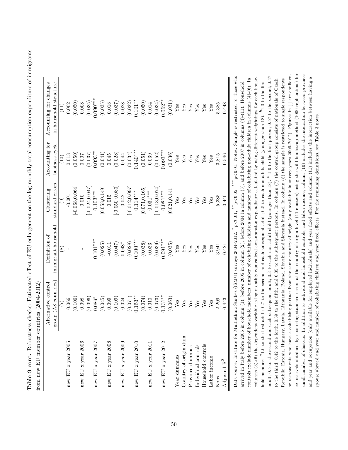Table 9 cont. Robustness checks: Estimated effect of EU enlargement on the log monthly total consumption expenditure of immigrants Table 9 cont. Robustness checks: Estimated effect of EU enlargement on the log monthly total consumption expenditure of immigrants from new EU member countries  $(2004-2012)$ from new EU member countries (2004-2012)

| Alternative control        | Definition of       | Clustering                                                  | Accounting for                                                  | Accounting for changes                                                                                                                                                                                                                                                                                                                                                                                                                                        |
|----------------------------|---------------------|-------------------------------------------------------------|-----------------------------------------------------------------|---------------------------------------------------------------------------------------------------------------------------------------------------------------------------------------------------------------------------------------------------------------------------------------------------------------------------------------------------------------------------------------------------------------------------------------------------------------|
| group (A8 countries)       | immigrant household | standard errors                                             | business cycle                                                  | in household structure                                                                                                                                                                                                                                                                                                                                                                                                                                        |
| E                          | $\circledast$       | $\widehat{\mathbf{e}}$                                      | $\left(10\right)$                                               | $\Xi$                                                                                                                                                                                                                                                                                                                                                                                                                                                         |
| 0.066                      |                     | $-0.001$                                                    | 0.013                                                           | 0.002                                                                                                                                                                                                                                                                                                                                                                                                                                                         |
| (0.106)                    |                     | $-0.068, 0.064$                                             | (0.050)                                                         | (0.050)                                                                                                                                                                                                                                                                                                                                                                                                                                                       |
| 0.098                      |                     | 0.010                                                       | 0.007                                                           | 0.008                                                                                                                                                                                                                                                                                                                                                                                                                                                         |
| (0.096)                    |                     | $[-0.024, 0.047]$                                           | (0.037)                                                         | (0.035)                                                                                                                                                                                                                                                                                                                                                                                                                                                       |
| $0.086*$                   | $0.101***$          |                                                             | $0.093***$                                                      | $0.090**$                                                                                                                                                                                                                                                                                                                                                                                                                                                     |
| (0.045)                    | (0.025)             | [0.058, 0.149]                                              | (0.041)                                                         | (0.035)                                                                                                                                                                                                                                                                                                                                                                                                                                                       |
| 0.099                      | $-0.011$            | 0.015                                                       | 0.045                                                           | 0.018                                                                                                                                                                                                                                                                                                                                                                                                                                                         |
| (0.109)                    | (0.047)             | $[-0.050 0.080]$                                            | (0.028)                                                         | (0.037)                                                                                                                                                                                                                                                                                                                                                                                                                                                       |
| 0.024                      | $0.048*$            | 0.042                                                       | 0.044                                                           | 0.028                                                                                                                                                                                                                                                                                                                                                                                                                                                         |
| (0.071)                    | (0.028)             | $[-0.012, 0.097]$                                           | (0.034)                                                         | (0.032)                                                                                                                                                                                                                                                                                                                                                                                                                                                       |
| $0.153***$                 | $0.100***$          | $0.114***$                                                  | $0.140***$                                                      | $0.101**$                                                                                                                                                                                                                                                                                                                                                                                                                                                     |
| (0.074)                    | (0.038)             | [0.071, 0.165]                                              | (0.051)                                                         | (0.050)                                                                                                                                                                                                                                                                                                                                                                                                                                                       |
| 0.010                      | 0.033               |                                                             | 0.039                                                           | 0.014                                                                                                                                                                                                                                                                                                                                                                                                                                                         |
| (0.073)                    | (0.039)             | $-0.013, 0.074$                                             | (0.052)                                                         | (0.034)                                                                                                                                                                                                                                                                                                                                                                                                                                                       |
| $0.131***$                 |                     |                                                             | $0.093***$                                                      | $0.062**$                                                                                                                                                                                                                                                                                                                                                                                                                                                     |
| (0.063)                    | (0.035)             | [0.021, 0.141]                                              | (0.036)                                                         | (0.031)                                                                                                                                                                                                                                                                                                                                                                                                                                                       |
| ${\rm Yes}$                | ${\rm Yes}$         | ${\rm Yes}$                                                 | ${\rm Yes}$                                                     | ${\rm Yes}$                                                                                                                                                                                                                                                                                                                                                                                                                                                   |
| Yes                        | ${\rm Yes}$         | ${\rm Yes}$                                                 | ${\rm Yes}$                                                     | ${\rm Yes}$                                                                                                                                                                                                                                                                                                                                                                                                                                                   |
| Yes                        | Yes                 | Yes                                                         | Yes                                                             | $Y$ es                                                                                                                                                                                                                                                                                                                                                                                                                                                        |
| $\mathbf{Yes}$             | ${\rm Yes}$         | ${\rm Yes}$                                                 | ${\rm Yes}$                                                     | ${\bf Yes}$                                                                                                                                                                                                                                                                                                                                                                                                                                                   |
| Yes                        | Yes                 | Yes                                                         | ${\rm Yes}$                                                     | ${\rm Yes}$                                                                                                                                                                                                                                                                                                                                                                                                                                                   |
| Yes                        | Yes                 | Yes                                                         | $Y$ es                                                          | $Y$ es                                                                                                                                                                                                                                                                                                                                                                                                                                                        |
| 2,209                      | 3,941               | 5,385                                                       | 3,815                                                           | 5,385                                                                                                                                                                                                                                                                                                                                                                                                                                                         |
| 0.443                      | 0.421               | 0.440                                                       | 0.546                                                           | 0.448                                                                                                                                                                                                                                                                                                                                                                                                                                                         |
| Data source: Institute for |                     | p<0.05.<br>$*$                                              |                                                                 | p<0.01. Notes: Sample is restricted to those who                                                                                                                                                                                                                                                                                                                                                                                                              |
|                            |                     |                                                             |                                                                 |                                                                                                                                                                                                                                                                                                                                                                                                                                                               |
|                            |                     |                                                             |                                                                 |                                                                                                                                                                                                                                                                                                                                                                                                                                                               |
|                            |                     | Multiethnic Studies (ISMU) surveys 2004-2012.<br>$0.091***$ | $***$<br>$0.103***$<br>$0.081***$<br>$0.031***$<br>$p < 0.01$ , | columns $(3)-(6)$ the dependent variable is log monthly equivalized consumption expenditure calculated by using different weightings for each house-<br>controls exclude number of household members, number of cohabiting children and number of cohabiting non-adult children in columns $(4)$ -(6). In<br>arrived in Italy before 2006 in column (1), before 2005 in column (2), before 2004 in column (3), and before 2007 in columns (4)-(11). Household |

ce intervals obtained by clustering standard errors at the country of origin level (11 clusters) using the wild bootstrap method (1000 replications) for or respondents who have a cohabiting partner from the same country of origin (only available in survey years 2006-2012). Figures in  $[]$  are confidensmall number of clusters. In addition to individual and household controls, and labor income, column (10) includes the interaction between province or respondents who have a cohabiting partner from the same country of origin (only available in survey years  $2006-2012$ ). Figures in [] are confidence intervals obtained by clustering standard errors at the country of origin level (11 clusters) using the wild bootstrap method (1000 replications) for small number of clusters. In addition to individual and household controls, and labor income, column (10) includes the interaction between province adult; 0.5 to the second and each subsequent adult; 0.3 to each non-adult child (younger than 18).  $c$  1.0 to the first person; 0.57 to the second; 0.47 and year and occupation (only available for employed individuals) and year fixed effects and column  $(11)$  includes the interaction between having a adult; 0.5 to the second and each subsequent adult; 0.3 to each non-adult child (younger than 18).  $\epsilon$  1.0 to the first person; 0.57 to the second; 0.47 and year and occupation (only available for employed individuals) and year fixed effects and column  $(11)$  includes the interaction between having a columns  $(3)-(6)$  the dependent variable is log monthly equivalized consumption expenditure calculated by using different weightings for each house-Republic, Estonia, Hungary, Latvia, Lithuania, Poland, Slovakia and Slovenia instead. In column (8) the sample is restricted to single respondents to the third, 0.42 to the forth; 0.39 to the fifth; and 0.35 to the subsequent persons. In column  $(7)$  the control group consists of nationals of Czech hold member:  $^a$ 1.0 to the first adult; 0.7 to the second and each subsequent adult; 0.5 to each non-adult child (younger than 18).  $^b$ 1.0 to the first to the third, 0.42 to the forth; 0.39 to the fifth; and 0.35 to the subsequent persons. In column (7) the control group consists of nationals of Czech Republic, Estonia, Hungary, Latvia, Lithuania, Poland, Slovakia and Slovenia instead. In column (8) the sample is restricted to single respondents hold member:  $a_{1.0}$  to the first adult; 0.7 to the second and each subsequent adult; 0.5 to each non-adult child (younger than 18).  $b_{1.0}$  to the first spouse abroad and year and number of cohabiting children and year fixed effects. For the remaining definitions, see Table 3 notes. spouse abroad and year and number of cohabiting children and year fixed effects. For the remaining definitions, see Table 3 notes.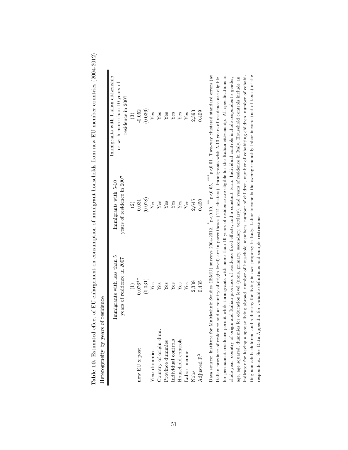| Heterogeneity by years of residence |                                                           |                                                    |                                                                                                                                                                                                                                                                                                                                                                                                                                                                                                                                                                                                                                                                                                                                                                                                                                                                                                                                                                                                                                                        |
|-------------------------------------|-----------------------------------------------------------|----------------------------------------------------|--------------------------------------------------------------------------------------------------------------------------------------------------------------------------------------------------------------------------------------------------------------------------------------------------------------------------------------------------------------------------------------------------------------------------------------------------------------------------------------------------------------------------------------------------------------------------------------------------------------------------------------------------------------------------------------------------------------------------------------------------------------------------------------------------------------------------------------------------------------------------------------------------------------------------------------------------------------------------------------------------------------------------------------------------------|
|                                     | Immigrants with less than 5<br>years of residence in 2007 | years of residence in 2007<br>Immigrants with 5-10 | Immigrants with Italian citizenship<br>or with more than 10 years of<br>residence in 2007                                                                                                                                                                                                                                                                                                                                                                                                                                                                                                                                                                                                                                                                                                                                                                                                                                                                                                                                                              |
| new EU x post                       | $0.076**$                                                 | 0.031<br>$\widehat{c}$                             | $-0.052$<br>$\widehat{\mathfrak{S}}$                                                                                                                                                                                                                                                                                                                                                                                                                                                                                                                                                                                                                                                                                                                                                                                                                                                                                                                                                                                                                   |
|                                     | (0.031)                                                   | (0.028)                                            | (0.036)                                                                                                                                                                                                                                                                                                                                                                                                                                                                                                                                                                                                                                                                                                                                                                                                                                                                                                                                                                                                                                                |
| Year dummies                        | ${\rm Yes}$                                               | ${\rm Yes}$                                        | ${\rm Yes}$                                                                                                                                                                                                                                                                                                                                                                                                                                                                                                                                                                                                                                                                                                                                                                                                                                                                                                                                                                                                                                            |
| Country of origin dum.              | ${\rm Yes}$                                               | ${\rm Yes}$                                        | ${\rm Yes}$                                                                                                                                                                                                                                                                                                                                                                                                                                                                                                                                                                                                                                                                                                                                                                                                                                                                                                                                                                                                                                            |
| Province dummies                    | ${\rm Yes}$                                               | Yes                                                | Yes                                                                                                                                                                                                                                                                                                                                                                                                                                                                                                                                                                                                                                                                                                                                                                                                                                                                                                                                                                                                                                                    |
| Individual controls                 | Yes                                                       | Yes                                                | Yes                                                                                                                                                                                                                                                                                                                                                                                                                                                                                                                                                                                                                                                                                                                                                                                                                                                                                                                                                                                                                                                    |
| Household controls                  | Yes                                                       | ${\rm Yes}$                                        | ${\rm Yes}$                                                                                                                                                                                                                                                                                                                                                                                                                                                                                                                                                                                                                                                                                                                                                                                                                                                                                                                                                                                                                                            |
| Labor income                        | Yes                                                       | Yes                                                | Yes                                                                                                                                                                                                                                                                                                                                                                                                                                                                                                                                                                                                                                                                                                                                                                                                                                                                                                                                                                                                                                                    |
| Nobs                                | 2,338                                                     | 2,645                                              | 2,393                                                                                                                                                                                                                                                                                                                                                                                                                                                                                                                                                                                                                                                                                                                                                                                                                                                                                                                                                                                                                                                  |
| Adjusted $\mathbf{R}^2$             | 0.435                                                     | 0.450                                              | 0.409                                                                                                                                                                                                                                                                                                                                                                                                                                                                                                                                                                                                                                                                                                                                                                                                                                                                                                                                                                                                                                                  |
| Italian province of residence and   |                                                           |                                                    | for permanent residence permit while immigrants with more than 10 years of residence are eligible for the Italian citizenship. All specifications in-<br>Data source: Institute for Multiethnic Studies (ISMU) surveys 2004-2012. $*$ p<0.10, $*$ p<0.05, $*$ p<0.01. Two-way clustered standard errors (at<br>indicator for having a spouse living abroad, number of household members, number of children, number of cohabiting children, number of cohabi-<br>ting non adult children, and a dummy for living in own property in Italy. Labor income is the average monthly labor income (net of taxes) of the<br>clude year, country of origin and Italian province of residence fixed effects, and a constant term. Individual controls include respondent's gender,<br>at country of origin level) are in parentheses (121 clusters). Immigrants with 5-10 years of residence are eligible<br>age, age squared, dummies for education level (none, primary, secondary, tertiary), and years of residence in Italy. Household controls include an |

respondent. See Data Appendix for variable deÖnitions and sample restrictions.

respondent. See Data Appendix for variable definitions and sample restrictions.

Table 10. Estimated effect of EU enlargement on consumption of immigrant households from new EU member countries (2004-2012) Table 10. Estimated effect of EU enlargement on consumption of immigrant households from new EU member countries (2004-2012)

51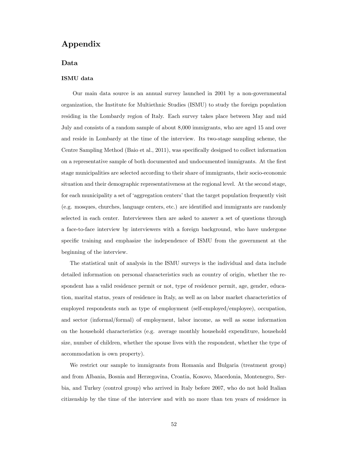## Appendix

### Data

### ISMU data

Our main data source is an annual survey launched in 2001 by a non-governmental organization, the Institute for Multiethnic Studies (ISMU) to study the foreign population residing in the Lombardy region of Italy. Each survey takes place between May and mid July and consists of a random sample of about 8,000 immigrants, who are aged 15 and over and reside in Lombardy at the time of the interview. Its two-stage sampling scheme, the Centre Sampling Method (Baio et al., 2011), was specifically designed to collect information on a representative sample of both documented and undocumented immigrants. At the Örst stage municipalities are selected according to their share of immigrants, their socio-economic situation and their demographic representativeness at the regional level. At the second stage, for each municipality a set of 'aggregation centers' that the target population frequently visit (e.g. mosques, churches, language centers, etc.) are identified and immigrants are randomly selected in each center. Interviewees then are asked to answer a set of questions through a face-to-face interview by interviewers with a foreign background, who have undergone specific training and emphasize the independence of ISMU from the government at the beginning of the interview.

The statistical unit of analysis in the ISMU surveys is the individual and data include detailed information on personal characteristics such as country of origin, whether the respondent has a valid residence permit or not, type of residence permit, age, gender, education, marital status, years of residence in Italy, as well as on labor market characteristics of employed respondents such as type of employment (self-employed/employee), occupation, and sector (informal/formal) of employment, labor income, as well as some information on the household characteristics (e.g. average monthly household expenditure, household size, number of children, whether the spouse lives with the respondent, whether the type of accommodation is own property).

We restrict our sample to immigrants from Romania and Bulgaria (treatment group) and from Albania, Bosnia and Herzegovina, Croatia, Kosovo, Macedonia, Montenegro, Serbia, and Turkey (control group) who arrived in Italy before 2007, who do not hold Italian citizenship by the time of the interview and with no more than ten years of residence in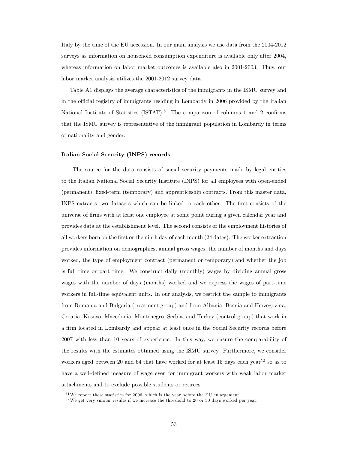Italy by the time of the EU accession. In our main analysis we use data from the 2004-2012 surveys as information on household consumption expenditure is available only after 2004, whereas information on labor market outcomes is available also in 2001-2003. Thus, our labor market analysis utilizes the 2001-2012 survey data.

Table A1 displays the average characteristics of the immigrants in the ISMU survey and in the official registry of immigrants residing in Lombardy in 2006 provided by the Italian National Institute of Statistics (ISTAT).<sup>51</sup> The comparison of columns 1 and 2 confirms that the ISMU survey is representative of the immigrant population in Lombardy in terms of nationality and gender.

#### Italian Social Security (INPS) records

The source for the data consists of social security payments made by legal entities to the Italian National Social Security Institute (INPS) for all employees with open-ended (permanent), fixed-term (temporary) and apprenticeship contracts. From this master data, INPS extracts two datasets which can be linked to each other. The first consists of the universe of firms with at least one employee at some point during a given calendar year and provides data at the establishment level. The second consists of the employment histories of all workers born on the first or the ninth day of each month (24 dates). The worker extraction provides information on demographics, annual gross wages, the number of months and days worked, the type of employment contract (permanent or temporary) and whether the job is full time or part time. We construct daily (monthly) wages by dividing annual gross wages with the number of days (months) worked and we express the wages of part-time workers in full-time equivalent units. In our analysis, we restrict the sample to immigrants from Romania and Bulgaria (treatment group) and from Albania, Bosnia and Herzegovina, Croatia, Kosovo, Macedonia, Montenegro, Serbia, and Turkey (control group) that work in a firm located in Lombardy and appear at least once in the Social Security records before 2007 with less than 10 years of experience. In this way, we ensure the comparability of the results with the estimates obtained using the ISMU survey. Furthermore, we consider workers aged between 20 and 64 that have worked for at least 15 days each year<sup>52</sup> so as to have a well-defined measure of wage even for immigrant workers with weak labor market attachments and to exclude possible students or retirees.

 $51$ We report these statistics for 2006, which is the year before the EU enlargement.

<sup>&</sup>lt;sup>52</sup>We get very similar results if we increase the threshold to 20 or 30 days worked per year.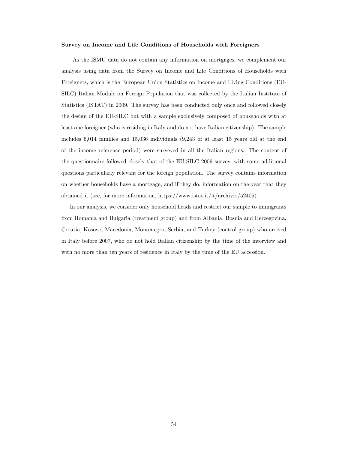#### Survey on Income and Life Conditions of Households with Foreigners

As the ISMU data do not contain any information on mortgages, we complement our analysis using data from the Survey on Income and Life Conditions of Households with Foreigners, which is the European Union Statistics on Income and Living Conditions (EU-SILC) Italian Module on Foreign Population that was collected by the Italian Institute of Statistics (ISTAT) in 2009. The survey has been conducted only once and followed closely the design of the EU-SILC but with a sample exclusively composed of households with at least one foreigner (who is residing in Italy and do not have Italian citizenship). The sample includes 6,014 families and 15,036 individuals (9,243 of at least 15 years old at the end of the income reference period) were surveyed in all the Italian regions. The content of the questionnaire followed closely that of the EU-SILC 2009 survey, with some additional questions particularly relevant for the foreign population. The survey contains information on whether households have a mortgage, and if they do, information on the year that they obtained it (see, for more information, https://www.istat.it/it/archivio/52405).

In our analysis, we consider only household heads and restrict our sample to immigrants from Romania and Bulgaria (treatment group) and from Albania, Bosnia and Herzegovina, Croatia, Kosovo, Macedonia, Montenegro, Serbia, and Turkey (control group) who arrived in Italy before 2007, who do not hold Italian citizenship by the time of the interview and with no more than ten years of residence in Italy by the time of the EU accession.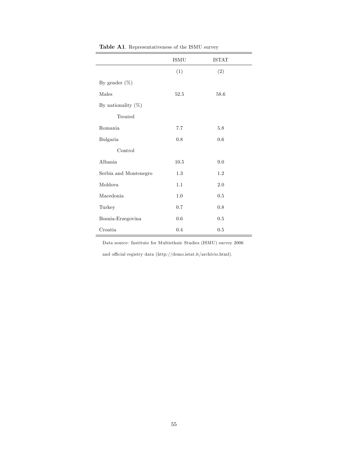|                       | $\mathop{\rm ISMU}\nolimits$ | <b>ISTAT</b> |
|-----------------------|------------------------------|--------------|
|                       | (1)                          | (2)          |
| By gender $(\%)$      |                              |              |
| Males                 | 52.5                         | 58.6         |
| By nationality $(\%)$ |                              |              |
| Treated               |                              |              |
| Romania               | 7.7                          | 5.8          |
| Bulgaria              | 0.8                          | 0.6          |
| Control               |                              |              |
| Albania               | 10.5                         | 9.0          |
| Serbia and Montenegro | 1.3                          | 1.2          |
| Moldova               | 1.1                          | $2.0\,$      |
| Macedonia             | 1.0                          | $0.5\,$      |
| Turkey                | 0.7                          | 0.8          |
| Bosnia-Erzegovina     | $0.6\,$                      | 0.5          |
| Croatia               | $0.4\,$                      | $0.5\,$      |

Table A1. Representativeness of the ISMU survey

Data source: Institute for Multiethnic Studies (ISMU) survey 2006

and official registry data (http://demo.istat.it/archivio.html).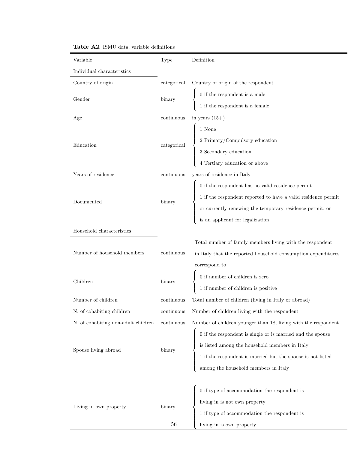| Variable                            | Type               | Definition                                                                                                                                                                                                          |
|-------------------------------------|--------------------|---------------------------------------------------------------------------------------------------------------------------------------------------------------------------------------------------------------------|
| Individual characteristics          |                    |                                                                                                                                                                                                                     |
| Country of origin                   | categorical        | Country of origin of the respondent                                                                                                                                                                                 |
| Gender                              | $_{\text{binary}}$ | $\left\{ \begin{array}{ll} 0 \mbox{ if the responent is a male} \\ 1 \mbox{ if the respondent is a female} \end{array} \right.$                                                                                     |
|                                     |                    |                                                                                                                                                                                                                     |
| Age                                 | continuous         | in years $(15+)$                                                                                                                                                                                                    |
|                                     |                    |                                                                                                                                                                                                                     |
| Education                           |                    | Examples and the same of the same of the categorical and the categorical discontinuity of the secondary education of above $\frac{4 \text{ Tertiary education}}{4 \text{ Tertiary education or above}}$             |
|                                     |                    |                                                                                                                                                                                                                     |
|                                     |                    |                                                                                                                                                                                                                     |
| Years of residence                  | continuous         | years of residence in Italy                                                                                                                                                                                         |
|                                     |                    | 0 if the respondent has no valid residence permit<br>1 if the respondent reported to have a valid residence permit<br>or currently renewing the temporary residence permit, or<br>is an applicant for legalization  |
| Documented                          | $_{\text{binary}}$ |                                                                                                                                                                                                                     |
|                                     |                    |                                                                                                                                                                                                                     |
|                                     |                    |                                                                                                                                                                                                                     |
| Household characteristics           |                    |                                                                                                                                                                                                                     |
|                                     |                    | Total number of family members living with the respondent                                                                                                                                                           |
| Number of household members         | continuous         | in Italy that the reported household consumption expenditures                                                                                                                                                       |
|                                     |                    | correspond to                                                                                                                                                                                                       |
| Children                            | binary             | $\left\{ \begin{array}{ll} 0 \mbox{ if number of children is zero} \\ 1 \mbox{ if number of children is positive} \end{array} \right.$                                                                              |
|                                     |                    |                                                                                                                                                                                                                     |
| Number of children                  | continuous         | Total number of children (living in Italy or abroad)                                                                                                                                                                |
| N. of cohabiting children           | continuous         | Number of children living with the respondent                                                                                                                                                                       |
| N. of cohabiting non-adult children | continuous         | Number of children younger than 18, living with the respondent                                                                                                                                                      |
|                                     |                    |                                                                                                                                                                                                                     |
| Spouse living abroad                | $_{\rm binary}$    |                                                                                                                                                                                                                     |
|                                     |                    |                                                                                                                                                                                                                     |
|                                     |                    | 0 if the respondent is single or is married and the spouse<br>is listed among the household members in Italy<br>1 if the respondent is married but the spouse is not listed<br>among the household members in Italy |
|                                     |                    |                                                                                                                                                                                                                     |
|                                     |                    | $\label{eq:1}$ $0$ if type of accommodation the respondent is<br>$\label{eq:1}$ living in is not own property<br>$\label{1}$<br>I if type of accommodation the respondent is                                        |
| Living in own property              | binary             |                                                                                                                                                                                                                     |
|                                     |                    |                                                                                                                                                                                                                     |
|                                     | $56\,$             | living in is own property                                                                                                                                                                                           |

Table A2. ISMU data, variable definitions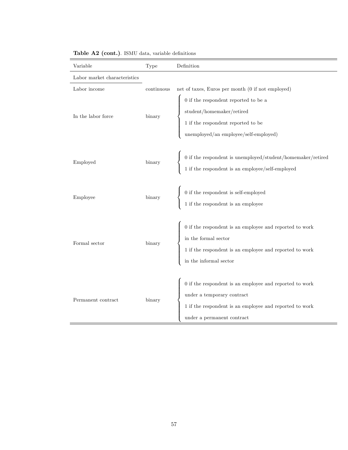| Variable                     | Type       | Definition                                                                                                                                                                                                 |
|------------------------------|------------|------------------------------------------------------------------------------------------------------------------------------------------------------------------------------------------------------------|
| Labor market characteristics |            |                                                                                                                                                                                                            |
| Labor income                 | continuous | net of taxes, Euros per month (0 if not employed)                                                                                                                                                          |
| In the labor force           | binary     | % 0 if the respondent reported to be a<br>student/homemaker/retired $$\sf{1}$$ if the respondent reported to be unemployed/an employee/self-employed)                                                      |
| Employed                     | binary     | $0$ if the respondent is unemployed/student/homemaker/retired $1$ if the respondent is an employee/self-employed $\,$                                                                                      |
| Employee                     | binary     | $0$ if the respondent is self-employed $1$ if the respondent is an employee                                                                                                                                |
| Formal sector                | binary     | $0$ if the respondent is an employee and reported to work in the formal sector $1$ if the respondent is an employee and reported to work $\,$<br>in the informal sector $% \left\vert \cdot \right\rangle$ |
| Permanent contract           | binary     | $0$ if the respondent is an employee and reported to work<br>under a temporary contract<br>$1$ if the respondent is an employee and reported to ${\rm work}$<br>under a permanent contract                 |

## Table A2 (cont.). ISMU data, variable definitions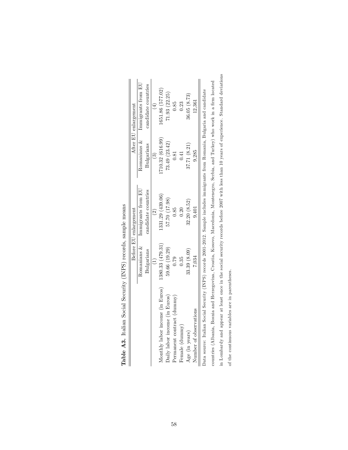| Immigrants from EU<br>candidate countries<br>1331.29 (439.06)<br>57.70 (17.98)<br>$\widehat{\mathfrak{O}}$ | Before EU enlargement<br>Romanians &<br>1380.33 (479.31)<br>59.66 (19.29)<br>Bulgarians<br>Monthly labor income (in Euros) |
|------------------------------------------------------------------------------------------------------------|----------------------------------------------------------------------------------------------------------------------------|
|                                                                                                            |                                                                                                                            |

| こうこう こうこう<br>$\frac{1}{2}$<br>í. |
|----------------------------------|
| <b>CONTRACTOR</b>                |
| $\frac{1}{2}$<br>ì<br>l          |
| l<br>$\ddot{\phantom{a}}$<br>l   |
| ı<br>I<br>l                      |
| $\frac{1}{2}$<br>ļ<br>֦          |
|                                  |
| j<br>į<br>ì<br>I                 |

in Lombardy and appear at least once in the social security records before 2007 with less than 10 years of experience. Standard deviations in Lombardy and appear at least once in the social security records before 2007 with less than 10 years of experience. Standard deviations countries (Albania, Bosnia and Herzegovina, Croatia, Kosovo, Macedonia, Montenegro, Serbia, and Turkey) who work in a firm located countries (Albania, Bosnia and Herzegovina, Croatia, Kosovo, Macedonia, Montenegro, Serbia, and Turkey) who work in a firm located Data source: Italian Social Security (INPS) records 2001-2012. Sample includes immigrants from Romania, Bulgaria and candidate of the continuous variables are in parentheses. of the continuous variables are in parentheses.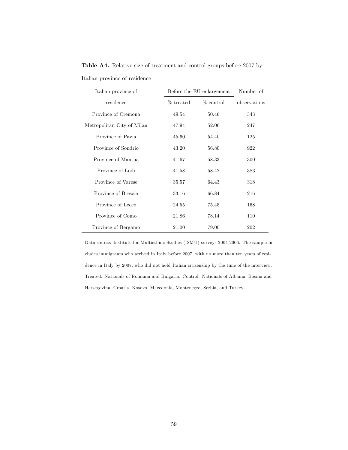| Italian province of        |           | Before the EU enlargement |              |
|----------------------------|-----------|---------------------------|--------------|
| residence                  | % treated | $%$ control               | observations |
| Province of Cremona        | 49.54     | 50.46                     | 343          |
| Metropolitan City of Milan | 47.94     | 52.06                     | 247          |
| Province of Pavia          | 45.60     | 54.40                     | 125          |
| Province of Sondrio        | 43.20     | 56.80                     | 922          |
| Province of Mantua         | 41.67     | 58.33                     | 300          |
| Province of Lodi           | 41.58     | 58.42                     | 383          |
| Province of Varese         | 35.57     | 64.43                     | 318          |
| Province of Brescia        | 33.16     | 66.84                     | 216          |
| Province of Lecco          | 24.55     | 75.45                     | 168          |
| Province of Como           | 21.86     | 78.14                     | 110          |
| Province of Bergamo        | 21.00     | 79.00                     | 202          |

Table A4. Relative size of treatment and control groups before 2007 by

Italian province of residence

Data source: Institute for Multiethnic Studies (ISMU) surveys 2004-2006. The sample includes immigrants who arrived in Italy before 2007, with no more than ten years of residence in Italy by 2007, who did not hold Italian citizenship by the time of the interview. Treated: Nationals of Romania and Bulgaria. Control: Nationals of Albania, Bosnia and Herzegovina, Croatia, Kosovo, Macedonia, Montenegro, Serbia, and Turkey.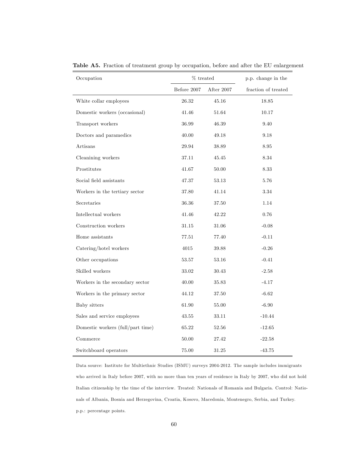| Occupation                        | $\%$ treated |            | p.p. change in the  |
|-----------------------------------|--------------|------------|---------------------|
|                                   | Before 2007  | After 2007 | fraction of treated |
| White collar employees            | 26.32        | 45.16      | 18.85               |
| Domestic workers (occasional)     | 41.46        | 51.64      | 10.17               |
| Transport workers                 | $36.99\,$    | 46.39      | 9.40                |
| Doctors and paramedics            | 40.00        | 49.18      | 9.18                |
| Artisans                          | 29.94        | 38.89      | 8.95                |
| Cleanining workers                | 37.11        | 45.45      | 8.34                |
| Prostitutes                       | 41.67        | 50.00      | 8.33                |
| Social field assistants           | 47.37        | 53.13      | 5.76                |
| Workers in the tertiary sector    | 37.80        | 41.14      | 3.34                |
| Secretaries                       | 36.36        | 37.50      | 1.14                |
| Intellectual workers              | 41.46        | 42.22      | 0.76                |
| Construction workers              | 31.15        | 31.06      | $-0.08$             |
| Home assistants                   | 77.51        | 77.40      | $-0.11$             |
| Catering/hotel workers            | 4015         | 39.88      | $-0.26$             |
| Other occupations                 | 53.57        | 53.16      | $-0.41$             |
| Skilled workers                   | 33.02        | 30.43      | $-2.58$             |
| Workers in the secondary sector   | 40.00        | 35.83      | $-4.17$             |
| Workers in the primary sector     | 44.12        | 37.50      | $-6.62$             |
| Baby sitters                      | 61.90        | 55.00      | $-6.90$             |
| Sales and service employees       | 43.55        | 33.11      | $-10.44$            |
| Domestic workers (full/part time) | 65.22        | 52.56      | $-12.65$            |
| Commerce                          | 50.00        | 27.42      | $-22.58$            |
| Switchboard operators             | 75.00        | 31.25      | $-43.75$            |

Table A5. Fraction of treatment group by occupation, before and after the EU enlargement

Data source: Institute for Multiethnic Studies (ISMU) surveys 2004-2012. The sample includes immigrants who arrived in Italy before 2007, with no more than ten years of residence in Italy by 2007, who did not hold Italian citizenship by the time of the interview. Treated: Nationals of Romania and Bulgaria. Control: Nationals of Albania, Bosnia and Herzegovina, Croatia, Kosovo, Macedonia, Montenegro, Serbia, and Turkey. p.p.: percentage points.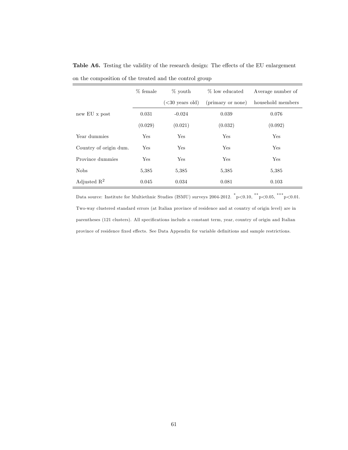|                        | % female | $\%$ youth        | % low educated    | Average number of |
|------------------------|----------|-------------------|-------------------|-------------------|
|                        |          | $(<30$ years old) | (primary or none) | household members |
| new EU x post          | 0.031    | $-0.024$          | 0.039             | 0.076             |
|                        | (0.029)  | (0.021)           | (0.032)           | (0.092)           |
| Year dummies           | Yes      | Yes               | Yes               | Yes               |
| Country of origin dum. | Yes      | Yes               | Yes               | Yes               |
| Province dummies       | Yes      | Yes               | Yes               | Yes               |
| <b>Nobs</b>            | 5,385    | 5,385             | 5,385             | 5,385             |
| Adjusted $R^2$         | 0.045    | 0.034             | 0.081             | 0.103             |

Table A6. Testing the validity of the research design: The effects of the EU enlargement on the composition of the treated and the control group

Data source: Institute for Multiethnic Studies (ISMU) surveys  $2004-2012.$   $\sqrt[^*p]{0.10},$   $\sqrt[^*p]{0.05},$   $\sqrt[^*p]{0.01}.$ Two-way clustered standard errors (at Italian province of residence and at country of origin level) are in parentheses (121 clusters). All specifications include a constant term, year, country of origin and Italian province of residence fixed effects. See Data Appendix for variable definitions and sample restrictions.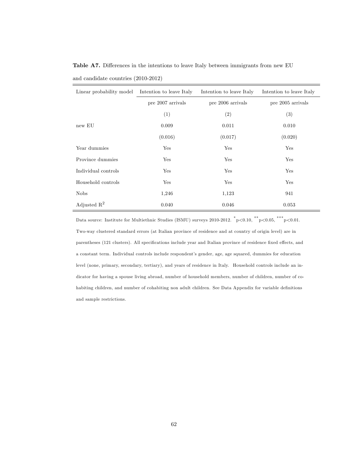| Linear probability model | Intention to leave Italy | Intention to leave Italy | Intention to leave Italy |
|--------------------------|--------------------------|--------------------------|--------------------------|
|                          | pre 2007 arrivals        | pre 2006 arrivals        | pre 2005 arrivals        |
|                          | (1)                      | (2)                      | (3)                      |
| new EU                   | 0.009                    | 0.011                    | 0.010                    |
|                          | (0.016)                  | (0.017)                  | (0.020)                  |
| Year dummies             | Yes                      | Yes                      | Yes                      |
| Province dummies         | Yes                      | Yes                      | Yes                      |
| Individual controls      | Yes                      | Yes                      | Yes                      |
| Household controls       | Yes                      | Yes                      | Yes                      |
| <b>Nobs</b>              | 1,246                    | 1,123                    | 941                      |
| Adjusted $\mathbb{R}^2$  | 0.040                    | 0.046                    | 0.053                    |

Table A7. Differences in the intentions to leave Italy between immigrants from new EU and candidate countries (2010-2012)

Data source: Institute for Multiethnic Studies (ISMU) surveys  $2010$ -2012.  $\sqrt[*]{ } p < 0.10, \sqrt[*]{ } ^* p < 0.05, \sqrt[*]{ } ^* p < 0.01.$ Two-way clustered standard errors (at Italian province of residence and at country of origin level) are in parentheses (121 clusters). All specifications include year and Italian province of residence fixed effects, and a constant term. Individual controls include respondent's gender, age, age squared, dummies for education level (none, primary, secondary, tertiary), and years of residence in Italy. Household controls include an indicator for having a spouse living abroad, number of household members, number of children, number of cohabiting children, and number of cohabiting non adult children. See Data Appendix for variable definitions and sample restrictions.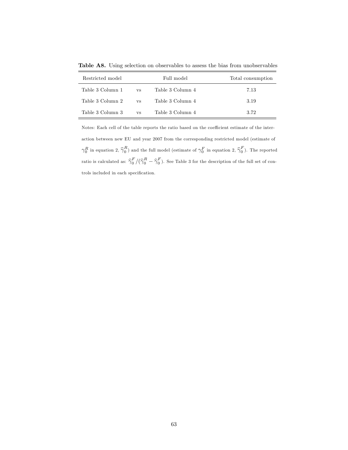Table A8. Using selection on observables to assess the bias from unobservables

| Restricted model |           | Full model       | Total consumption |
|------------------|-----------|------------------|-------------------|
| Table 3 Column 1 | <b>VS</b> | Table 3 Column 4 | 7.13              |
| Table 3 Column 2 | <b>VS</b> | Table 3 Column 4 | 3.19              |
| Table 3 Column 3 | <b>VS</b> | Table 3 Column 4 | 3.72              |

Notes: Each cell of the table reports the ratio based on the coefficient estimate of the interaction between new EU and year 2007 from the corresponding restricted model (estimate of  $\gamma_0^R$  in equation 2,  $\hat{\gamma}_0^R$ ) and the full model (estimate of  $\gamma_0^F$  in equation 2,  $\hat{\gamma}_0^F$ ). The reported ratio is calculated as:  $\hat{\gamma}_0^F/(\hat{\gamma}_0^R - \hat{\gamma}_0^F)$ . See Table 3 for the description of the full set of controls included in each specification.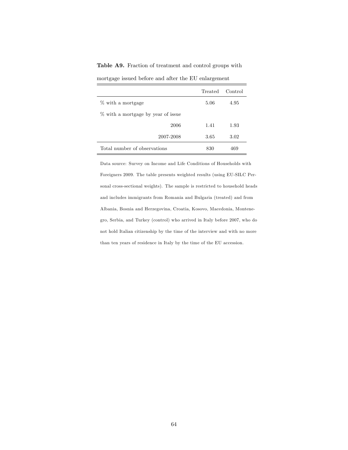Table A9. Fraction of treatment and control groups with

|                                    | Treated | Control |
|------------------------------------|---------|---------|
| % with a mortgage                  | 5.06    | 4.95    |
| % with a mortgage by year of issue |         |         |
| 2006                               | 1.41    | 1.93    |
| 2007-2008                          | 3.65    | 3.02    |
| Total number of observations       | 830     | 469     |

mortgage issued before and after the EU enlargement

Data source: Survey on Income and Life Conditions of Households with Foreigners 2009. The table presents weighted results (using EU-SILC Personal cross-sectional weights). The sample is restricted to household heads and includes immigrants from Romania and Bulgaria (treated) and from Albania, Bosnia and Herzegovina, Croatia, Kosovo, Macedonia, Montenegro, Serbia, and Turkey (control) who arrived in Italy before 2007, who do not hold Italian citizenship by the time of the interview and with no more than ten years of residence in Italy by the time of the EU accession.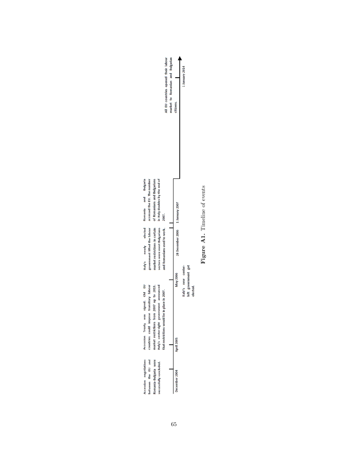

Figure A1. Timeline of events Figure A1. Timeline of events